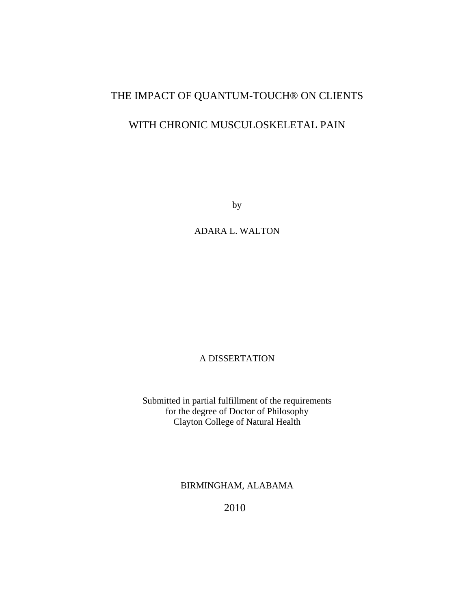# THE IMPACT OF QUANTUM-TOUCH® ON CLIENTS

## WITH CHRONIC MUSCULOSKELETAL PAIN

by

ADARA L. WALTON

### A DISSERTATION

Submitted in partial fulfillment of the requirements for the degree of Doctor of Philosophy Clayton College of Natural Health

BIRMINGHAM, ALABAMA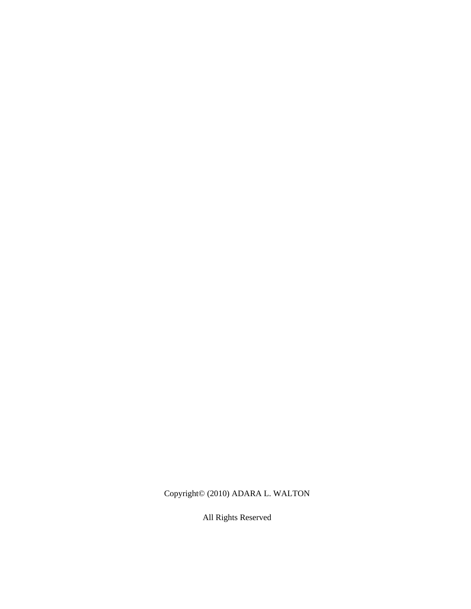Copyright© (2010) ADARA L. WALTON

All Rights Reserved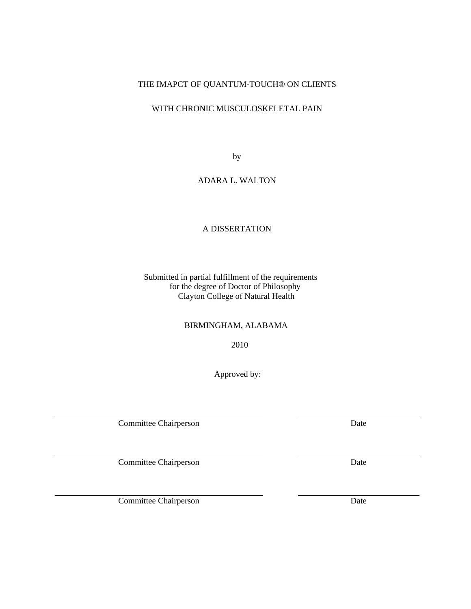## THE IMAPCT OF QUANTUM-TOUCH® ON CLIENTS

## WITH CHRONIC MUSCULOSKELETAL PAIN

by

#### ADARA L. WALTON

## A DISSERTATION

 Submitted in partial fulfillment of the requirements for the degree of Doctor of Philosophy Clayton College of Natural Health

#### BIRMINGHAM, ALABAMA

2010

Approved by:

Committee Chairperson Date

Committee Chairperson Date

Committee Chairperson Date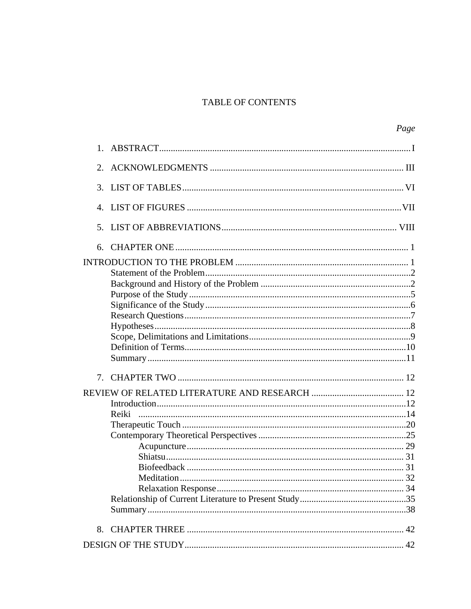## TABLE OF CONTENTS

|                             | Page  |
|-----------------------------|-------|
| $1_{-}$                     |       |
|                             |       |
| $\mathcal{F}_{\mathcal{L}}$ |       |
|                             |       |
| 5.                          |       |
|                             |       |
|                             |       |
|                             |       |
|                             |       |
|                             |       |
|                             |       |
|                             |       |
|                             |       |
|                             |       |
|                             |       |
|                             |       |
|                             |       |
|                             |       |
|                             |       |
|                             | Reiki |
|                             |       |
|                             |       |
|                             |       |
|                             |       |
|                             |       |
|                             |       |
|                             |       |
|                             |       |
|                             |       |
|                             |       |
|                             |       |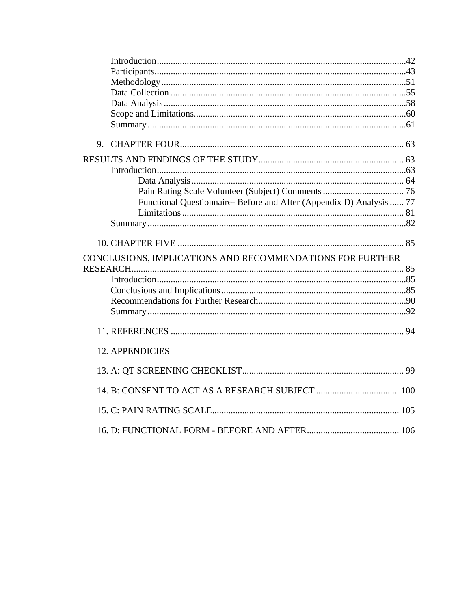|                        | Functional Questionnaire- Before and After (Appendix D) Analysis  77 |  |
|------------------------|----------------------------------------------------------------------|--|
|                        |                                                                      |  |
|                        |                                                                      |  |
|                        |                                                                      |  |
|                        | CONCLUSIONS, IMPLICATIONS AND RECOMMENDATIONS FOR FURTHER            |  |
|                        |                                                                      |  |
|                        |                                                                      |  |
|                        |                                                                      |  |
|                        |                                                                      |  |
|                        |                                                                      |  |
|                        |                                                                      |  |
| <b>12. APPENDICIES</b> |                                                                      |  |
|                        |                                                                      |  |
|                        |                                                                      |  |
|                        |                                                                      |  |
|                        |                                                                      |  |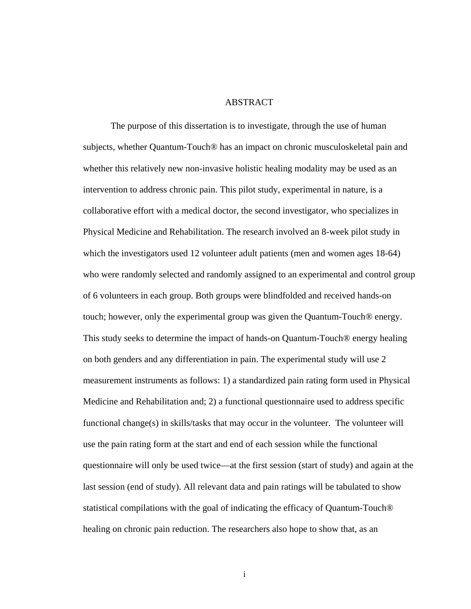#### ABSTRACT

The purpose of this dissertation is to investigate, through the use of human subjects, whether Quantum-Touch® has an impact on chronic musculoskeletal pain and whether this relatively new non-invasive holistic healing modality may be used as an intervention to address chronic pain. This pilot study, experimental in nature, is a collaborative effort with a medical doctor, the second investigator, who specializes in Physical Medicine and Rehabilitation. The research involved an 8-week pilot study in which the investigators used 12 volunteer adult patients (men and women ages 18-64) who were randomly selected and randomly assigned to an experimental and control group of 6 volunteers in each group. Both groups were blindfolded and received hands-on touch; however, only the experimental group was given the Quantum-Touch® energy. This study seeks to determine the impact of hands-on Quantum-Touch® energy healing on both genders and any differentiation in pain. The experimental study will use 2 measurement instruments as follows: 1) a standardized pain rating form used in Physical Medicine and Rehabilitation and; 2) a functional questionnaire used to address specific functional change(s) in skills/tasks that may occur in the volunteer. The volunteer will use the pain rating form at the start and end of each session while the functional questionnaire will only be used twice—at the first session (start of study) and again at the last session (end of study). All relevant data and pain ratings will be tabulated to show statistical compilations with the goal of indicating the efficacy of Quantum-Touch® healing on chronic pain reduction. The researchers also hope to show that, as an

i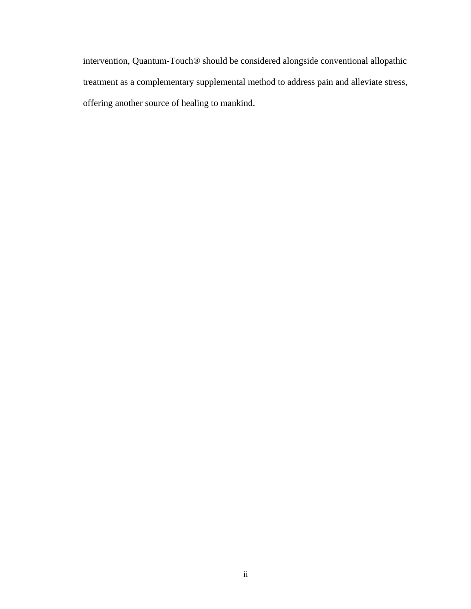intervention, Quantum-Touch® should be considered alongside conventional allopathic treatment as a complementary supplemental method to address pain and alleviate stress, offering another source of healing to mankind.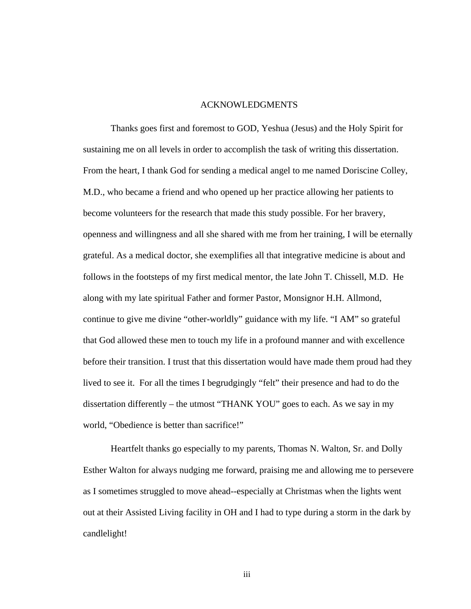#### ACKNOWLEDGMENTS

Thanks goes first and foremost to GOD, Yeshua (Jesus) and the Holy Spirit for sustaining me on all levels in order to accomplish the task of writing this dissertation. From the heart, I thank God for sending a medical angel to me named Doriscine Colley, M.D., who became a friend and who opened up her practice allowing her patients to become volunteers for the research that made this study possible. For her bravery, openness and willingness and all she shared with me from her training, I will be eternally grateful. As a medical doctor, she exemplifies all that integrative medicine is about and follows in the footsteps of my first medical mentor, the late John T. Chissell, M.D. He along with my late spiritual Father and former Pastor, Monsignor H.H. Allmond, continue to give me divine "other-worldly" guidance with my life. "I AM" so grateful that God allowed these men to touch my life in a profound manner and with excellence before their transition. I trust that this dissertation would have made them proud had they lived to see it. For all the times I begrudgingly "felt" their presence and had to do the dissertation differently – the utmost "THANK YOU" goes to each. As we say in my world, "Obedience is better than sacrifice!"

Heartfelt thanks go especially to my parents, Thomas N. Walton, Sr. and Dolly Esther Walton for always nudging me forward, praising me and allowing me to persevere as I sometimes struggled to move ahead--especially at Christmas when the lights went out at their Assisted Living facility in OH and I had to type during a storm in the dark by candlelight!

iii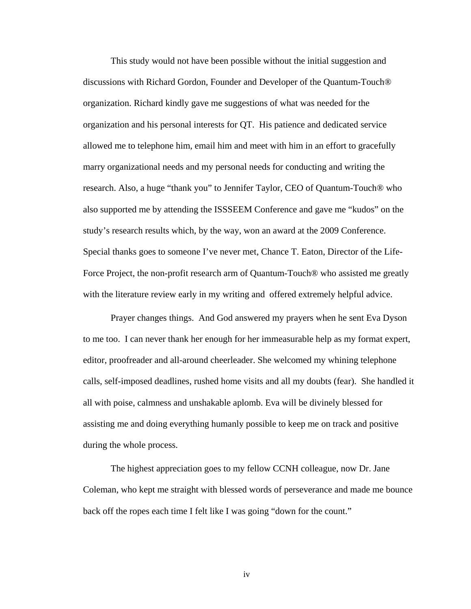This study would not have been possible without the initial suggestion and discussions with Richard Gordon, Founder and Developer of the Quantum-Touch® organization. Richard kindly gave me suggestions of what was needed for the organization and his personal interests for QT. His patience and dedicated service allowed me to telephone him, email him and meet with him in an effort to gracefully marry organizational needs and my personal needs for conducting and writing the research. Also, a huge "thank you" to Jennifer Taylor, CEO of Quantum-Touch® who also supported me by attending the ISSSEEM Conference and gave me "kudos" on the study's research results which, by the way, won an award at the 2009 Conference. Special thanks goes to someone I've never met, Chance T. Eaton, Director of the Life-Force Project, the non-profit research arm of Quantum-Touch® who assisted me greatly with the literature review early in my writing and offered extremely helpful advice.

Prayer changes things. And God answered my prayers when he sent Eva Dyson to me too. I can never thank her enough for her immeasurable help as my format expert, editor, proofreader and all-around cheerleader. She welcomed my whining telephone calls, self-imposed deadlines, rushed home visits and all my doubts (fear). She handled it all with poise, calmness and unshakable aplomb. Eva will be divinely blessed for assisting me and doing everything humanly possible to keep me on track and positive during the whole process.

The highest appreciation goes to my fellow CCNH colleague, now Dr. Jane Coleman, who kept me straight with blessed words of perseverance and made me bounce back off the ropes each time I felt like I was going "down for the count."

iv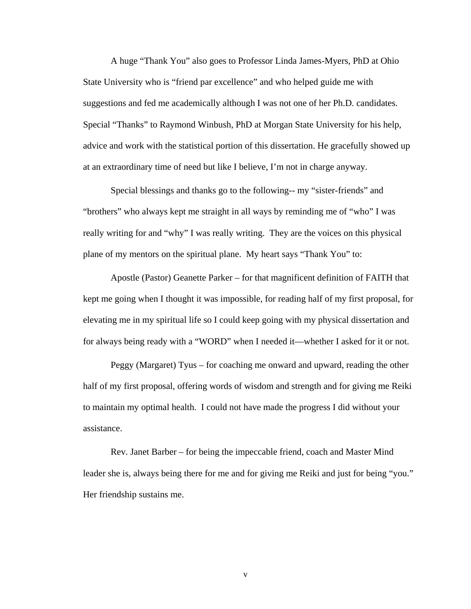A huge "Thank You" also goes to Professor Linda James-Myers, PhD at Ohio State University who is "friend par excellence" and who helped guide me with suggestions and fed me academically although I was not one of her Ph.D. candidates. Special "Thanks" to Raymond Winbush, PhD at Morgan State University for his help, advice and work with the statistical portion of this dissertation. He gracefully showed up at an extraordinary time of need but like I believe, I'm not in charge anyway.

Special blessings and thanks go to the following-- my "sister-friends" and "brothers" who always kept me straight in all ways by reminding me of "who" I was really writing for and "why" I was really writing. They are the voices on this physical plane of my mentors on the spiritual plane. My heart says "Thank You" to:

Apostle (Pastor) Geanette Parker – for that magnificent definition of FAITH that kept me going when I thought it was impossible, for reading half of my first proposal, for elevating me in my spiritual life so I could keep going with my physical dissertation and for always being ready with a "WORD" when I needed it—whether I asked for it or not.

Peggy (Margaret) Tyus – for coaching me onward and upward, reading the other half of my first proposal, offering words of wisdom and strength and for giving me Reiki to maintain my optimal health. I could not have made the progress I did without your assistance.

Rev. Janet Barber – for being the impeccable friend, coach and Master Mind leader she is, always being there for me and for giving me Reiki and just for being "you." Her friendship sustains me.

v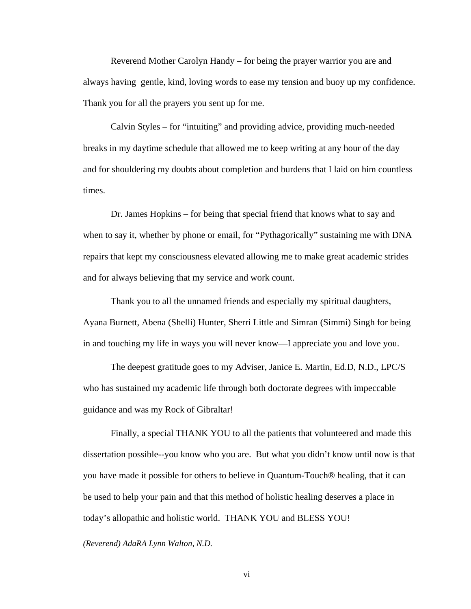Reverend Mother Carolyn Handy – for being the prayer warrior you are and always having gentle, kind, loving words to ease my tension and buoy up my confidence. Thank you for all the prayers you sent up for me.

Calvin Styles – for "intuiting" and providing advice, providing much-needed breaks in my daytime schedule that allowed me to keep writing at any hour of the day and for shouldering my doubts about completion and burdens that I laid on him countless times.

Dr. James Hopkins – for being that special friend that knows what to say and when to say it, whether by phone or email, for "Pythagorically" sustaining me with DNA repairs that kept my consciousness elevated allowing me to make great academic strides and for always believing that my service and work count.

Thank you to all the unnamed friends and especially my spiritual daughters, Ayana Burnett, Abena (Shelli) Hunter, Sherri Little and Simran (Simmi) Singh for being in and touching my life in ways you will never know—I appreciate you and love you.

The deepest gratitude goes to my Adviser, Janice E. Martin, Ed.D, N.D., LPC/S who has sustained my academic life through both doctorate degrees with impeccable guidance and was my Rock of Gibraltar!

Finally, a special THANK YOU to all the patients that volunteered and made this dissertation possible--you know who you are. But what you didn't know until now is that you have made it possible for others to believe in Quantum-Touch® healing, that it can be used to help your pain and that this method of holistic healing deserves a place in today's allopathic and holistic world. THANK YOU and BLESS YOU!

*(Reverend) AdaRA Lynn Walton, N.D.*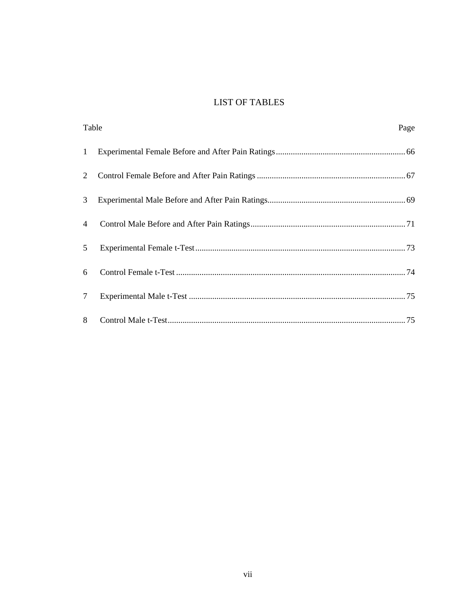## **LIST OF TABLES**

| Table          |  | Page |
|----------------|--|------|
| $\mathbf{1}$   |  |      |
| 2              |  |      |
| 3              |  |      |
| $\overline{4}$ |  |      |
| 5              |  |      |
| 6              |  |      |
| $\tau$         |  |      |
| 8              |  |      |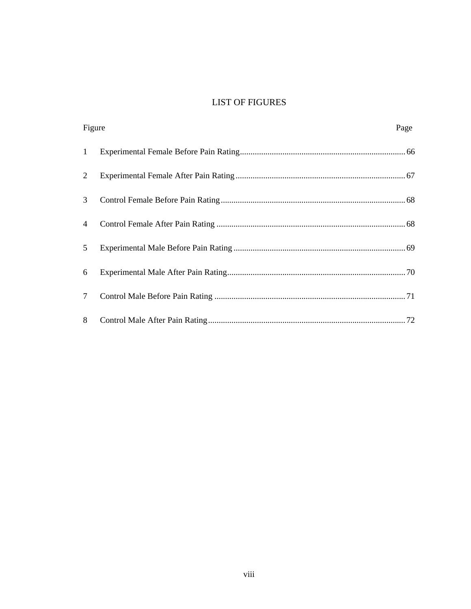## **LIST OF FIGURES**

| Figure          | Page |
|-----------------|------|
| $\mathbf{1}$    |      |
| 2               |      |
| 3               |      |
| 4               |      |
| 5               |      |
| 6               |      |
| $7\overline{ }$ |      |
| 8               |      |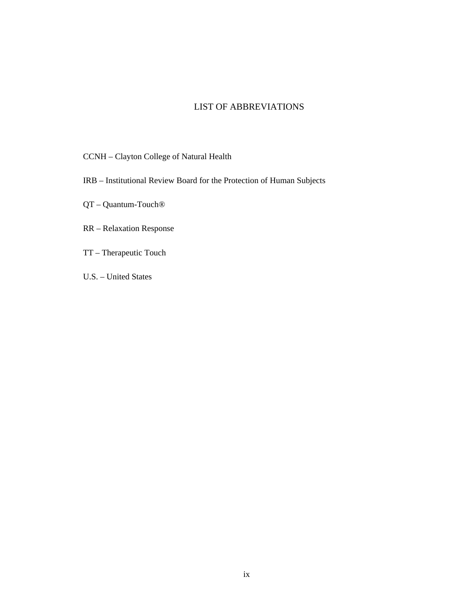## LIST OF ABBREVIATIONS

CCNH – Clayton College of Natural Health

IRB – Institutional Review Board for the Protection of Human Subjects

QT – Quantum-Touch®

RR – Relaxation Response

TT – Therapeutic Touch

U.S. – United States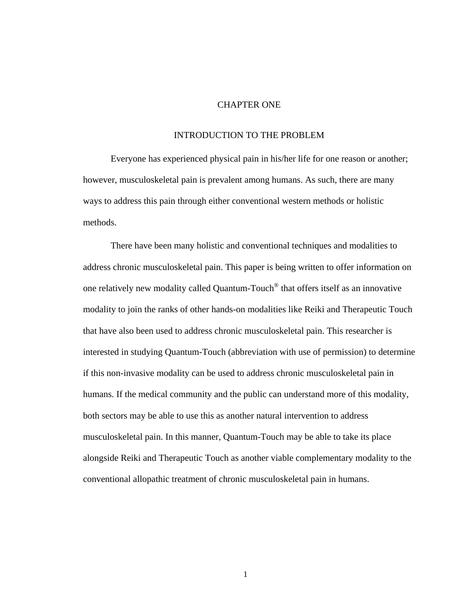#### CHAPTER ONE

## INTRODUCTION TO THE PROBLEM

Everyone has experienced physical pain in his/her life for one reason or another; however, musculoskeletal pain is prevalent among humans. As such, there are many ways to address this pain through either conventional western methods or holistic methods.

There have been many holistic and conventional techniques and modalities to address chronic musculoskeletal pain. This paper is being written to offer information on one relatively new modality called Quantum-Touch® that offers itself as an innovative modality to join the ranks of other hands-on modalities like Reiki and Therapeutic Touch that have also been used to address chronic musculoskeletal pain. This researcher is interested in studying Quantum-Touch (abbreviation with use of permission) to determine if this non-invasive modality can be used to address chronic musculoskeletal pain in humans. If the medical community and the public can understand more of this modality, both sectors may be able to use this as another natural intervention to address musculoskeletal pain. In this manner, Quantum-Touch may be able to take its place alongside Reiki and Therapeutic Touch as another viable complementary modality to the conventional allopathic treatment of chronic musculoskeletal pain in humans.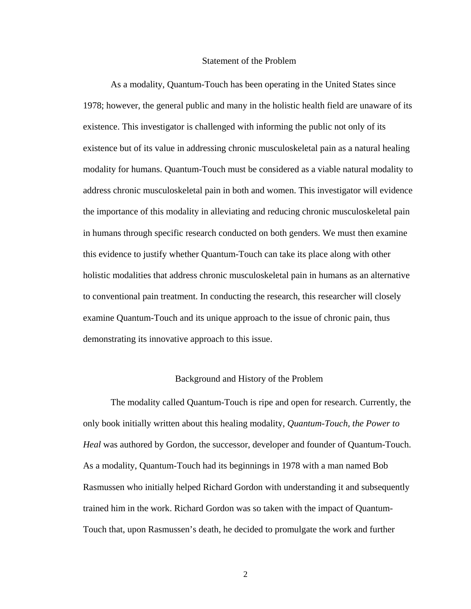#### Statement of the Problem

As a modality, Quantum-Touch has been operating in the United States since 1978; however, the general public and many in the holistic health field are unaware of its existence. This investigator is challenged with informing the public not only of its existence but of its value in addressing chronic musculoskeletal pain as a natural healing modality for humans. Quantum-Touch must be considered as a viable natural modality to address chronic musculoskeletal pain in both and women. This investigator will evidence the importance of this modality in alleviating and reducing chronic musculoskeletal pain in humans through specific research conducted on both genders. We must then examine this evidence to justify whether Quantum-Touch can take its place along with other holistic modalities that address chronic musculoskeletal pain in humans as an alternative to conventional pain treatment. In conducting the research, this researcher will closely examine Quantum-Touch and its unique approach to the issue of chronic pain, thus demonstrating its innovative approach to this issue.

#### Background and History of the Problem

The modality called Quantum-Touch is ripe and open for research. Currently, the only book initially written about this healing modality, *Quantum-Touch, the Power to Heal* was authored by Gordon, the successor, developer and founder of Quantum-Touch. As a modality, Quantum-Touch had its beginnings in 1978 with a man named Bob Rasmussen who initially helped Richard Gordon with understanding it and subsequently trained him in the work. Richard Gordon was so taken with the impact of Quantum-Touch that, upon Rasmussen's death, he decided to promulgate the work and further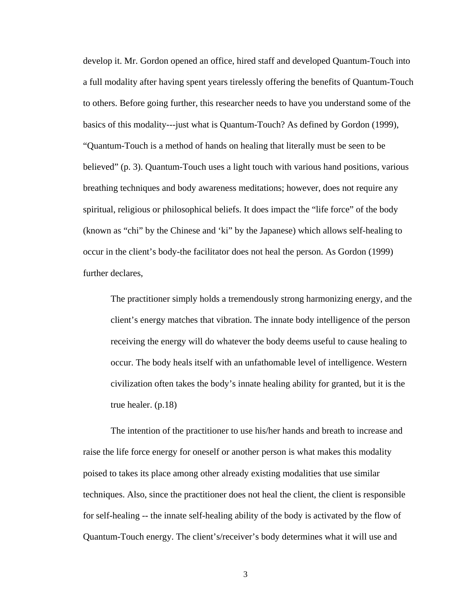develop it. Mr. Gordon opened an office, hired staff and developed Quantum-Touch into a full modality after having spent years tirelessly offering the benefits of Quantum-Touch to others. Before going further, this researcher needs to have you understand some of the basics of this modality---just what is Quantum-Touch? As defined by Gordon (1999), "Quantum-Touch is a method of hands on healing that literally must be seen to be believed" (p. 3). Quantum-Touch uses a light touch with various hand positions, various breathing techniques and body awareness meditations; however, does not require any spiritual, religious or philosophical beliefs. It does impact the "life force" of the body (known as "chi" by the Chinese and 'ki" by the Japanese) which allows self-healing to occur in the client's body-the facilitator does not heal the person. As Gordon (1999) further declares,

The practitioner simply holds a tremendously strong harmonizing energy, and the client's energy matches that vibration. The innate body intelligence of the person receiving the energy will do whatever the body deems useful to cause healing to occur. The body heals itself with an unfathomable level of intelligence. Western civilization often takes the body's innate healing ability for granted, but it is the true healer. (p.18)

The intention of the practitioner to use his/her hands and breath to increase and raise the life force energy for oneself or another person is what makes this modality poised to takes its place among other already existing modalities that use similar techniques. Also, since the practitioner does not heal the client, the client is responsible for self-healing -- the innate self-healing ability of the body is activated by the flow of Quantum-Touch energy. The client's/receiver's body determines what it will use and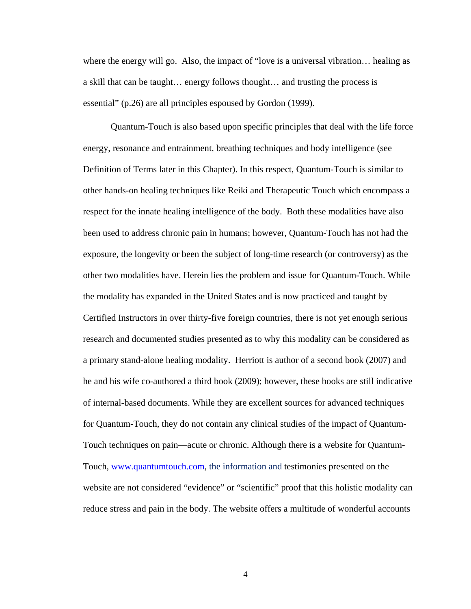where the energy will go. Also, the impact of "love is a universal vibration... healing as a skill that can be taught… energy follows thought… and trusting the process is essential" (p.26) are all principles espoused by Gordon (1999).

Quantum-Touch is also based upon specific principles that deal with the life force energy, resonance and entrainment, breathing techniques and body intelligence (see Definition of Terms later in this Chapter). In this respect, Quantum-Touch is similar to other hands-on healing techniques like Reiki and Therapeutic Touch which encompass a respect for the innate healing intelligence of the body. Both these modalities have also been used to address chronic pain in humans; however, Quantum-Touch has not had the exposure, the longevity or been the subject of long-time research (or controversy) as the other two modalities have. Herein lies the problem and issue for Quantum-Touch. While the modality has expanded in the United States and is now practiced and taught by Certified Instructors in over thirty-five foreign countries, there is not yet enough serious research and documented studies presented as to why this modality can be considered as a primary stand-alone healing modality. Herriott is author of a second book (2007) and he and his wife co-authored a third book (2009); however, these books are still indicative of internal-based documents. While they are excellent sources for advanced techniques for Quantum-Touch, they do not contain any clinical studies of the impact of Quantum-Touch techniques on pain—acute or chronic. Although there is a website for Quantum-Touch, www.quantumtouch.com, the information and testimonies presented on the website are not considered "evidence" or "scientific" proof that this holistic modality can reduce stress and pain in the body. The website offers a multitude of wonderful accounts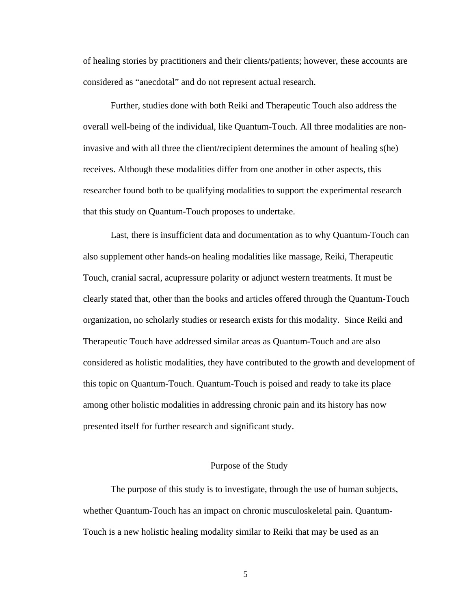of healing stories by practitioners and their clients/patients; however, these accounts are considered as "anecdotal" and do not represent actual research.

Further, studies done with both Reiki and Therapeutic Touch also address the overall well-being of the individual, like Quantum-Touch. All three modalities are noninvasive and with all three the client/recipient determines the amount of healing s(he) receives. Although these modalities differ from one another in other aspects, this researcher found both to be qualifying modalities to support the experimental research that this study on Quantum-Touch proposes to undertake.

Last, there is insufficient data and documentation as to why Quantum-Touch can also supplement other hands-on healing modalities like massage, Reiki, Therapeutic Touch, cranial sacral, acupressure polarity or adjunct western treatments. It must be clearly stated that, other than the books and articles offered through the Quantum-Touch organization, no scholarly studies or research exists for this modality. Since Reiki and Therapeutic Touch have addressed similar areas as Quantum-Touch and are also considered as holistic modalities, they have contributed to the growth and development of this topic on Quantum-Touch. Quantum-Touch is poised and ready to take its place among other holistic modalities in addressing chronic pain and its history has now presented itself for further research and significant study.

#### Purpose of the Study

The purpose of this study is to investigate, through the use of human subjects, whether Quantum-Touch has an impact on chronic musculoskeletal pain. Quantum-Touch is a new holistic healing modality similar to Reiki that may be used as an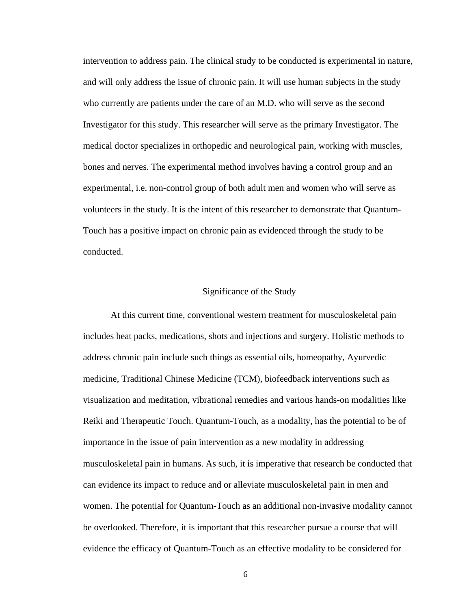intervention to address pain. The clinical study to be conducted is experimental in nature, and will only address the issue of chronic pain. It will use human subjects in the study who currently are patients under the care of an M.D. who will serve as the second Investigator for this study. This researcher will serve as the primary Investigator. The medical doctor specializes in orthopedic and neurological pain, working with muscles, bones and nerves. The experimental method involves having a control group and an experimental, i.e. non-control group of both adult men and women who will serve as volunteers in the study. It is the intent of this researcher to demonstrate that Quantum-Touch has a positive impact on chronic pain as evidenced through the study to be conducted.

#### Significance of the Study

At this current time, conventional western treatment for musculoskeletal pain includes heat packs, medications, shots and injections and surgery. Holistic methods to address chronic pain include such things as essential oils, homeopathy, Ayurvedic medicine, Traditional Chinese Medicine (TCM), biofeedback interventions such as visualization and meditation, vibrational remedies and various hands-on modalities like Reiki and Therapeutic Touch. Quantum-Touch, as a modality, has the potential to be of importance in the issue of pain intervention as a new modality in addressing musculoskeletal pain in humans. As such, it is imperative that research be conducted that can evidence its impact to reduce and or alleviate musculoskeletal pain in men and women. The potential for Quantum-Touch as an additional non-invasive modality cannot be overlooked. Therefore, it is important that this researcher pursue a course that will evidence the efficacy of Quantum-Touch as an effective modality to be considered for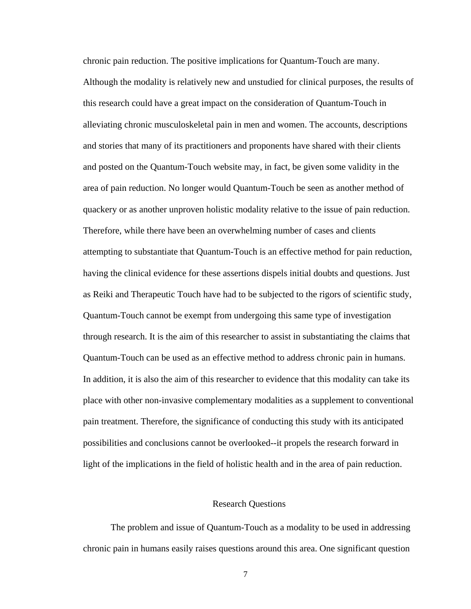chronic pain reduction. The positive implications for Quantum-Touch are many. Although the modality is relatively new and unstudied for clinical purposes, the results of this research could have a great impact on the consideration of Quantum-Touch in alleviating chronic musculoskeletal pain in men and women. The accounts, descriptions and stories that many of its practitioners and proponents have shared with their clients and posted on the Quantum-Touch website may, in fact, be given some validity in the area of pain reduction. No longer would Quantum-Touch be seen as another method of quackery or as another unproven holistic modality relative to the issue of pain reduction. Therefore, while there have been an overwhelming number of cases and clients attempting to substantiate that Quantum-Touch is an effective method for pain reduction, having the clinical evidence for these assertions dispels initial doubts and questions. Just as Reiki and Therapeutic Touch have had to be subjected to the rigors of scientific study, Quantum-Touch cannot be exempt from undergoing this same type of investigation through research. It is the aim of this researcher to assist in substantiating the claims that Quantum-Touch can be used as an effective method to address chronic pain in humans. In addition, it is also the aim of this researcher to evidence that this modality can take its place with other non-invasive complementary modalities as a supplement to conventional pain treatment. Therefore, the significance of conducting this study with its anticipated possibilities and conclusions cannot be overlooked--it propels the research forward in light of the implications in the field of holistic health and in the area of pain reduction.

### Research Questions

The problem and issue of Quantum-Touch as a modality to be used in addressing chronic pain in humans easily raises questions around this area. One significant question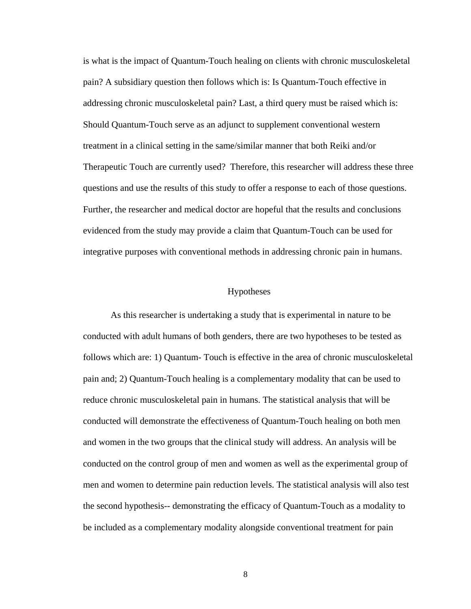is what is the impact of Quantum-Touch healing on clients with chronic musculoskeletal pain? A subsidiary question then follows which is: Is Quantum-Touch effective in addressing chronic musculoskeletal pain? Last, a third query must be raised which is: Should Quantum-Touch serve as an adjunct to supplement conventional western treatment in a clinical setting in the same/similar manner that both Reiki and/or Therapeutic Touch are currently used? Therefore, this researcher will address these three questions and use the results of this study to offer a response to each of those questions. Further, the researcher and medical doctor are hopeful that the results and conclusions evidenced from the study may provide a claim that Quantum-Touch can be used for integrative purposes with conventional methods in addressing chronic pain in humans.

### Hypotheses

As this researcher is undertaking a study that is experimental in nature to be conducted with adult humans of both genders, there are two hypotheses to be tested as follows which are: 1) Quantum- Touch is effective in the area of chronic musculoskeletal pain and; 2) Quantum-Touch healing is a complementary modality that can be used to reduce chronic musculoskeletal pain in humans. The statistical analysis that will be conducted will demonstrate the effectiveness of Quantum-Touch healing on both men and women in the two groups that the clinical study will address. An analysis will be conducted on the control group of men and women as well as the experimental group of men and women to determine pain reduction levels. The statistical analysis will also test the second hypothesis-- demonstrating the efficacy of Quantum-Touch as a modality to be included as a complementary modality alongside conventional treatment for pain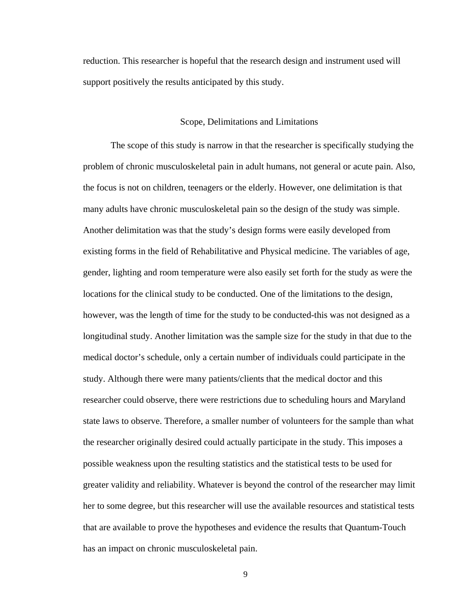reduction. This researcher is hopeful that the research design and instrument used will support positively the results anticipated by this study.

#### Scope, Delimitations and Limitations

The scope of this study is narrow in that the researcher is specifically studying the problem of chronic musculoskeletal pain in adult humans, not general or acute pain. Also, the focus is not on children, teenagers or the elderly. However, one delimitation is that many adults have chronic musculoskeletal pain so the design of the study was simple. Another delimitation was that the study's design forms were easily developed from existing forms in the field of Rehabilitative and Physical medicine. The variables of age, gender, lighting and room temperature were also easily set forth for the study as were the locations for the clinical study to be conducted. One of the limitations to the design, however, was the length of time for the study to be conducted-this was not designed as a longitudinal study. Another limitation was the sample size for the study in that due to the medical doctor's schedule, only a certain number of individuals could participate in the study. Although there were many patients/clients that the medical doctor and this researcher could observe, there were restrictions due to scheduling hours and Maryland state laws to observe. Therefore, a smaller number of volunteers for the sample than what the researcher originally desired could actually participate in the study. This imposes a possible weakness upon the resulting statistics and the statistical tests to be used for greater validity and reliability. Whatever is beyond the control of the researcher may limit her to some degree, but this researcher will use the available resources and statistical tests that are available to prove the hypotheses and evidence the results that Quantum-Touch has an impact on chronic musculoskeletal pain.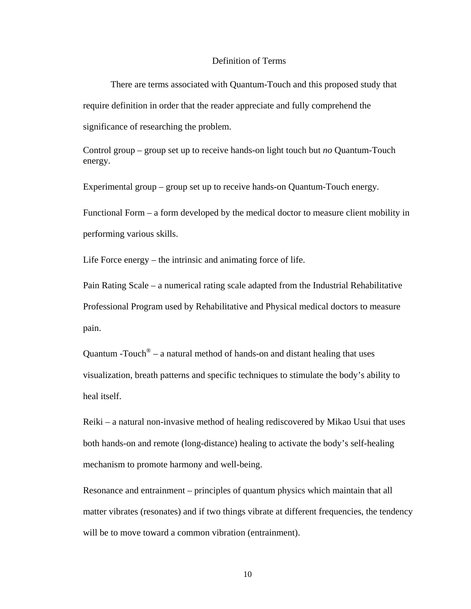#### Definition of Terms

There are terms associated with Quantum-Touch and this proposed study that require definition in order that the reader appreciate and fully comprehend the significance of researching the problem.

Control group – group set up to receive hands-on light touch but *no* Quantum-Touch energy.

Experimental group – group set up to receive hands-on Quantum-Touch energy.

Functional Form – a form developed by the medical doctor to measure client mobility in performing various skills.

Life Force energy – the intrinsic and animating force of life.

Pain Rating Scale – a numerical rating scale adapted from the Industrial Rehabilitative Professional Program used by Rehabilitative and Physical medical doctors to measure pain.

Quantum -Touch<sup>®</sup> – a natural method of hands-on and distant healing that uses visualization, breath patterns and specific techniques to stimulate the body's ability to heal itself.

Reiki – a natural non-invasive method of healing rediscovered by Mikao Usui that uses both hands-on and remote (long-distance) healing to activate the body's self-healing mechanism to promote harmony and well-being.

Resonance and entrainment – principles of quantum physics which maintain that all matter vibrates (resonates) and if two things vibrate at different frequencies, the tendency will be to move toward a common vibration (entrainment).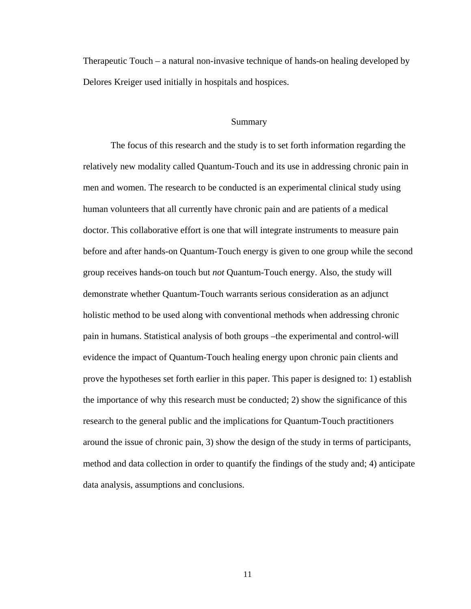Therapeutic Touch – a natural non-invasive technique of hands-on healing developed by Delores Kreiger used initially in hospitals and hospices.

#### Summary

The focus of this research and the study is to set forth information regarding the relatively new modality called Quantum-Touch and its use in addressing chronic pain in men and women. The research to be conducted is an experimental clinical study using human volunteers that all currently have chronic pain and are patients of a medical doctor. This collaborative effort is one that will integrate instruments to measure pain before and after hands-on Quantum-Touch energy is given to one group while the second group receives hands-on touch but *not* Quantum-Touch energy. Also, the study will demonstrate whether Quantum-Touch warrants serious consideration as an adjunct holistic method to be used along with conventional methods when addressing chronic pain in humans. Statistical analysis of both groups –the experimental and control-will evidence the impact of Quantum-Touch healing energy upon chronic pain clients and prove the hypotheses set forth earlier in this paper. This paper is designed to: 1) establish the importance of why this research must be conducted; 2) show the significance of this research to the general public and the implications for Quantum-Touch practitioners around the issue of chronic pain, 3) show the design of the study in terms of participants, method and data collection in order to quantify the findings of the study and; 4) anticipate data analysis, assumptions and conclusions.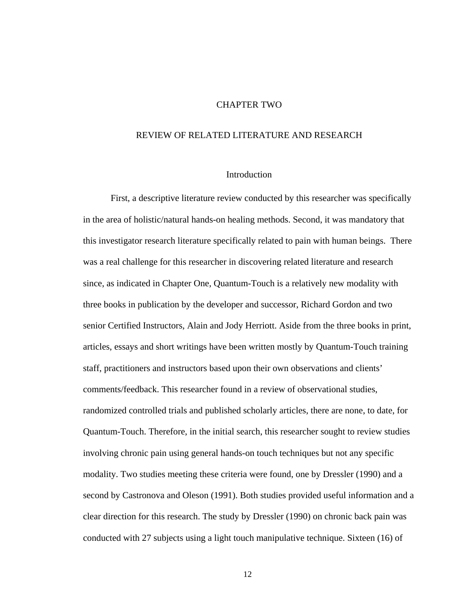#### CHAPTER TWO

### REVIEW OF RELATED LITERATURE AND RESEARCH

#### Introduction

First, a descriptive literature review conducted by this researcher was specifically in the area of holistic/natural hands-on healing methods. Second, it was mandatory that this investigator research literature specifically related to pain with human beings. There was a real challenge for this researcher in discovering related literature and research since, as indicated in Chapter One, Quantum-Touch is a relatively new modality with three books in publication by the developer and successor, Richard Gordon and two senior Certified Instructors, Alain and Jody Herriott. Aside from the three books in print, articles, essays and short writings have been written mostly by Quantum-Touch training staff, practitioners and instructors based upon their own observations and clients' comments/feedback. This researcher found in a review of observational studies, randomized controlled trials and published scholarly articles, there are none, to date, for Quantum-Touch. Therefore, in the initial search, this researcher sought to review studies involving chronic pain using general hands-on touch techniques but not any specific modality. Two studies meeting these criteria were found, one by Dressler (1990) and a second by Castronova and Oleson (1991). Both studies provided useful information and a clear direction for this research. The study by Dressler (1990) on chronic back pain was conducted with 27 subjects using a light touch manipulative technique. Sixteen (16) of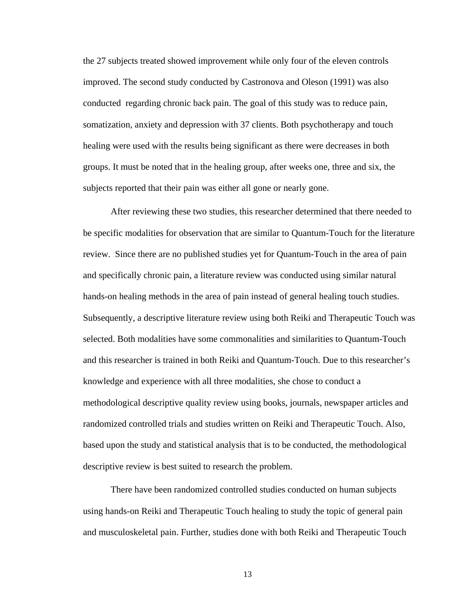the 27 subjects treated showed improvement while only four of the eleven controls improved. The second study conducted by Castronova and Oleson (1991) was also conducted regarding chronic back pain. The goal of this study was to reduce pain, somatization, anxiety and depression with 37 clients. Both psychotherapy and touch healing were used with the results being significant as there were decreases in both groups. It must be noted that in the healing group, after weeks one, three and six, the subjects reported that their pain was either all gone or nearly gone.

After reviewing these two studies, this researcher determined that there needed to be specific modalities for observation that are similar to Quantum-Touch for the literature review. Since there are no published studies yet for Quantum-Touch in the area of pain and specifically chronic pain, a literature review was conducted using similar natural hands-on healing methods in the area of pain instead of general healing touch studies. Subsequently, a descriptive literature review using both Reiki and Therapeutic Touch was selected. Both modalities have some commonalities and similarities to Quantum-Touch and this researcher is trained in both Reiki and Quantum-Touch. Due to this researcher's knowledge and experience with all three modalities, she chose to conduct a methodological descriptive quality review using books, journals, newspaper articles and randomized controlled trials and studies written on Reiki and Therapeutic Touch. Also, based upon the study and statistical analysis that is to be conducted, the methodological descriptive review is best suited to research the problem.

There have been randomized controlled studies conducted on human subjects using hands-on Reiki and Therapeutic Touch healing to study the topic of general pain and musculoskeletal pain. Further, studies done with both Reiki and Therapeutic Touch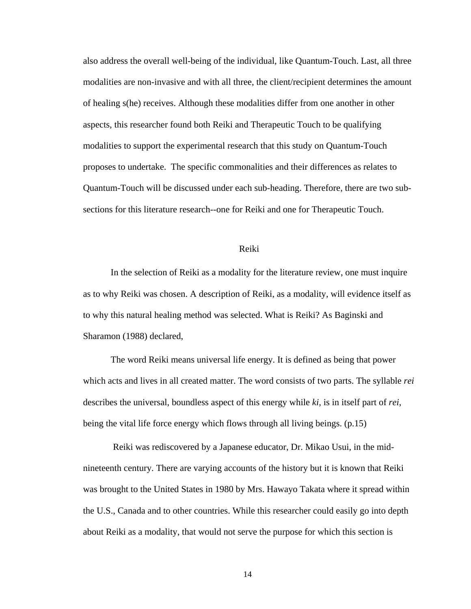also address the overall well-being of the individual, like Quantum-Touch. Last, all three modalities are non-invasive and with all three, the client/recipient determines the amount of healing s(he) receives. Although these modalities differ from one another in other aspects, this researcher found both Reiki and Therapeutic Touch to be qualifying modalities to support the experimental research that this study on Quantum-Touch proposes to undertake. The specific commonalities and their differences as relates to Quantum-Touch will be discussed under each sub-heading. Therefore, there are two subsections for this literature research--one for Reiki and one for Therapeutic Touch.

#### Reiki

In the selection of Reiki as a modality for the literature review, one must inquire as to why Reiki was chosen. A description of Reiki, as a modality, will evidence itself as to why this natural healing method was selected. What is Reiki? As Baginski and Sharamon (1988) declared,

The word Reiki means universal life energy. It is defined as being that power which acts and lives in all created matter. The word consists of two parts. The syllable *rei* describes the universal, boundless aspect of this energy while *ki,* is in itself part of *rei*, being the vital life force energy which flows through all living beings. (p.15)

 Reiki was rediscovered by a Japanese educator, Dr. Mikao Usui, in the midnineteenth century. There are varying accounts of the history but it is known that Reiki was brought to the United States in 1980 by Mrs. Hawayo Takata where it spread within the U.S., Canada and to other countries. While this researcher could easily go into depth about Reiki as a modality, that would not serve the purpose for which this section is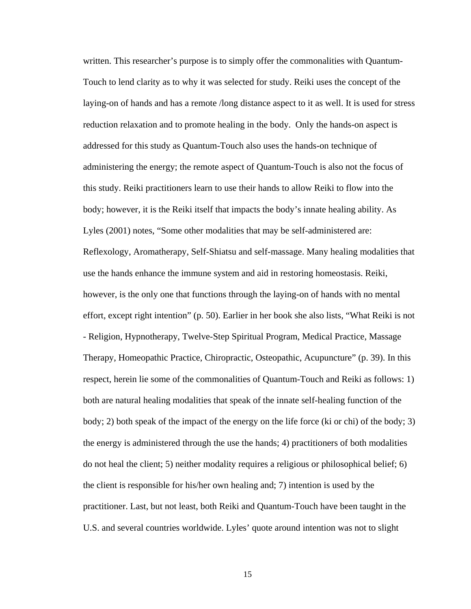written. This researcher's purpose is to simply offer the commonalities with Quantum-Touch to lend clarity as to why it was selected for study. Reiki uses the concept of the laying-on of hands and has a remote /long distance aspect to it as well. It is used for stress reduction relaxation and to promote healing in the body. Only the hands-on aspect is addressed for this study as Quantum-Touch also uses the hands-on technique of administering the energy; the remote aspect of Quantum-Touch is also not the focus of this study. Reiki practitioners learn to use their hands to allow Reiki to flow into the body; however, it is the Reiki itself that impacts the body's innate healing ability. As Lyles (2001) notes, "Some other modalities that may be self-administered are: Reflexology, Aromatherapy, Self-Shiatsu and self-massage. Many healing modalities that use the hands enhance the immune system and aid in restoring homeostasis. Reiki, however, is the only one that functions through the laying-on of hands with no mental effort, except right intention" (p. 50). Earlier in her book she also lists, "What Reiki is not - Religion, Hypnotherapy, Twelve-Step Spiritual Program, Medical Practice, Massage Therapy, Homeopathic Practice, Chiropractic, Osteopathic, Acupuncture" (p. 39). In this respect, herein lie some of the commonalities of Quantum-Touch and Reiki as follows: 1) both are natural healing modalities that speak of the innate self-healing function of the body; 2) both speak of the impact of the energy on the life force (ki or chi) of the body; 3) the energy is administered through the use the hands; 4) practitioners of both modalities do not heal the client; 5) neither modality requires a religious or philosophical belief; 6) the client is responsible for his/her own healing and; 7) intention is used by the practitioner. Last, but not least, both Reiki and Quantum-Touch have been taught in the U.S. and several countries worldwide. Lyles' quote around intention was not to slight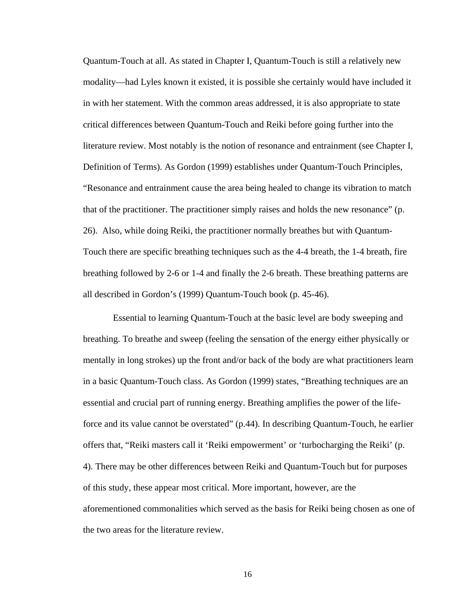Quantum-Touch at all. As stated in Chapter I, Quantum-Touch is still a relatively new modality—had Lyles known it existed, it is possible she certainly would have included it in with her statement. With the common areas addressed, it is also appropriate to state critical differences between Quantum-Touch and Reiki before going further into the literature review. Most notably is the notion of resonance and entrainment (see Chapter I, Definition of Terms). As Gordon (1999) establishes under Quantum-Touch Principles, "Resonance and entrainment cause the area being healed to change its vibration to match that of the practitioner. The practitioner simply raises and holds the new resonance" (p. 26). Also, while doing Reiki, the practitioner normally breathes but with Quantum-Touch there are specific breathing techniques such as the 4-4 breath, the 1-4 breath, fire breathing followed by 2-6 or 1-4 and finally the 2-6 breath. These breathing patterns are all described in Gordon's (1999) Quantum-Touch book (p. 45-46).

 Essential to learning Quantum-Touch at the basic level are body sweeping and breathing. To breathe and sweep (feeling the sensation of the energy either physically or mentally in long strokes) up the front and/or back of the body are what practitioners learn in a basic Quantum-Touch class. As Gordon (1999) states, "Breathing techniques are an essential and crucial part of running energy. Breathing amplifies the power of the lifeforce and its value cannot be overstated" (p.44). In describing Quantum-Touch, he earlier offers that, "Reiki masters call it 'Reiki empowerment' or 'turbocharging the Reiki' (p. 4). There may be other differences between Reiki and Quantum-Touch but for purposes of this study, these appear most critical. More important, however, are the aforementioned commonalities which served as the basis for Reiki being chosen as one of the two areas for the literature review.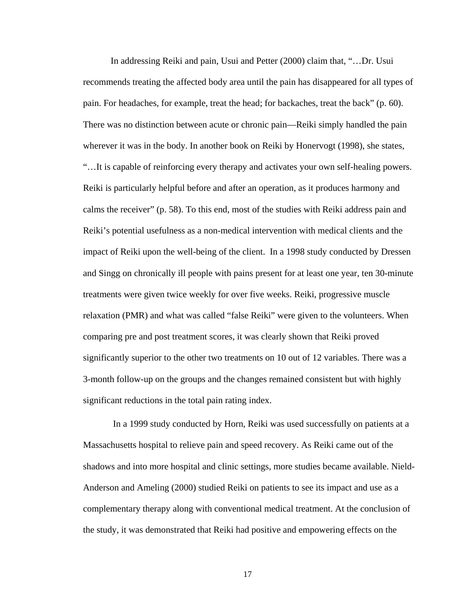In addressing Reiki and pain, Usui and Petter (2000) claim that, "…Dr. Usui recommends treating the affected body area until the pain has disappeared for all types of pain. For headaches, for example, treat the head; for backaches, treat the back" (p. 60). There was no distinction between acute or chronic pain—Reiki simply handled the pain wherever it was in the body. In another book on Reiki by Honervogt (1998), she states, "…It is capable of reinforcing every therapy and activates your own self-healing powers. Reiki is particularly helpful before and after an operation, as it produces harmony and calms the receiver" (p. 58). To this end, most of the studies with Reiki address pain and Reiki's potential usefulness as a non-medical intervention with medical clients and the impact of Reiki upon the well-being of the client. In a 1998 study conducted by Dressen and Singg on chronically ill people with pains present for at least one year, ten 30-minute treatments were given twice weekly for over five weeks. Reiki, progressive muscle relaxation (PMR) and what was called "false Reiki" were given to the volunteers. When comparing pre and post treatment scores, it was clearly shown that Reiki proved significantly superior to the other two treatments on 10 out of 12 variables. There was a 3-month follow-up on the groups and the changes remained consistent but with highly significant reductions in the total pain rating index.

 In a 1999 study conducted by Horn, Reiki was used successfully on patients at a Massachusetts hospital to relieve pain and speed recovery. As Reiki came out of the shadows and into more hospital and clinic settings, more studies became available. Nield-Anderson and Ameling (2000) studied Reiki on patients to see its impact and use as a complementary therapy along with conventional medical treatment. At the conclusion of the study, it was demonstrated that Reiki had positive and empowering effects on the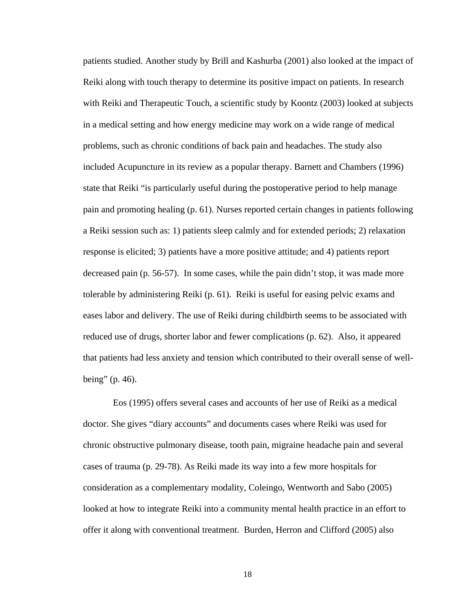patients studied. Another study by Brill and Kashurba (2001) also looked at the impact of Reiki along with touch therapy to determine its positive impact on patients. In research with Reiki and Therapeutic Touch, a scientific study by Koontz (2003) looked at subjects in a medical setting and how energy medicine may work on a wide range of medical problems, such as chronic conditions of back pain and headaches. The study also included Acupuncture in its review as a popular therapy. Barnett and Chambers (1996) state that Reiki "is particularly useful during the postoperative period to help manage pain and promoting healing (p. 61). Nurses reported certain changes in patients following a Reiki session such as: 1) patients sleep calmly and for extended periods; 2) relaxation response is elicited; 3) patients have a more positive attitude; and 4) patients report decreased pain (p. 56-57). In some cases, while the pain didn't stop, it was made more tolerable by administering Reiki (p. 61). Reiki is useful for easing pelvic exams and eases labor and delivery. The use of Reiki during childbirth seems to be associated with reduced use of drugs, shorter labor and fewer complications (p. 62). Also, it appeared that patients had less anxiety and tension which contributed to their overall sense of wellbeing" (p. 46).

 Eos (1995) offers several cases and accounts of her use of Reiki as a medical doctor. She gives "diary accounts" and documents cases where Reiki was used for chronic obstructive pulmonary disease, tooth pain, migraine headache pain and several cases of trauma (p. 29-78). As Reiki made its way into a few more hospitals for consideration as a complementary modality, Coleingo, Wentworth and Sabo (2005) looked at how to integrate Reiki into a community mental health practice in an effort to offer it along with conventional treatment. Burden, Herron and Clifford (2005) also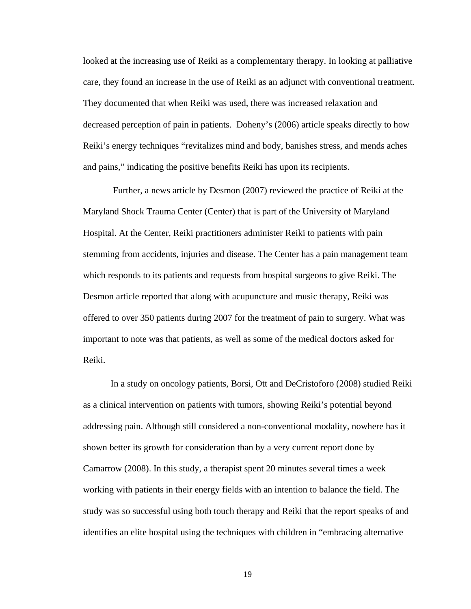looked at the increasing use of Reiki as a complementary therapy. In looking at palliative care, they found an increase in the use of Reiki as an adjunct with conventional treatment. They documented that when Reiki was used, there was increased relaxation and decreased perception of pain in patients. Doheny's (2006) article speaks directly to how Reiki's energy techniques "revitalizes mind and body, banishes stress, and mends aches and pains," indicating the positive benefits Reiki has upon its recipients.

 Further, a news article by Desmon (2007) reviewed the practice of Reiki at the Maryland Shock Trauma Center (Center) that is part of the University of Maryland Hospital. At the Center, Reiki practitioners administer Reiki to patients with pain stemming from accidents, injuries and disease. The Center has a pain management team which responds to its patients and requests from hospital surgeons to give Reiki. The Desmon article reported that along with acupuncture and music therapy, Reiki was offered to over 350 patients during 2007 for the treatment of pain to surgery. What was important to note was that patients, as well as some of the medical doctors asked for Reiki.

In a study on oncology patients, Borsi, Ott and DeCristoforo (2008) studied Reiki as a clinical intervention on patients with tumors, showing Reiki's potential beyond addressing pain. Although still considered a non-conventional modality, nowhere has it shown better its growth for consideration than by a very current report done by Camarrow (2008). In this study, a therapist spent 20 minutes several times a week working with patients in their energy fields with an intention to balance the field. The study was so successful using both touch therapy and Reiki that the report speaks of and identifies an elite hospital using the techniques with children in "embracing alternative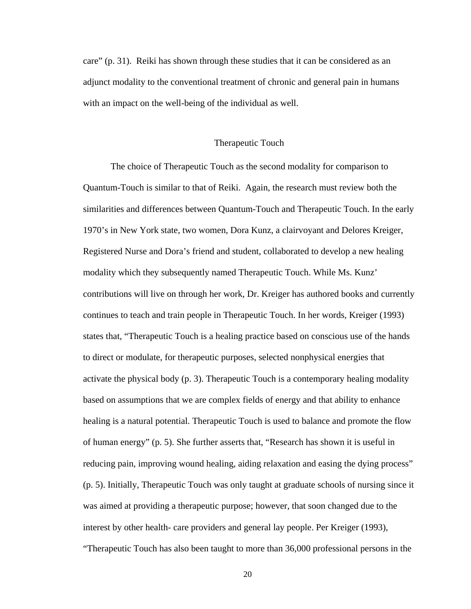care" (p. 31). Reiki has shown through these studies that it can be considered as an adjunct modality to the conventional treatment of chronic and general pain in humans with an impact on the well-being of the individual as well.

#### Therapeutic Touch

The choice of Therapeutic Touch as the second modality for comparison to Quantum-Touch is similar to that of Reiki. Again, the research must review both the similarities and differences between Quantum-Touch and Therapeutic Touch. In the early 1970's in New York state, two women, Dora Kunz, a clairvoyant and Delores Kreiger, Registered Nurse and Dora's friend and student, collaborated to develop a new healing modality which they subsequently named Therapeutic Touch. While Ms. Kunz' contributions will live on through her work, Dr. Kreiger has authored books and currently continues to teach and train people in Therapeutic Touch. In her words, Kreiger (1993) states that, "Therapeutic Touch is a healing practice based on conscious use of the hands to direct or modulate, for therapeutic purposes, selected nonphysical energies that activate the physical body (p. 3). Therapeutic Touch is a contemporary healing modality based on assumptions that we are complex fields of energy and that ability to enhance healing is a natural potential. Therapeutic Touch is used to balance and promote the flow of human energy" (p. 5). She further asserts that, "Research has shown it is useful in reducing pain, improving wound healing, aiding relaxation and easing the dying process" (p. 5). Initially, Therapeutic Touch was only taught at graduate schools of nursing since it was aimed at providing a therapeutic purpose; however, that soon changed due to the interest by other health- care providers and general lay people. Per Kreiger (1993),

"Therapeutic Touch has also been taught to more than 36,000 professional persons in the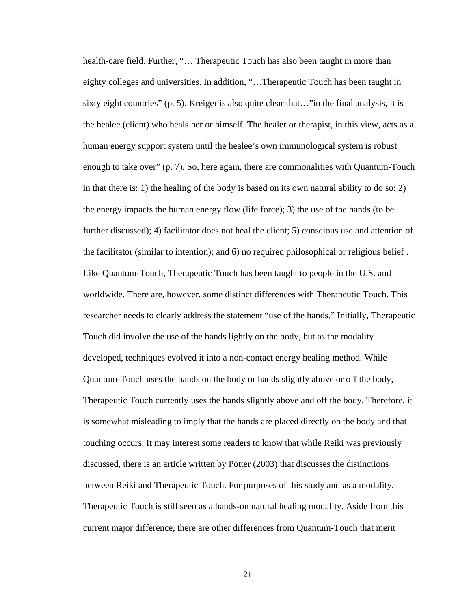health-care field. Further, "... Therapeutic Touch has also been taught in more than eighty colleges and universities. In addition, "…Therapeutic Touch has been taught in sixty eight countries"  $(p, 5)$ . Kreiger is also quite clear that..." in the final analysis, it is the healee (client) who heals her or himself. The healer or therapist, in this view, acts as a human energy support system until the healee's own immunological system is robust enough to take over" (p. 7). So, here again, there are commonalities with Quantum-Touch in that there is: 1) the healing of the body is based on its own natural ability to do so; 2) the energy impacts the human energy flow (life force); 3) the use of the hands (to be further discussed); 4) facilitator does not heal the client; 5) conscious use and attention of the facilitator (similar to intention); and 6) no required philosophical or religious belief . Like Quantum-Touch, Therapeutic Touch has been taught to people in the U.S. and worldwide. There are, however, some distinct differences with Therapeutic Touch. This researcher needs to clearly address the statement "use of the hands." Initially, Therapeutic Touch did involve the use of the hands lightly on the body, but as the modality developed, techniques evolved it into a non-contact energy healing method. While Quantum-Touch uses the hands on the body or hands slightly above or off the body, Therapeutic Touch currently uses the hands slightly above and off the body. Therefore, it is somewhat misleading to imply that the hands are placed directly on the body and that touching occurs. It may interest some readers to know that while Reiki was previously discussed, there is an article written by Potter (2003) that discusses the distinctions between Reiki and Therapeutic Touch. For purposes of this study and as a modality, Therapeutic Touch is still seen as a hands-on natural healing modality. Aside from this current major difference, there are other differences from Quantum-Touch that merit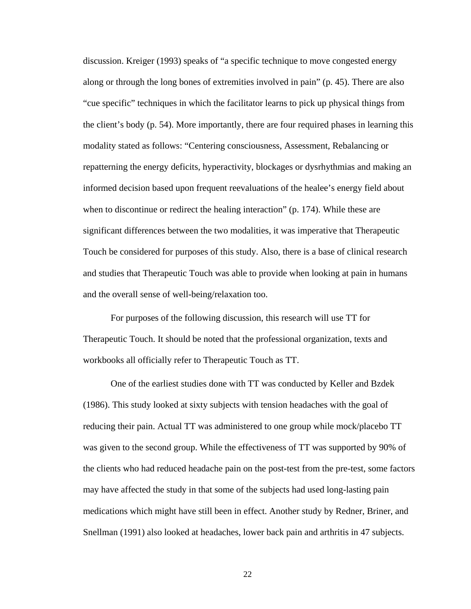discussion. Kreiger (1993) speaks of "a specific technique to move congested energy along or through the long bones of extremities involved in pain" (p. 45). There are also "cue specific" techniques in which the facilitator learns to pick up physical things from the client's body (p. 54). More importantly, there are four required phases in learning this modality stated as follows: "Centering consciousness, Assessment, Rebalancing or repatterning the energy deficits, hyperactivity, blockages or dysrhythmias and making an informed decision based upon frequent reevaluations of the healee's energy field about when to discontinue or redirect the healing interaction" (p. 174). While these are significant differences between the two modalities, it was imperative that Therapeutic Touch be considered for purposes of this study. Also, there is a base of clinical research and studies that Therapeutic Touch was able to provide when looking at pain in humans and the overall sense of well-being/relaxation too.

For purposes of the following discussion, this research will use TT for Therapeutic Touch. It should be noted that the professional organization, texts and workbooks all officially refer to Therapeutic Touch as TT.

One of the earliest studies done with TT was conducted by Keller and Bzdek (1986). This study looked at sixty subjects with tension headaches with the goal of reducing their pain. Actual TT was administered to one group while mock/placebo TT was given to the second group. While the effectiveness of TT was supported by 90% of the clients who had reduced headache pain on the post-test from the pre-test, some factors may have affected the study in that some of the subjects had used long-lasting pain medications which might have still been in effect. Another study by Redner, Briner, and Snellman (1991) also looked at headaches, lower back pain and arthritis in 47 subjects.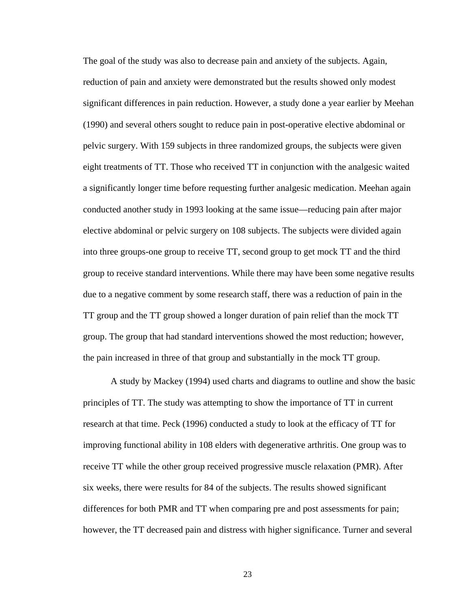The goal of the study was also to decrease pain and anxiety of the subjects. Again, reduction of pain and anxiety were demonstrated but the results showed only modest significant differences in pain reduction. However, a study done a year earlier by Meehan (1990) and several others sought to reduce pain in post-operative elective abdominal or pelvic surgery. With 159 subjects in three randomized groups, the subjects were given eight treatments of TT. Those who received TT in conjunction with the analgesic waited a significantly longer time before requesting further analgesic medication. Meehan again conducted another study in 1993 looking at the same issue—reducing pain after major elective abdominal or pelvic surgery on 108 subjects. The subjects were divided again into three groups-one group to receive TT, second group to get mock TT and the third group to receive standard interventions. While there may have been some negative results due to a negative comment by some research staff, there was a reduction of pain in the TT group and the TT group showed a longer duration of pain relief than the mock TT group. The group that had standard interventions showed the most reduction; however, the pain increased in three of that group and substantially in the mock TT group.

A study by Mackey (1994) used charts and diagrams to outline and show the basic principles of TT. The study was attempting to show the importance of TT in current research at that time. Peck (1996) conducted a study to look at the efficacy of TT for improving functional ability in 108 elders with degenerative arthritis. One group was to receive TT while the other group received progressive muscle relaxation (PMR). After six weeks, there were results for 84 of the subjects. The results showed significant differences for both PMR and TT when comparing pre and post assessments for pain; however, the TT decreased pain and distress with higher significance. Turner and several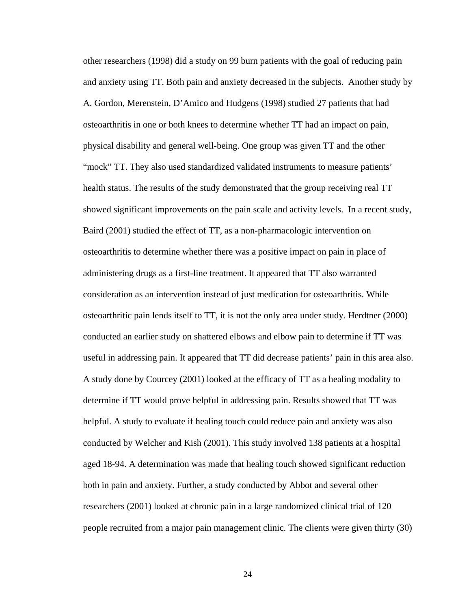other researchers (1998) did a study on 99 burn patients with the goal of reducing pain and anxiety using TT. Both pain and anxiety decreased in the subjects. Another study by A. Gordon, Merenstein, D'Amico and Hudgens (1998) studied 27 patients that had osteoarthritis in one or both knees to determine whether TT had an impact on pain, physical disability and general well-being. One group was given TT and the other "mock" TT. They also used standardized validated instruments to measure patients' health status. The results of the study demonstrated that the group receiving real TT showed significant improvements on the pain scale and activity levels. In a recent study, Baird (2001) studied the effect of TT, as a non-pharmacologic intervention on osteoarthritis to determine whether there was a positive impact on pain in place of administering drugs as a first-line treatment. It appeared that TT also warranted consideration as an intervention instead of just medication for osteoarthritis. While osteoarthritic pain lends itself to TT, it is not the only area under study. Herdtner (2000) conducted an earlier study on shattered elbows and elbow pain to determine if TT was useful in addressing pain. It appeared that TT did decrease patients' pain in this area also. A study done by Courcey (2001) looked at the efficacy of TT as a healing modality to determine if TT would prove helpful in addressing pain. Results showed that TT was helpful. A study to evaluate if healing touch could reduce pain and anxiety was also conducted by Welcher and Kish (2001). This study involved 138 patients at a hospital aged 18-94. A determination was made that healing touch showed significant reduction both in pain and anxiety. Further, a study conducted by Abbot and several other researchers (2001) looked at chronic pain in a large randomized clinical trial of 120 people recruited from a major pain management clinic. The clients were given thirty (30)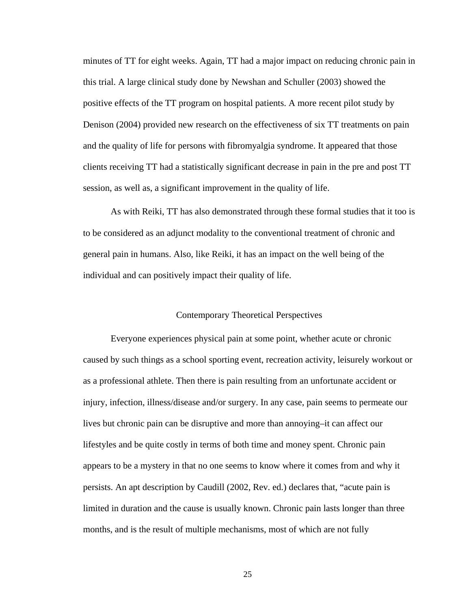minutes of TT for eight weeks. Again, TT had a major impact on reducing chronic pain in this trial. A large clinical study done by Newshan and Schuller (2003) showed the positive effects of the TT program on hospital patients. A more recent pilot study by Denison (2004) provided new research on the effectiveness of six TT treatments on pain and the quality of life for persons with fibromyalgia syndrome. It appeared that those clients receiving TT had a statistically significant decrease in pain in the pre and post TT session, as well as, a significant improvement in the quality of life.

As with Reiki, TT has also demonstrated through these formal studies that it too is to be considered as an adjunct modality to the conventional treatment of chronic and general pain in humans. Also, like Reiki, it has an impact on the well being of the individual and can positively impact their quality of life.

### Contemporary Theoretical Perspectives

Everyone experiences physical pain at some point, whether acute or chronic caused by such things as a school sporting event, recreation activity, leisurely workout or as a professional athlete. Then there is pain resulting from an unfortunate accident or injury, infection, illness/disease and/or surgery. In any case, pain seems to permeate our lives but chronic pain can be disruptive and more than annoying–it can affect our lifestyles and be quite costly in terms of both time and money spent. Chronic pain appears to be a mystery in that no one seems to know where it comes from and why it persists. An apt description by Caudill (2002, Rev. ed.) declares that, "acute pain is limited in duration and the cause is usually known. Chronic pain lasts longer than three months, and is the result of multiple mechanisms, most of which are not fully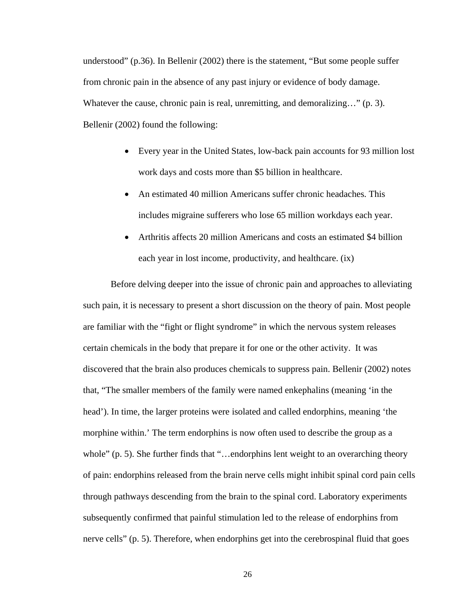understood" (p.36). In Bellenir (2002) there is the statement, "But some people suffer from chronic pain in the absence of any past injury or evidence of body damage. Whatever the cause, chronic pain is real, unremitting, and demoralizing..." (p. 3). Bellenir (2002) found the following:

- Every year in the United States, low-back pain accounts for 93 million lost work days and costs more than \$5 billion in healthcare.
- An estimated 40 million Americans suffer chronic headaches. This includes migraine sufferers who lose 65 million workdays each year.
- Arthritis affects 20 million Americans and costs an estimated \$4 billion each year in lost income, productivity, and healthcare. (ix)

Before delving deeper into the issue of chronic pain and approaches to alleviating such pain, it is necessary to present a short discussion on the theory of pain. Most people are familiar with the "fight or flight syndrome" in which the nervous system releases certain chemicals in the body that prepare it for one or the other activity. It was discovered that the brain also produces chemicals to suppress pain. Bellenir (2002) notes that, "The smaller members of the family were named enkephalins (meaning 'in the head'). In time, the larger proteins were isolated and called endorphins, meaning 'the morphine within.' The term endorphins is now often used to describe the group as a whole" (p. 5). She further finds that "...endorphins lent weight to an overarching theory of pain: endorphins released from the brain nerve cells might inhibit spinal cord pain cells through pathways descending from the brain to the spinal cord. Laboratory experiments subsequently confirmed that painful stimulation led to the release of endorphins from nerve cells" (p. 5). Therefore, when endorphins get into the cerebrospinal fluid that goes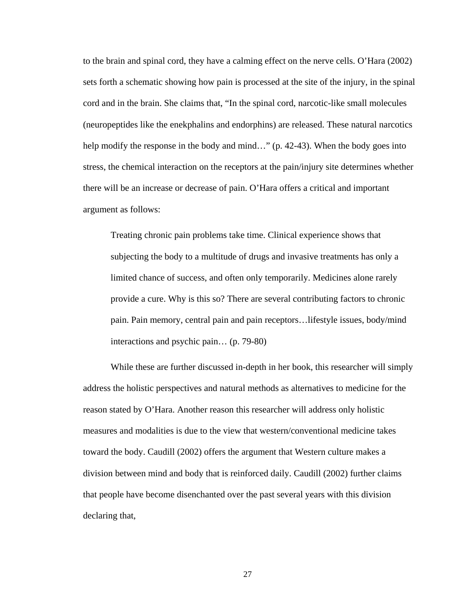to the brain and spinal cord, they have a calming effect on the nerve cells. O'Hara (2002) sets forth a schematic showing how pain is processed at the site of the injury, in the spinal cord and in the brain. She claims that, "In the spinal cord, narcotic-like small molecules (neuropeptides like the enekphalins and endorphins) are released. These natural narcotics help modify the response in the body and mind..." (p. 42-43). When the body goes into stress, the chemical interaction on the receptors at the pain/injury site determines whether there will be an increase or decrease of pain. O'Hara offers a critical and important argument as follows:

Treating chronic pain problems take time. Clinical experience shows that subjecting the body to a multitude of drugs and invasive treatments has only a limited chance of success, and often only temporarily. Medicines alone rarely provide a cure. Why is this so? There are several contributing factors to chronic pain. Pain memory, central pain and pain receptors…lifestyle issues, body/mind interactions and psychic pain… (p. 79-80)

While these are further discussed in-depth in her book, this researcher will simply address the holistic perspectives and natural methods as alternatives to medicine for the reason stated by O'Hara. Another reason this researcher will address only holistic measures and modalities is due to the view that western/conventional medicine takes toward the body. Caudill (2002) offers the argument that Western culture makes a division between mind and body that is reinforced daily. Caudill (2002) further claims that people have become disenchanted over the past several years with this division declaring that,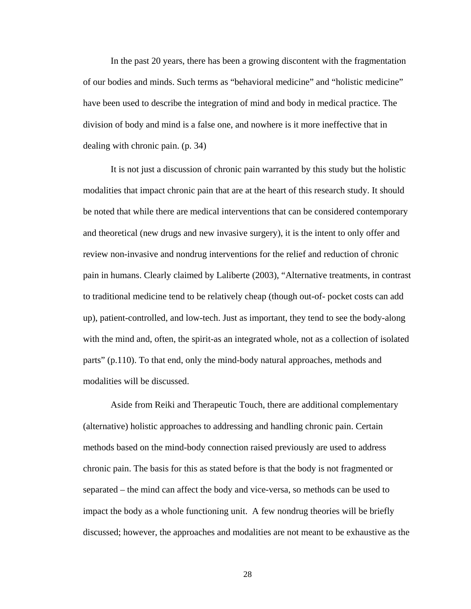In the past 20 years, there has been a growing discontent with the fragmentation of our bodies and minds. Such terms as "behavioral medicine" and "holistic medicine" have been used to describe the integration of mind and body in medical practice. The division of body and mind is a false one, and nowhere is it more ineffective that in dealing with chronic pain. (p. 34)

It is not just a discussion of chronic pain warranted by this study but the holistic modalities that impact chronic pain that are at the heart of this research study. It should be noted that while there are medical interventions that can be considered contemporary and theoretical (new drugs and new invasive surgery), it is the intent to only offer and review non-invasive and nondrug interventions for the relief and reduction of chronic pain in humans. Clearly claimed by Laliberte (2003), "Alternative treatments, in contrast to traditional medicine tend to be relatively cheap (though out-of- pocket costs can add up), patient-controlled, and low-tech. Just as important, they tend to see the body-along with the mind and, often, the spirit-as an integrated whole, not as a collection of isolated parts" (p.110). To that end, only the mind-body natural approaches, methods and modalities will be discussed.

Aside from Reiki and Therapeutic Touch, there are additional complementary (alternative) holistic approaches to addressing and handling chronic pain. Certain methods based on the mind-body connection raised previously are used to address chronic pain. The basis for this as stated before is that the body is not fragmented or separated – the mind can affect the body and vice-versa, so methods can be used to impact the body as a whole functioning unit. A few nondrug theories will be briefly discussed; however, the approaches and modalities are not meant to be exhaustive as the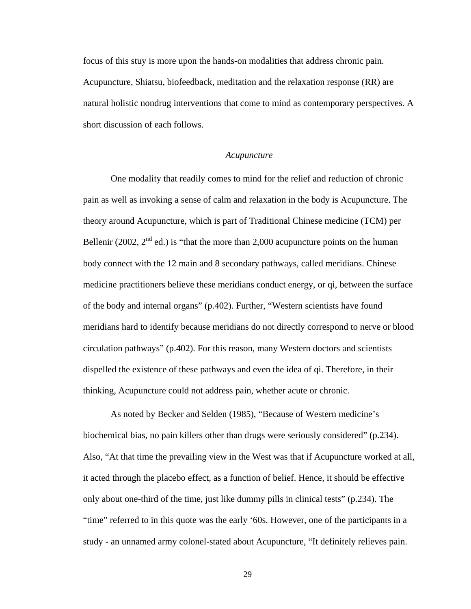focus of this stuy is more upon the hands-on modalities that address chronic pain. Acupuncture, Shiatsu, biofeedback, meditation and the relaxation response (RR) are natural holistic nondrug interventions that come to mind as contemporary perspectives. A short discussion of each follows.

#### *Acupuncture*

One modality that readily comes to mind for the relief and reduction of chronic pain as well as invoking a sense of calm and relaxation in the body is Acupuncture. The theory around Acupuncture, which is part of Traditional Chinese medicine (TCM) per Bellenir (2002,  $2<sup>nd</sup>$  ed.) is "that the more than 2,000 acupuncture points on the human body connect with the 12 main and 8 secondary pathways, called meridians. Chinese medicine practitioners believe these meridians conduct energy, or qi, between the surface of the body and internal organs" (p.402). Further, "Western scientists have found meridians hard to identify because meridians do not directly correspond to nerve or blood circulation pathways" (p.402). For this reason, many Western doctors and scientists dispelled the existence of these pathways and even the idea of qi. Therefore, in their thinking, Acupuncture could not address pain, whether acute or chronic.

As noted by Becker and Selden (1985), "Because of Western medicine's biochemical bias, no pain killers other than drugs were seriously considered" (p.234). Also, "At that time the prevailing view in the West was that if Acupuncture worked at all, it acted through the placebo effect, as a function of belief. Hence, it should be effective only about one-third of the time, just like dummy pills in clinical tests" (p.234). The "time" referred to in this quote was the early '60s. However, one of the participants in a study - an unnamed army colonel-stated about Acupuncture, "It definitely relieves pain.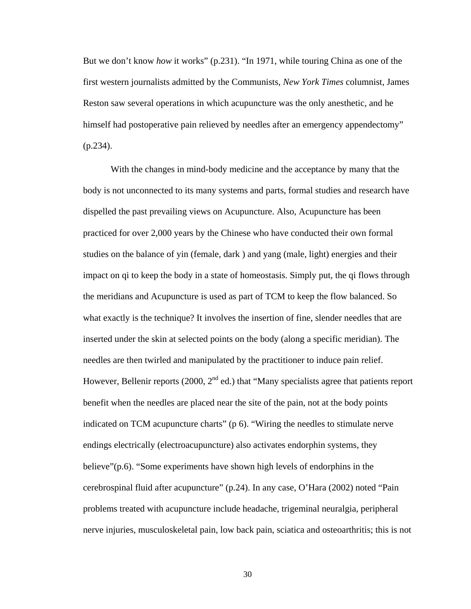But we don't know *how* it works" (p.231). "In 1971, while touring China as one of the first western journalists admitted by the Communists, *New York Times* columnist, James Reston saw several operations in which acupuncture was the only anesthetic, and he himself had postoperative pain relieved by needles after an emergency appendectomy"  $(p.234)$ .

With the changes in mind-body medicine and the acceptance by many that the body is not unconnected to its many systems and parts, formal studies and research have dispelled the past prevailing views on Acupuncture. Also, Acupuncture has been practiced for over 2,000 years by the Chinese who have conducted their own formal studies on the balance of yin (female, dark ) and yang (male, light) energies and their impact on qi to keep the body in a state of homeostasis. Simply put, the qi flows through the meridians and Acupuncture is used as part of TCM to keep the flow balanced. So what exactly is the technique? It involves the insertion of fine, slender needles that are inserted under the skin at selected points on the body (along a specific meridian). The needles are then twirled and manipulated by the practitioner to induce pain relief. However, Bellenir reports (2000,  $2<sup>nd</sup>$  ed.) that "Many specialists agree that patients report benefit when the needles are placed near the site of the pain, not at the body points indicated on TCM acupuncture charts" (p 6). "Wiring the needles to stimulate nerve endings electrically (electroacupuncture) also activates endorphin systems, they believe"(p.6). "Some experiments have shown high levels of endorphins in the cerebrospinal fluid after acupuncture" (p.24). In any case, O'Hara (2002) noted "Pain problems treated with acupuncture include headache, trigeminal neuralgia, peripheral nerve injuries, musculoskeletal pain, low back pain, sciatica and osteoarthritis; this is not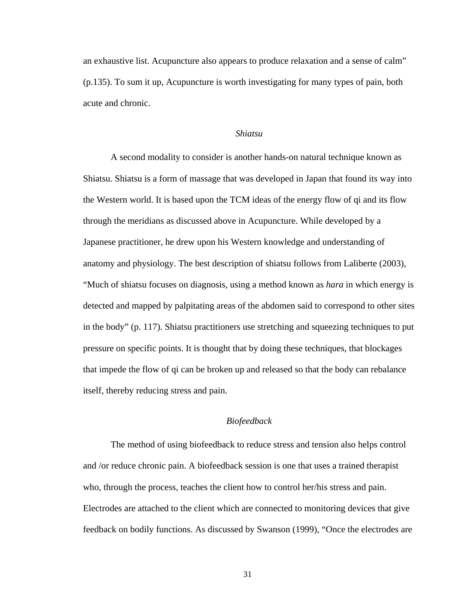an exhaustive list. Acupuncture also appears to produce relaxation and a sense of calm" (p.135). To sum it up, Acupuncture is worth investigating for many types of pain, both acute and chronic.

### *Shiatsu*

A second modality to consider is another hands-on natural technique known as Shiatsu. Shiatsu is a form of massage that was developed in Japan that found its way into the Western world. It is based upon the TCM ideas of the energy flow of qi and its flow through the meridians as discussed above in Acupuncture. While developed by a Japanese practitioner, he drew upon his Western knowledge and understanding of anatomy and physiology. The best description of shiatsu follows from Laliberte (2003), "Much of shiatsu focuses on diagnosis, using a method known as *hara* in which energy is detected and mapped by palpitating areas of the abdomen said to correspond to other sites in the body" (p. 117). Shiatsu practitioners use stretching and squeezing techniques to put pressure on specific points. It is thought that by doing these techniques, that blockages that impede the flow of qi can be broken up and released so that the body can rebalance itself, thereby reducing stress and pain.

# *Biofeedback*

The method of using biofeedback to reduce stress and tension also helps control and /or reduce chronic pain. A biofeedback session is one that uses a trained therapist who, through the process, teaches the client how to control her/his stress and pain. Electrodes are attached to the client which are connected to monitoring devices that give feedback on bodily functions. As discussed by Swanson (1999), "Once the electrodes are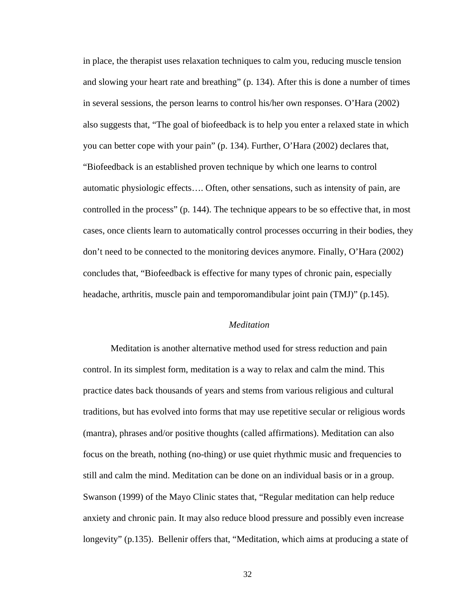in place, the therapist uses relaxation techniques to calm you, reducing muscle tension and slowing your heart rate and breathing" (p. 134). After this is done a number of times in several sessions, the person learns to control his/her own responses. O'Hara (2002) also suggests that, "The goal of biofeedback is to help you enter a relaxed state in which you can better cope with your pain" (p. 134). Further, O'Hara (2002) declares that, "Biofeedback is an established proven technique by which one learns to control automatic physiologic effects…. Often, other sensations, such as intensity of pain, are controlled in the process" (p. 144). The technique appears to be so effective that, in most cases, once clients learn to automatically control processes occurring in their bodies, they don't need to be connected to the monitoring devices anymore. Finally, O'Hara (2002) concludes that, "Biofeedback is effective for many types of chronic pain, especially headache, arthritis, muscle pain and temporomandibular joint pain (TMJ)" (p.145).

### *Meditation*

Meditation is another alternative method used for stress reduction and pain control. In its simplest form, meditation is a way to relax and calm the mind. This practice dates back thousands of years and stems from various religious and cultural traditions, but has evolved into forms that may use repetitive secular or religious words (mantra), phrases and/or positive thoughts (called affirmations). Meditation can also focus on the breath, nothing (no-thing) or use quiet rhythmic music and frequencies to still and calm the mind. Meditation can be done on an individual basis or in a group. Swanson (1999) of the Mayo Clinic states that, "Regular meditation can help reduce anxiety and chronic pain. It may also reduce blood pressure and possibly even increase longevity" (p.135). Bellenir offers that, "Meditation, which aims at producing a state of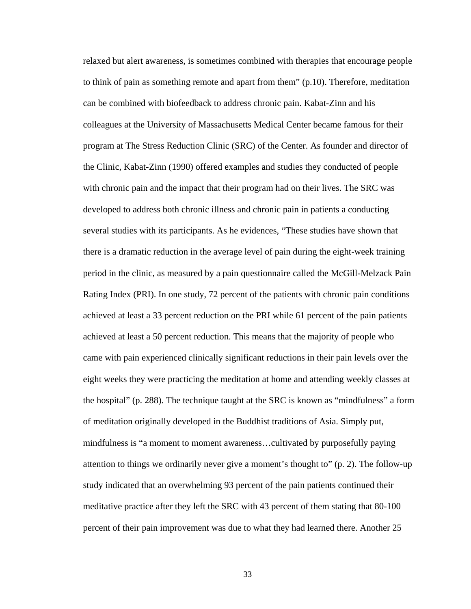relaxed but alert awareness, is sometimes combined with therapies that encourage people to think of pain as something remote and apart from them"  $(p.10)$ . Therefore, meditation can be combined with biofeedback to address chronic pain. Kabat-Zinn and his colleagues at the University of Massachusetts Medical Center became famous for their program at The Stress Reduction Clinic (SRC) of the Center. As founder and director of the Clinic, Kabat-Zinn (1990) offered examples and studies they conducted of people with chronic pain and the impact that their program had on their lives. The SRC was developed to address both chronic illness and chronic pain in patients a conducting several studies with its participants. As he evidences, "These studies have shown that there is a dramatic reduction in the average level of pain during the eight-week training period in the clinic, as measured by a pain questionnaire called the McGill-Melzack Pain Rating Index (PRI). In one study, 72 percent of the patients with chronic pain conditions achieved at least a 33 percent reduction on the PRI while 61 percent of the pain patients achieved at least a 50 percent reduction. This means that the majority of people who came with pain experienced clinically significant reductions in their pain levels over the eight weeks they were practicing the meditation at home and attending weekly classes at the hospital" (p. 288). The technique taught at the SRC is known as "mindfulness" a form of meditation originally developed in the Buddhist traditions of Asia. Simply put, mindfulness is "a moment to moment awareness…cultivated by purposefully paying attention to things we ordinarily never give a moment's thought to" (p. 2). The follow-up study indicated that an overwhelming 93 percent of the pain patients continued their meditative practice after they left the SRC with 43 percent of them stating that 80-100 percent of their pain improvement was due to what they had learned there. Another 25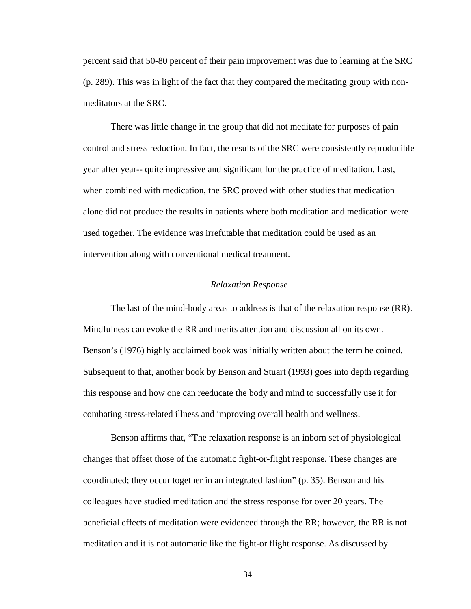percent said that 50-80 percent of their pain improvement was due to learning at the SRC (p. 289). This was in light of the fact that they compared the meditating group with nonmeditators at the SRC.

There was little change in the group that did not meditate for purposes of pain control and stress reduction. In fact, the results of the SRC were consistently reproducible year after year-- quite impressive and significant for the practice of meditation. Last, when combined with medication, the SRC proved with other studies that medication alone did not produce the results in patients where both meditation and medication were used together. The evidence was irrefutable that meditation could be used as an intervention along with conventional medical treatment.

### *Relaxation Response*

The last of the mind-body areas to address is that of the relaxation response (RR). Mindfulness can evoke the RR and merits attention and discussion all on its own. Benson's (1976) highly acclaimed book was initially written about the term he coined. Subsequent to that, another book by Benson and Stuart (1993) goes into depth regarding this response and how one can reeducate the body and mind to successfully use it for combating stress-related illness and improving overall health and wellness.

Benson affirms that, "The relaxation response is an inborn set of physiological changes that offset those of the automatic fight-or-flight response. These changes are coordinated; they occur together in an integrated fashion" (p. 35). Benson and his colleagues have studied meditation and the stress response for over 20 years. The beneficial effects of meditation were evidenced through the RR; however, the RR is not meditation and it is not automatic like the fight-or flight response. As discussed by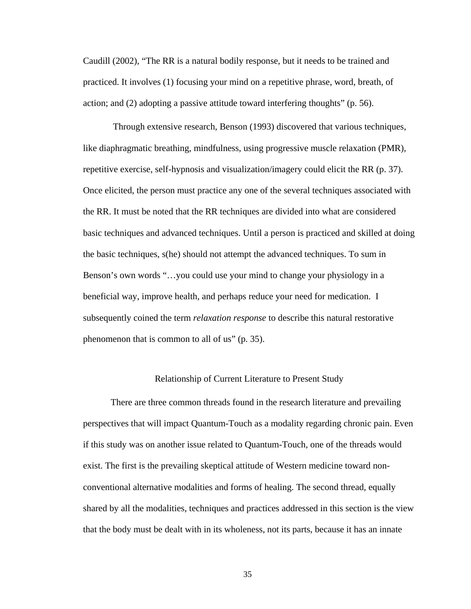Caudill (2002), "The RR is a natural bodily response, but it needs to be trained and practiced. It involves (1) focusing your mind on a repetitive phrase, word, breath, of action; and (2) adopting a passive attitude toward interfering thoughts" (p. 56).

 Through extensive research, Benson (1993) discovered that various techniques, like diaphragmatic breathing, mindfulness, using progressive muscle relaxation (PMR), repetitive exercise, self-hypnosis and visualization/imagery could elicit the RR (p. 37). Once elicited, the person must practice any one of the several techniques associated with the RR. It must be noted that the RR techniques are divided into what are considered basic techniques and advanced techniques. Until a person is practiced and skilled at doing the basic techniques, s(he) should not attempt the advanced techniques. To sum in Benson's own words "…you could use your mind to change your physiology in a beneficial way, improve health, and perhaps reduce your need for medication. I subsequently coined the term *relaxation response* to describe this natural restorative phenomenon that is common to all of us" (p. 35).

## Relationship of Current Literature to Present Study

There are three common threads found in the research literature and prevailing perspectives that will impact Quantum-Touch as a modality regarding chronic pain. Even if this study was on another issue related to Quantum-Touch, one of the threads would exist. The first is the prevailing skeptical attitude of Western medicine toward nonconventional alternative modalities and forms of healing. The second thread, equally shared by all the modalities, techniques and practices addressed in this section is the view that the body must be dealt with in its wholeness, not its parts, because it has an innate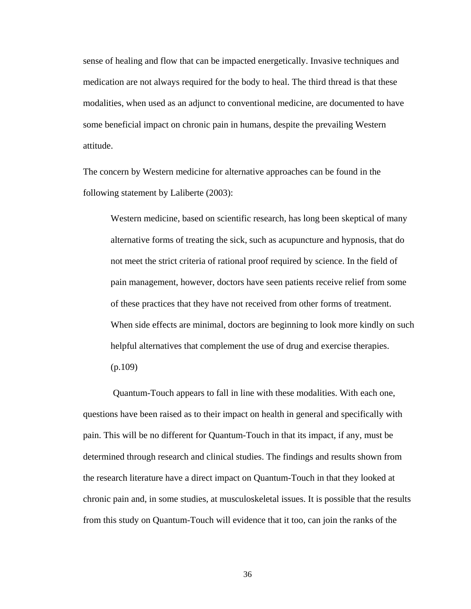sense of healing and flow that can be impacted energetically. Invasive techniques and medication are not always required for the body to heal. The third thread is that these modalities, when used as an adjunct to conventional medicine, are documented to have some beneficial impact on chronic pain in humans, despite the prevailing Western attitude.

The concern by Western medicine for alternative approaches can be found in the following statement by Laliberte (2003):

Western medicine, based on scientific research, has long been skeptical of many alternative forms of treating the sick, such as acupuncture and hypnosis, that do not meet the strict criteria of rational proof required by science. In the field of pain management, however, doctors have seen patients receive relief from some of these practices that they have not received from other forms of treatment. When side effects are minimal, doctors are beginning to look more kindly on such helpful alternatives that complement the use of drug and exercise therapies. (p.109)

 Quantum-Touch appears to fall in line with these modalities. With each one, questions have been raised as to their impact on health in general and specifically with pain. This will be no different for Quantum-Touch in that its impact, if any, must be determined through research and clinical studies. The findings and results shown from the research literature have a direct impact on Quantum-Touch in that they looked at chronic pain and, in some studies, at musculoskeletal issues. It is possible that the results from this study on Quantum-Touch will evidence that it too, can join the ranks of the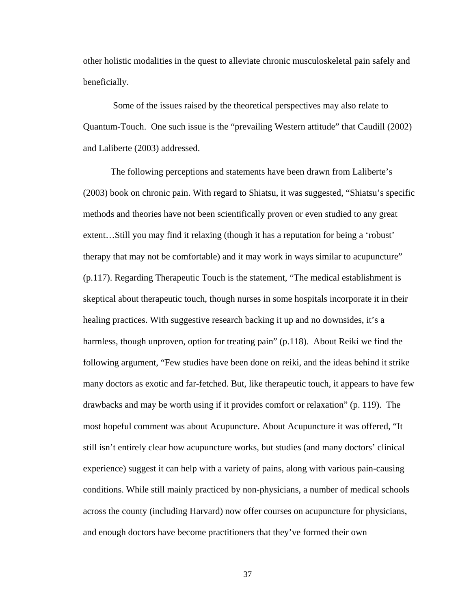other holistic modalities in the quest to alleviate chronic musculoskeletal pain safely and beneficially.

 Some of the issues raised by the theoretical perspectives may also relate to Quantum-Touch. One such issue is the "prevailing Western attitude" that Caudill (2002) and Laliberte (2003) addressed.

The following perceptions and statements have been drawn from Laliberte's (2003) book on chronic pain. With regard to Shiatsu, it was suggested, "Shiatsu's specific methods and theories have not been scientifically proven or even studied to any great extent…Still you may find it relaxing (though it has a reputation for being a 'robust' therapy that may not be comfortable) and it may work in ways similar to acupuncture" (p.117). Regarding Therapeutic Touch is the statement, "The medical establishment is skeptical about therapeutic touch, though nurses in some hospitals incorporate it in their healing practices. With suggestive research backing it up and no downsides, it's a harmless, though unproven, option for treating pain" (p.118). About Reiki we find the following argument, "Few studies have been done on reiki, and the ideas behind it strike many doctors as exotic and far-fetched. But, like therapeutic touch, it appears to have few drawbacks and may be worth using if it provides comfort or relaxation" (p. 119). The most hopeful comment was about Acupuncture. About Acupuncture it was offered, "It still isn't entirely clear how acupuncture works, but studies (and many doctors' clinical experience) suggest it can help with a variety of pains, along with various pain-causing conditions. While still mainly practiced by non-physicians, a number of medical schools across the county (including Harvard) now offer courses on acupuncture for physicians, and enough doctors have become practitioners that they've formed their own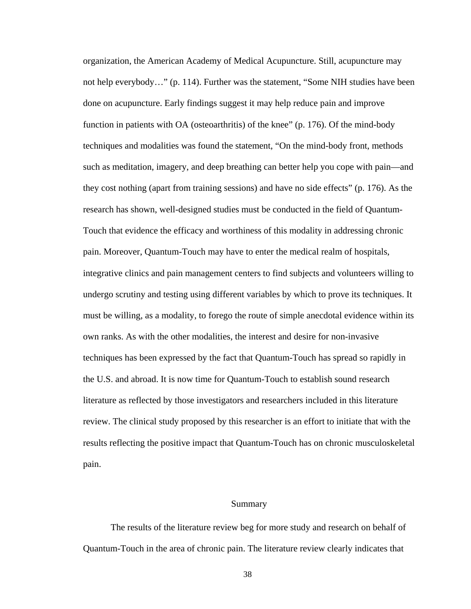organization, the American Academy of Medical Acupuncture. Still, acupuncture may not help everybody…" (p. 114). Further was the statement, "Some NIH studies have been done on acupuncture. Early findings suggest it may help reduce pain and improve function in patients with OA (osteoarthritis) of the knee" (p. 176). Of the mind-body techniques and modalities was found the statement, "On the mind-body front, methods such as meditation, imagery, and deep breathing can better help you cope with pain—and they cost nothing (apart from training sessions) and have no side effects" (p. 176). As the research has shown, well-designed studies must be conducted in the field of Quantum-Touch that evidence the efficacy and worthiness of this modality in addressing chronic pain. Moreover, Quantum-Touch may have to enter the medical realm of hospitals, integrative clinics and pain management centers to find subjects and volunteers willing to undergo scrutiny and testing using different variables by which to prove its techniques. It must be willing, as a modality, to forego the route of simple anecdotal evidence within its own ranks. As with the other modalities, the interest and desire for non-invasive techniques has been expressed by the fact that Quantum-Touch has spread so rapidly in the U.S. and abroad. It is now time for Quantum-Touch to establish sound research literature as reflected by those investigators and researchers included in this literature review. The clinical study proposed by this researcher is an effort to initiate that with the results reflecting the positive impact that Quantum-Touch has on chronic musculoskeletal pain.

#### Summary

The results of the literature review beg for more study and research on behalf of Quantum-Touch in the area of chronic pain. The literature review clearly indicates that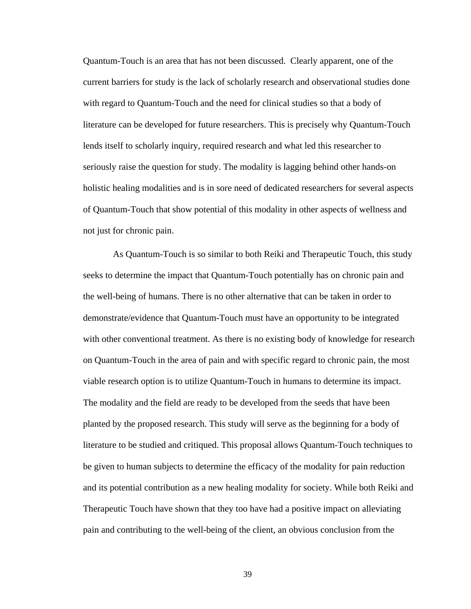Quantum-Touch is an area that has not been discussed. Clearly apparent, one of the current barriers for study is the lack of scholarly research and observational studies done with regard to Quantum-Touch and the need for clinical studies so that a body of literature can be developed for future researchers. This is precisely why Quantum-Touch lends itself to scholarly inquiry, required research and what led this researcher to seriously raise the question for study. The modality is lagging behind other hands-on holistic healing modalities and is in sore need of dedicated researchers for several aspects of Quantum-Touch that show potential of this modality in other aspects of wellness and not just for chronic pain.

 As Quantum-Touch is so similar to both Reiki and Therapeutic Touch, this study seeks to determine the impact that Quantum-Touch potentially has on chronic pain and the well-being of humans. There is no other alternative that can be taken in order to demonstrate/evidence that Quantum-Touch must have an opportunity to be integrated with other conventional treatment. As there is no existing body of knowledge for research on Quantum-Touch in the area of pain and with specific regard to chronic pain, the most viable research option is to utilize Quantum-Touch in humans to determine its impact. The modality and the field are ready to be developed from the seeds that have been planted by the proposed research. This study will serve as the beginning for a body of literature to be studied and critiqued. This proposal allows Quantum-Touch techniques to be given to human subjects to determine the efficacy of the modality for pain reduction and its potential contribution as a new healing modality for society. While both Reiki and Therapeutic Touch have shown that they too have had a positive impact on alleviating pain and contributing to the well-being of the client, an obvious conclusion from the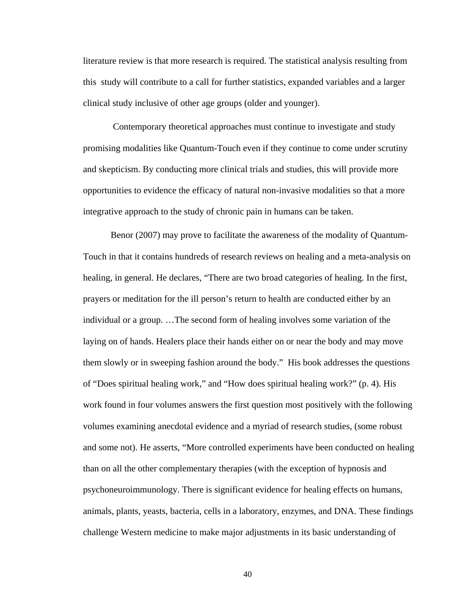literature review is that more research is required. The statistical analysis resulting from this study will contribute to a call for further statistics, expanded variables and a larger clinical study inclusive of other age groups (older and younger).

 Contemporary theoretical approaches must continue to investigate and study promising modalities like Quantum-Touch even if they continue to come under scrutiny and skepticism. By conducting more clinical trials and studies, this will provide more opportunities to evidence the efficacy of natural non-invasive modalities so that a more integrative approach to the study of chronic pain in humans can be taken.

Benor (2007) may prove to facilitate the awareness of the modality of Quantum-Touch in that it contains hundreds of research reviews on healing and a meta-analysis on healing, in general. He declares, "There are two broad categories of healing. In the first, prayers or meditation for the ill person's return to health are conducted either by an individual or a group. …The second form of healing involves some variation of the laying on of hands. Healers place their hands either on or near the body and may move them slowly or in sweeping fashion around the body." His book addresses the questions of "Does spiritual healing work," and "How does spiritual healing work?" (p. 4). His work found in four volumes answers the first question most positively with the following volumes examining anecdotal evidence and a myriad of research studies, (some robust and some not). He asserts, "More controlled experiments have been conducted on healing than on all the other complementary therapies (with the exception of hypnosis and psychoneuroimmunology. There is significant evidence for healing effects on humans, animals, plants, yeasts, bacteria, cells in a laboratory, enzymes, and DNA. These findings challenge Western medicine to make major adjustments in its basic understanding of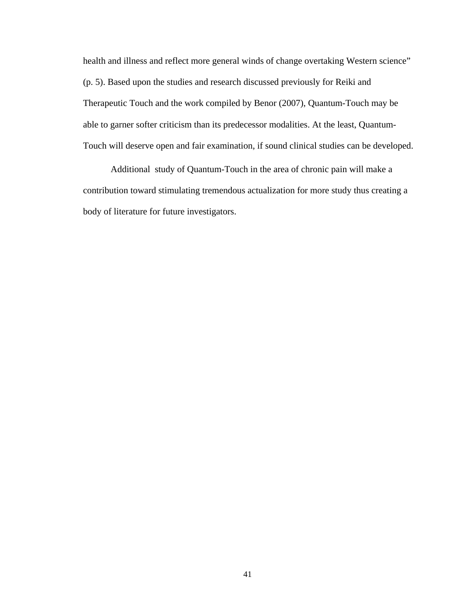health and illness and reflect more general winds of change overtaking Western science" (p. 5). Based upon the studies and research discussed previously for Reiki and Therapeutic Touch and the work compiled by Benor (2007), Quantum-Touch may be able to garner softer criticism than its predecessor modalities. At the least, Quantum-Touch will deserve open and fair examination, if sound clinical studies can be developed.

Additional study of Quantum-Touch in the area of chronic pain will make a contribution toward stimulating tremendous actualization for more study thus creating a body of literature for future investigators.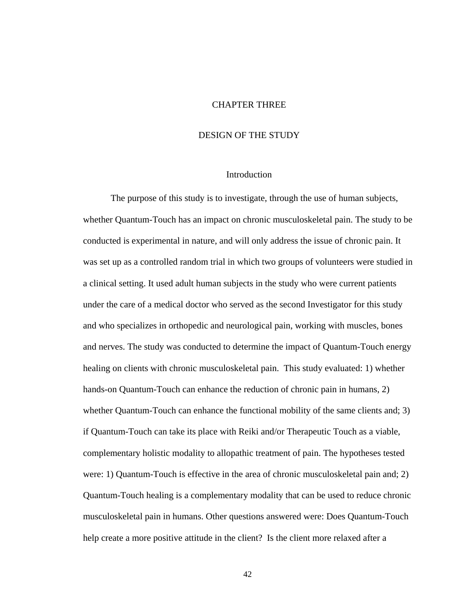### CHAPTER THREE

# DESIGN OF THE STUDY

### Introduction

The purpose of this study is to investigate, through the use of human subjects, whether Quantum-Touch has an impact on chronic musculoskeletal pain. The study to be conducted is experimental in nature, and will only address the issue of chronic pain. It was set up as a controlled random trial in which two groups of volunteers were studied in a clinical setting. It used adult human subjects in the study who were current patients under the care of a medical doctor who served as the second Investigator for this study and who specializes in orthopedic and neurological pain, working with muscles, bones and nerves. The study was conducted to determine the impact of Quantum-Touch energy healing on clients with chronic musculoskeletal pain. This study evaluated: 1) whether hands-on Quantum-Touch can enhance the reduction of chronic pain in humans, 2) whether Quantum-Touch can enhance the functional mobility of the same clients and; 3) if Quantum-Touch can take its place with Reiki and/or Therapeutic Touch as a viable, complementary holistic modality to allopathic treatment of pain. The hypotheses tested were: 1) Quantum-Touch is effective in the area of chronic musculoskeletal pain and; 2) Quantum-Touch healing is a complementary modality that can be used to reduce chronic musculoskeletal pain in humans. Other questions answered were: Does Quantum-Touch help create a more positive attitude in the client? Is the client more relaxed after a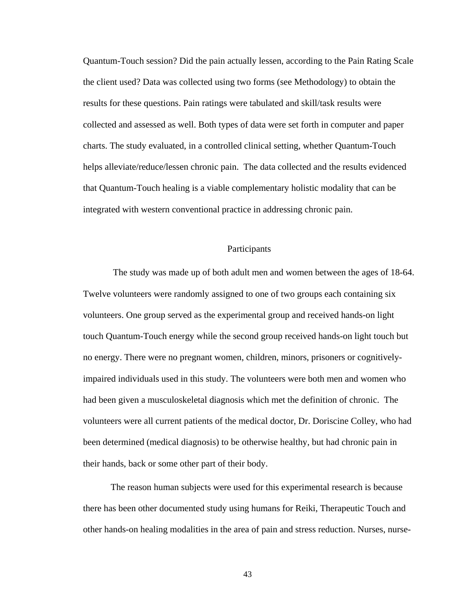Quantum-Touch session? Did the pain actually lessen, according to the Pain Rating Scale the client used? Data was collected using two forms (see Methodology) to obtain the results for these questions. Pain ratings were tabulated and skill/task results were collected and assessed as well. Both types of data were set forth in computer and paper charts. The study evaluated, in a controlled clinical setting, whether Quantum-Touch helps alleviate/reduce/lessen chronic pain. The data collected and the results evidenced that Quantum-Touch healing is a viable complementary holistic modality that can be integrated with western conventional practice in addressing chronic pain.

# Participants

 The study was made up of both adult men and women between the ages of 18-64. Twelve volunteers were randomly assigned to one of two groups each containing six volunteers. One group served as the experimental group and received hands-on light touch Quantum-Touch energy while the second group received hands-on light touch but no energy. There were no pregnant women, children, minors, prisoners or cognitivelyimpaired individuals used in this study. The volunteers were both men and women who had been given a musculoskeletal diagnosis which met the definition of chronic. The volunteers were all current patients of the medical doctor, Dr. Doriscine Colley, who had been determined (medical diagnosis) to be otherwise healthy, but had chronic pain in their hands, back or some other part of their body.

The reason human subjects were used for this experimental research is because there has been other documented study using humans for Reiki, Therapeutic Touch and other hands-on healing modalities in the area of pain and stress reduction. Nurses, nurse-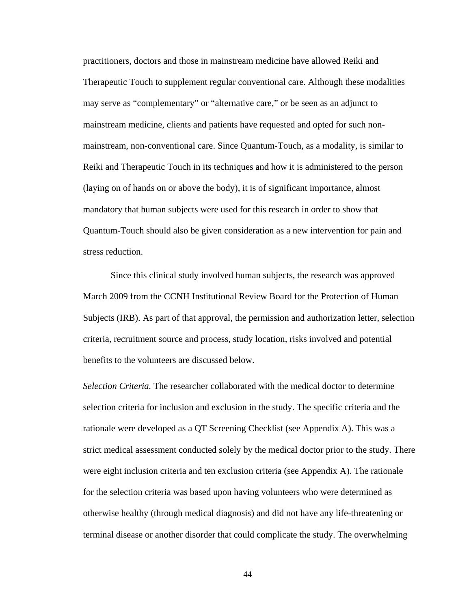practitioners, doctors and those in mainstream medicine have allowed Reiki and Therapeutic Touch to supplement regular conventional care. Although these modalities may serve as "complementary" or "alternative care," or be seen as an adjunct to mainstream medicine, clients and patients have requested and opted for such nonmainstream, non-conventional care. Since Quantum-Touch, as a modality, is similar to Reiki and Therapeutic Touch in its techniques and how it is administered to the person (laying on of hands on or above the body), it is of significant importance, almost mandatory that human subjects were used for this research in order to show that Quantum-Touch should also be given consideration as a new intervention for pain and stress reduction.

Since this clinical study involved human subjects, the research was approved March 2009 from the CCNH Institutional Review Board for the Protection of Human Subjects (IRB). As part of that approval, the permission and authorization letter, selection criteria, recruitment source and process, study location, risks involved and potential benefits to the volunteers are discussed below.

*Selection Criteria.* The researcher collaborated with the medical doctor to determine selection criteria for inclusion and exclusion in the study. The specific criteria and the rationale were developed as a QT Screening Checklist (see Appendix A). This was a strict medical assessment conducted solely by the medical doctor prior to the study. There were eight inclusion criteria and ten exclusion criteria (see Appendix A). The rationale for the selection criteria was based upon having volunteers who were determined as otherwise healthy (through medical diagnosis) and did not have any life-threatening or terminal disease or another disorder that could complicate the study. The overwhelming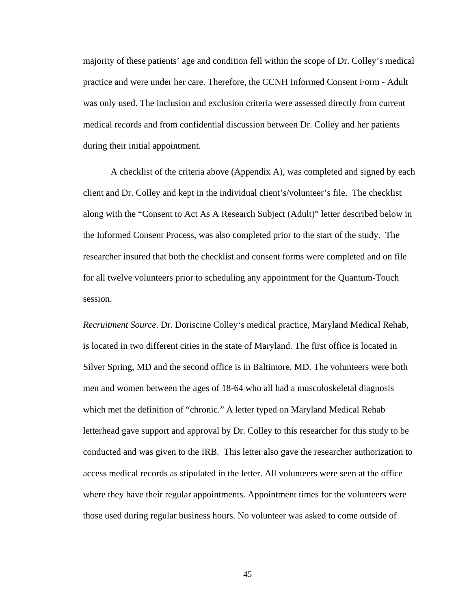majority of these patients' age and condition fell within the scope of Dr. Colley's medical practice and were under her care. Therefore, the CCNH Informed Consent Form - Adult was only used. The inclusion and exclusion criteria were assessed directly from current medical records and from confidential discussion between Dr. Colley and her patients during their initial appointment.

A checklist of the criteria above (Appendix A), was completed and signed by each client and Dr. Colley and kept in the individual client's/volunteer's file. The checklist along with the "Consent to Act As A Research Subject (Adult)" letter described below in the Informed Consent Process, was also completed prior to the start of the study. The researcher insured that both the checklist and consent forms were completed and on file for all twelve volunteers prior to scheduling any appointment for the Quantum-Touch session.

*Recruitment Source*. Dr. Doriscine Colley's medical practice, Maryland Medical Rehab, is located in two different cities in the state of Maryland. The first office is located in Silver Spring, MD and the second office is in Baltimore, MD. The volunteers were both men and women between the ages of 18-64 who all had a musculoskeletal diagnosis which met the definition of "chronic." A letter typed on Maryland Medical Rehab letterhead gave support and approval by Dr. Colley to this researcher for this study to be conducted and was given to the IRB. This letter also gave the researcher authorization to access medical records as stipulated in the letter. All volunteers were seen at the office where they have their regular appointments. Appointment times for the volunteers were those used during regular business hours. No volunteer was asked to come outside of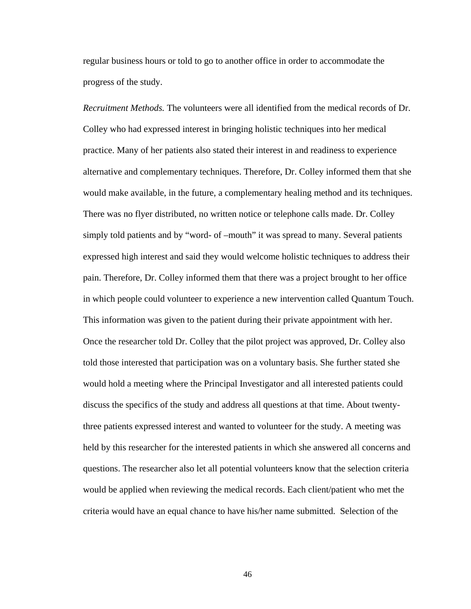regular business hours or told to go to another office in order to accommodate the progress of the study.

*Recruitment Methods.* The volunteers were all identified from the medical records of Dr. Colley who had expressed interest in bringing holistic techniques into her medical practice. Many of her patients also stated their interest in and readiness to experience alternative and complementary techniques. Therefore, Dr. Colley informed them that she would make available, in the future, a complementary healing method and its techniques. There was no flyer distributed, no written notice or telephone calls made. Dr. Colley simply told patients and by "word- of –mouth" it was spread to many. Several patients expressed high interest and said they would welcome holistic techniques to address their pain. Therefore, Dr. Colley informed them that there was a project brought to her office in which people could volunteer to experience a new intervention called Quantum Touch. This information was given to the patient during their private appointment with her. Once the researcher told Dr. Colley that the pilot project was approved, Dr. Colley also told those interested that participation was on a voluntary basis. She further stated she would hold a meeting where the Principal Investigator and all interested patients could discuss the specifics of the study and address all questions at that time. About twentythree patients expressed interest and wanted to volunteer for the study. A meeting was held by this researcher for the interested patients in which she answered all concerns and questions. The researcher also let all potential volunteers know that the selection criteria would be applied when reviewing the medical records. Each client/patient who met the criteria would have an equal chance to have his/her name submitted. Selection of the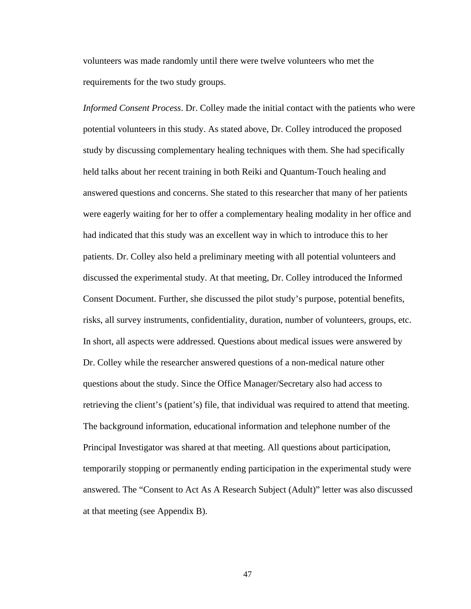volunteers was made randomly until there were twelve volunteers who met the requirements for the two study groups.

*Informed Consent Process*. Dr. Colley made the initial contact with the patients who were potential volunteers in this study. As stated above, Dr. Colley introduced the proposed study by discussing complementary healing techniques with them. She had specifically held talks about her recent training in both Reiki and Quantum-Touch healing and answered questions and concerns. She stated to this researcher that many of her patients were eagerly waiting for her to offer a complementary healing modality in her office and had indicated that this study was an excellent way in which to introduce this to her patients. Dr. Colley also held a preliminary meeting with all potential volunteers and discussed the experimental study. At that meeting, Dr. Colley introduced the Informed Consent Document. Further, she discussed the pilot study's purpose, potential benefits, risks, all survey instruments, confidentiality, duration, number of volunteers, groups, etc. In short, all aspects were addressed. Questions about medical issues were answered by Dr. Colley while the researcher answered questions of a non-medical nature other questions about the study. Since the Office Manager/Secretary also had access to retrieving the client's (patient's) file, that individual was required to attend that meeting. The background information, educational information and telephone number of the Principal Investigator was shared at that meeting. All questions about participation, temporarily stopping or permanently ending participation in the experimental study were answered. The "Consent to Act As A Research Subject (Adult)" letter was also discussed at that meeting (see Appendix B).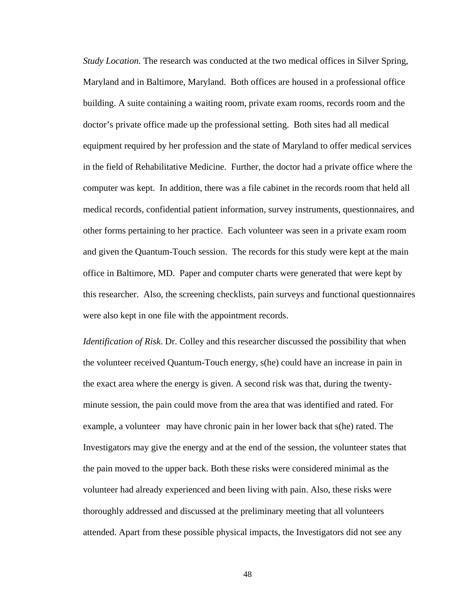*Study Location.* The research was conducted at the two medical offices in Silver Spring, Maryland and in Baltimore, Maryland. Both offices are housed in a professional office building. A suite containing a waiting room, private exam rooms, records room and the doctor's private office made up the professional setting. Both sites had all medical equipment required by her profession and the state of Maryland to offer medical services in the field of Rehabilitative Medicine. Further, the doctor had a private office where the computer was kept. In addition, there was a file cabinet in the records room that held all medical records, confidential patient information, survey instruments, questionnaires, and other forms pertaining to her practice. Each volunteer was seen in a private exam room and given the Quantum-Touch session. The records for this study were kept at the main office in Baltimore, MD. Paper and computer charts were generated that were kept by this researcher. Also, the screening checklists, pain surveys and functional questionnaires were also kept in one file with the appointment records.

*Identification of Risk*. Dr. Colley and this researcher discussed the possibility that when the volunteer received Quantum-Touch energy, s(he) could have an increase in pain in the exact area where the energy is given. A second risk was that, during the twentyminute session, the pain could move from the area that was identified and rated. For example, a volunteer may have chronic pain in her lower back that s(he) rated. The Investigators may give the energy and at the end of the session, the volunteer states that the pain moved to the upper back. Both these risks were considered minimal as the volunteer had already experienced and been living with pain. Also, these risks were thoroughly addressed and discussed at the preliminary meeting that all volunteers attended. Apart from these possible physical impacts, the Investigators did not see any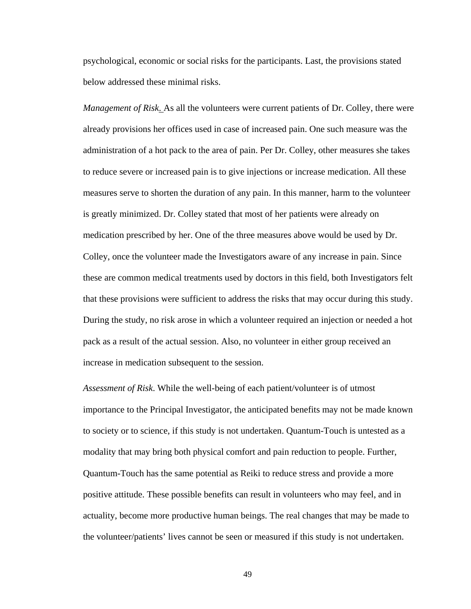psychological, economic or social risks for the participants. Last, the provisions stated below addressed these minimal risks.

*Management of Risk*. As all the volunteers were current patients of Dr. Colley, there were already provisions her offices used in case of increased pain. One such measure was the administration of a hot pack to the area of pain. Per Dr. Colley, other measures she takes to reduce severe or increased pain is to give injections or increase medication. All these measures serve to shorten the duration of any pain. In this manner, harm to the volunteer is greatly minimized. Dr. Colley stated that most of her patients were already on medication prescribed by her. One of the three measures above would be used by Dr. Colley, once the volunteer made the Investigators aware of any increase in pain. Since these are common medical treatments used by doctors in this field, both Investigators felt that these provisions were sufficient to address the risks that may occur during this study. During the study, no risk arose in which a volunteer required an injection or needed a hot pack as a result of the actual session. Also, no volunteer in either group received an increase in medication subsequent to the session.

*Assessment of Risk*. While the well-being of each patient/volunteer is of utmost importance to the Principal Investigator, the anticipated benefits may not be made known to society or to science, if this study is not undertaken. Quantum-Touch is untested as a modality that may bring both physical comfort and pain reduction to people. Further, Quantum-Touch has the same potential as Reiki to reduce stress and provide a more positive attitude. These possible benefits can result in volunteers who may feel, and in actuality, become more productive human beings. The real changes that may be made to the volunteer/patients' lives cannot be seen or measured if this study is not undertaken.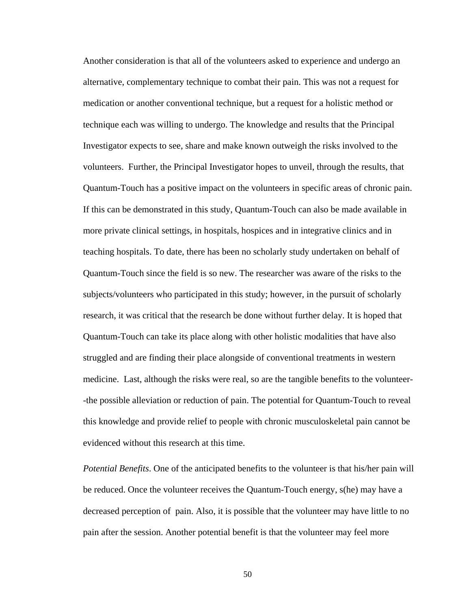Another consideration is that all of the volunteers asked to experience and undergo an alternative, complementary technique to combat their pain. This was not a request for medication or another conventional technique, but a request for a holistic method or technique each was willing to undergo. The knowledge and results that the Principal Investigator expects to see, share and make known outweigh the risks involved to the volunteers. Further, the Principal Investigator hopes to unveil, through the results, that Quantum-Touch has a positive impact on the volunteers in specific areas of chronic pain. If this can be demonstrated in this study, Quantum-Touch can also be made available in more private clinical settings, in hospitals, hospices and in integrative clinics and in teaching hospitals. To date, there has been no scholarly study undertaken on behalf of Quantum-Touch since the field is so new. The researcher was aware of the risks to the subjects/volunteers who participated in this study; however, in the pursuit of scholarly research, it was critical that the research be done without further delay. It is hoped that Quantum-Touch can take its place along with other holistic modalities that have also struggled and are finding their place alongside of conventional treatments in western medicine. Last, although the risks were real, so are the tangible benefits to the volunteer- -the possible alleviation or reduction of pain. The potential for Quantum-Touch to reveal this knowledge and provide relief to people with chronic musculoskeletal pain cannot be evidenced without this research at this time.

*Potential Benefits*. One of the anticipated benefits to the volunteer is that his/her pain will be reduced. Once the volunteer receives the Quantum-Touch energy, s(he) may have a decreased perception of pain. Also, it is possible that the volunteer may have little to no pain after the session. Another potential benefit is that the volunteer may feel more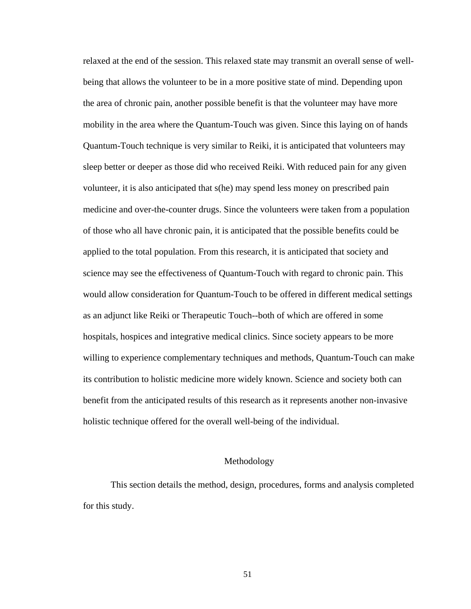relaxed at the end of the session. This relaxed state may transmit an overall sense of wellbeing that allows the volunteer to be in a more positive state of mind. Depending upon the area of chronic pain, another possible benefit is that the volunteer may have more mobility in the area where the Quantum-Touch was given. Since this laying on of hands Quantum-Touch technique is very similar to Reiki, it is anticipated that volunteers may sleep better or deeper as those did who received Reiki. With reduced pain for any given volunteer, it is also anticipated that s(he) may spend less money on prescribed pain medicine and over-the-counter drugs. Since the volunteers were taken from a population of those who all have chronic pain, it is anticipated that the possible benefits could be applied to the total population. From this research, it is anticipated that society and science may see the effectiveness of Quantum-Touch with regard to chronic pain. This would allow consideration for Quantum-Touch to be offered in different medical settings as an adjunct like Reiki or Therapeutic Touch--both of which are offered in some hospitals, hospices and integrative medical clinics. Since society appears to be more willing to experience complementary techniques and methods, Quantum-Touch can make its contribution to holistic medicine more widely known. Science and society both can benefit from the anticipated results of this research as it represents another non-invasive holistic technique offered for the overall well-being of the individual.

# Methodology

This section details the method, design, procedures, forms and analysis completed for this study.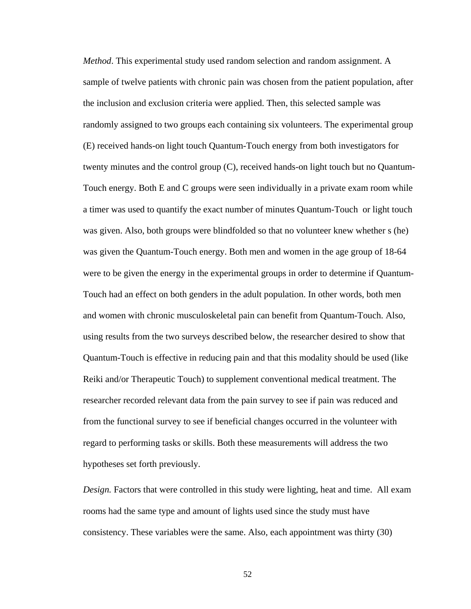*Method*. This experimental study used random selection and random assignment. A sample of twelve patients with chronic pain was chosen from the patient population, after the inclusion and exclusion criteria were applied. Then, this selected sample was randomly assigned to two groups each containing six volunteers. The experimental group (E) received hands-on light touch Quantum-Touch energy from both investigators for twenty minutes and the control group (C), received hands-on light touch but no Quantum-Touch energy. Both E and C groups were seen individually in a private exam room while a timer was used to quantify the exact number of minutes Quantum-Touch or light touch was given. Also, both groups were blindfolded so that no volunteer knew whether s (he) was given the Quantum-Touch energy. Both men and women in the age group of 18-64 were to be given the energy in the experimental groups in order to determine if Quantum-Touch had an effect on both genders in the adult population. In other words, both men and women with chronic musculoskeletal pain can benefit from Quantum-Touch. Also, using results from the two surveys described below, the researcher desired to show that Quantum-Touch is effective in reducing pain and that this modality should be used (like Reiki and/or Therapeutic Touch) to supplement conventional medical treatment. The researcher recorded relevant data from the pain survey to see if pain was reduced and from the functional survey to see if beneficial changes occurred in the volunteer with regard to performing tasks or skills. Both these measurements will address the two hypotheses set forth previously.

*Design*. Factors that were controlled in this study were lighting, heat and time. All exam rooms had the same type and amount of lights used since the study must have consistency. These variables were the same. Also, each appointment was thirty (30)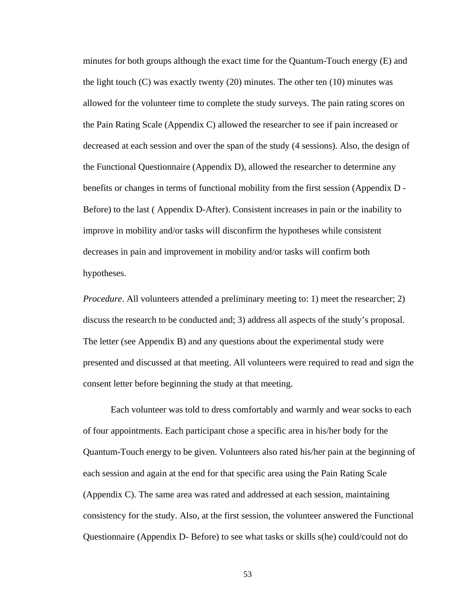minutes for both groups although the exact time for the Quantum-Touch energy (E) and the light touch  $(C)$  was exactly twenty (20) minutes. The other ten (10) minutes was allowed for the volunteer time to complete the study surveys. The pain rating scores on the Pain Rating Scale (Appendix C) allowed the researcher to see if pain increased or decreased at each session and over the span of the study (4 sessions). Also, the design of the Functional Questionnaire (Appendix D), allowed the researcher to determine any benefits or changes in terms of functional mobility from the first session (Appendix D - Before) to the last ( Appendix D-After). Consistent increases in pain or the inability to improve in mobility and/or tasks will disconfirm the hypotheses while consistent decreases in pain and improvement in mobility and/or tasks will confirm both hypotheses.

*Procedure*. All volunteers attended a preliminary meeting to: 1) meet the researcher; 2) discuss the research to be conducted and; 3) address all aspects of the study's proposal. The letter (see Appendix B) and any questions about the experimental study were presented and discussed at that meeting. All volunteers were required to read and sign the consent letter before beginning the study at that meeting.

Each volunteer was told to dress comfortably and warmly and wear socks to each of four appointments. Each participant chose a specific area in his/her body for the Quantum-Touch energy to be given. Volunteers also rated his/her pain at the beginning of each session and again at the end for that specific area using the Pain Rating Scale (Appendix C). The same area was rated and addressed at each session, maintaining consistency for the study. Also, at the first session, the volunteer answered the Functional Questionnaire (Appendix D- Before) to see what tasks or skills s(he) could/could not do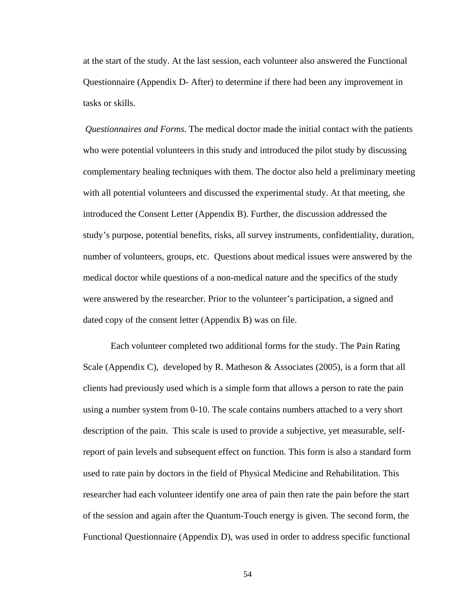at the start of the study. At the last session, each volunteer also answered the Functional Questionnaire (Appendix D- After) to determine if there had been any improvement in tasks or skills.

*Questionnaires and Forms*. The medical doctor made the initial contact with the patients who were potential volunteers in this study and introduced the pilot study by discussing complementary healing techniques with them. The doctor also held a preliminary meeting with all potential volunteers and discussed the experimental study. At that meeting, she introduced the Consent Letter (Appendix B). Further, the discussion addressed the study's purpose, potential benefits, risks, all survey instruments, confidentiality, duration, number of volunteers, groups, etc. Questions about medical issues were answered by the medical doctor while questions of a non-medical nature and the specifics of the study were answered by the researcher. Prior to the volunteer's participation, a signed and dated copy of the consent letter (Appendix B) was on file.

Each volunteer completed two additional forms for the study. The Pain Rating Scale (Appendix C), developed by R. Matheson & Associates (2005), is a form that all clients had previously used which is a simple form that allows a person to rate the pain using a number system from 0-10. The scale contains numbers attached to a very short description of the pain. This scale is used to provide a subjective, yet measurable, selfreport of pain levels and subsequent effect on function. This form is also a standard form used to rate pain by doctors in the field of Physical Medicine and Rehabilitation. This researcher had each volunteer identify one area of pain then rate the pain before the start of the session and again after the Quantum-Touch energy is given. The second form, the Functional Questionnaire (Appendix D), was used in order to address specific functional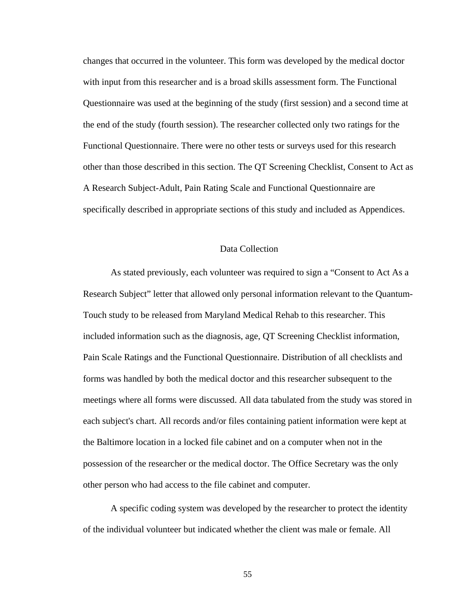changes that occurred in the volunteer. This form was developed by the medical doctor with input from this researcher and is a broad skills assessment form. The Functional Questionnaire was used at the beginning of the study (first session) and a second time at the end of the study (fourth session). The researcher collected only two ratings for the Functional Questionnaire. There were no other tests or surveys used for this research other than those described in this section. The QT Screening Checklist, Consent to Act as A Research Subject-Adult, Pain Rating Scale and Functional Questionnaire are specifically described in appropriate sections of this study and included as Appendices.

## Data Collection

As stated previously, each volunteer was required to sign a "Consent to Act As a Research Subject" letter that allowed only personal information relevant to the Quantum-Touch study to be released from Maryland Medical Rehab to this researcher. This included information such as the diagnosis, age, QT Screening Checklist information, Pain Scale Ratings and the Functional Questionnaire. Distribution of all checklists and forms was handled by both the medical doctor and this researcher subsequent to the meetings where all forms were discussed. All data tabulated from the study was stored in each subject's chart. All records and/or files containing patient information were kept at the Baltimore location in a locked file cabinet and on a computer when not in the possession of the researcher or the medical doctor. The Office Secretary was the only other person who had access to the file cabinet and computer.

A specific coding system was developed by the researcher to protect the identity of the individual volunteer but indicated whether the client was male or female. All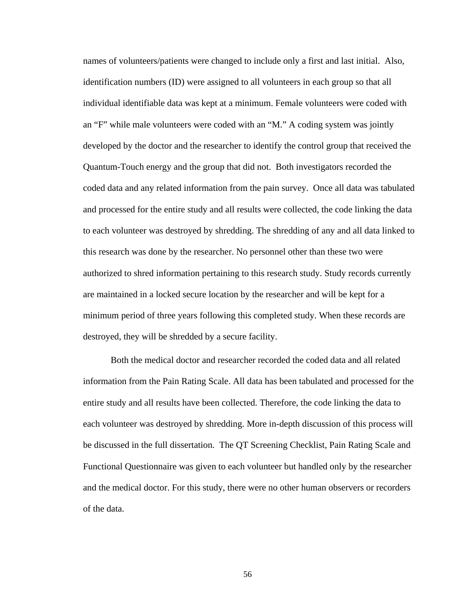names of volunteers/patients were changed to include only a first and last initial. Also, identification numbers (ID) were assigned to all volunteers in each group so that all individual identifiable data was kept at a minimum. Female volunteers were coded with an "F" while male volunteers were coded with an "M." A coding system was jointly developed by the doctor and the researcher to identify the control group that received the Quantum-Touch energy and the group that did not. Both investigators recorded the coded data and any related information from the pain survey. Once all data was tabulated and processed for the entire study and all results were collected, the code linking the data to each volunteer was destroyed by shredding. The shredding of any and all data linked to this research was done by the researcher. No personnel other than these two were authorized to shred information pertaining to this research study. Study records currently are maintained in a locked secure location by the researcher and will be kept for a minimum period of three years following this completed study. When these records are destroyed, they will be shredded by a secure facility.

Both the medical doctor and researcher recorded the coded data and all related information from the Pain Rating Scale. All data has been tabulated and processed for the entire study and all results have been collected. Therefore, the code linking the data to each volunteer was destroyed by shredding. More in-depth discussion of this process will be discussed in the full dissertation. The QT Screening Checklist, Pain Rating Scale and Functional Questionnaire was given to each volunteer but handled only by the researcher and the medical doctor. For this study, there were no other human observers or recorders of the data.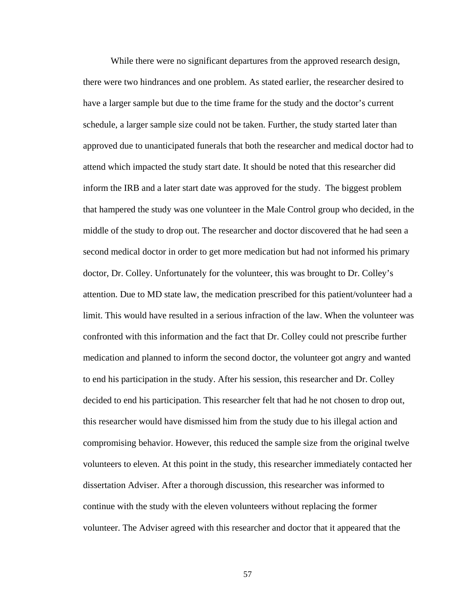While there were no significant departures from the approved research design, there were two hindrances and one problem. As stated earlier, the researcher desired to have a larger sample but due to the time frame for the study and the doctor's current schedule, a larger sample size could not be taken. Further, the study started later than approved due to unanticipated funerals that both the researcher and medical doctor had to attend which impacted the study start date. It should be noted that this researcher did inform the IRB and a later start date was approved for the study. The biggest problem that hampered the study was one volunteer in the Male Control group who decided, in the middle of the study to drop out. The researcher and doctor discovered that he had seen a second medical doctor in order to get more medication but had not informed his primary doctor, Dr. Colley. Unfortunately for the volunteer, this was brought to Dr. Colley's attention. Due to MD state law, the medication prescribed for this patient/volunteer had a limit. This would have resulted in a serious infraction of the law. When the volunteer was confronted with this information and the fact that Dr. Colley could not prescribe further medication and planned to inform the second doctor, the volunteer got angry and wanted to end his participation in the study. After his session, this researcher and Dr. Colley decided to end his participation. This researcher felt that had he not chosen to drop out, this researcher would have dismissed him from the study due to his illegal action and compromising behavior. However, this reduced the sample size from the original twelve volunteers to eleven. At this point in the study, this researcher immediately contacted her dissertation Adviser. After a thorough discussion, this researcher was informed to continue with the study with the eleven volunteers without replacing the former volunteer. The Adviser agreed with this researcher and doctor that it appeared that the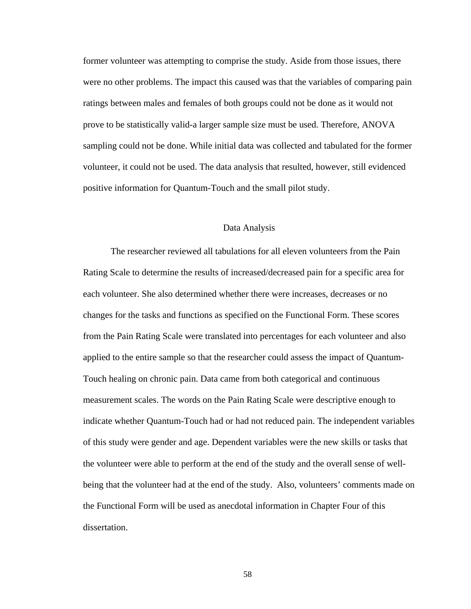former volunteer was attempting to comprise the study. Aside from those issues, there were no other problems. The impact this caused was that the variables of comparing pain ratings between males and females of both groups could not be done as it would not prove to be statistically valid-a larger sample size must be used. Therefore, ANOVA sampling could not be done. While initial data was collected and tabulated for the former volunteer, it could not be used. The data analysis that resulted, however, still evidenced positive information for Quantum-Touch and the small pilot study.

## Data Analysis

The researcher reviewed all tabulations for all eleven volunteers from the Pain Rating Scale to determine the results of increased/decreased pain for a specific area for each volunteer. She also determined whether there were increases, decreases or no changes for the tasks and functions as specified on the Functional Form. These scores from the Pain Rating Scale were translated into percentages for each volunteer and also applied to the entire sample so that the researcher could assess the impact of Quantum-Touch healing on chronic pain. Data came from both categorical and continuous measurement scales. The words on the Pain Rating Scale were descriptive enough to indicate whether Quantum-Touch had or had not reduced pain. The independent variables of this study were gender and age. Dependent variables were the new skills or tasks that the volunteer were able to perform at the end of the study and the overall sense of wellbeing that the volunteer had at the end of the study. Also, volunteers' comments made on the Functional Form will be used as anecdotal information in Chapter Four of this dissertation.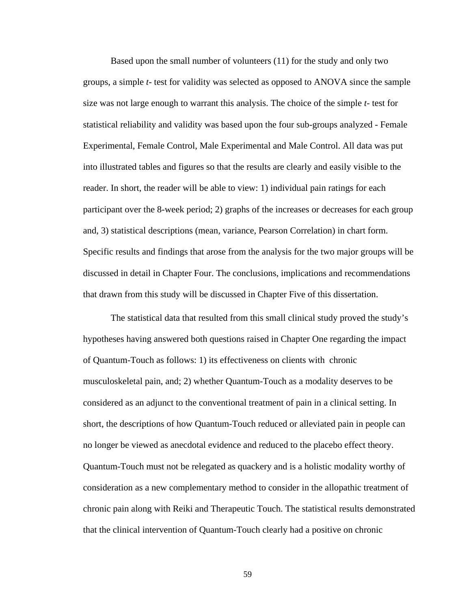Based upon the small number of volunteers (11) for the study and only two groups, a simple *t*- test for validity was selected as opposed to ANOVA since the sample size was not large enough to warrant this analysis. The choice of the simple *t*- test for statistical reliability and validity was based upon the four sub-groups analyzed - Female Experimental, Female Control, Male Experimental and Male Control. All data was put into illustrated tables and figures so that the results are clearly and easily visible to the reader. In short, the reader will be able to view: 1) individual pain ratings for each participant over the 8-week period; 2) graphs of the increases or decreases for each group and, 3) statistical descriptions (mean, variance, Pearson Correlation) in chart form. Specific results and findings that arose from the analysis for the two major groups will be discussed in detail in Chapter Four. The conclusions, implications and recommendations that drawn from this study will be discussed in Chapter Five of this dissertation.

The statistical data that resulted from this small clinical study proved the study's hypotheses having answered both questions raised in Chapter One regarding the impact of Quantum-Touch as follows: 1) its effectiveness on clients with chronic musculoskeletal pain, and; 2) whether Quantum-Touch as a modality deserves to be considered as an adjunct to the conventional treatment of pain in a clinical setting. In short, the descriptions of how Quantum-Touch reduced or alleviated pain in people can no longer be viewed as anecdotal evidence and reduced to the placebo effect theory. Quantum-Touch must not be relegated as quackery and is a holistic modality worthy of consideration as a new complementary method to consider in the allopathic treatment of chronic pain along with Reiki and Therapeutic Touch. The statistical results demonstrated that the clinical intervention of Quantum-Touch clearly had a positive on chronic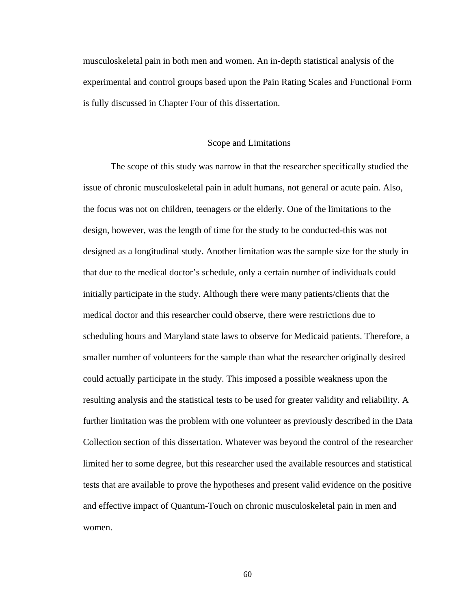musculoskeletal pain in both men and women. An in-depth statistical analysis of the experimental and control groups based upon the Pain Rating Scales and Functional Form is fully discussed in Chapter Four of this dissertation.

#### Scope and Limitations

The scope of this study was narrow in that the researcher specifically studied the issue of chronic musculoskeletal pain in adult humans, not general or acute pain. Also, the focus was not on children, teenagers or the elderly. One of the limitations to the design, however, was the length of time for the study to be conducted-this was not designed as a longitudinal study. Another limitation was the sample size for the study in that due to the medical doctor's schedule, only a certain number of individuals could initially participate in the study. Although there were many patients/clients that the medical doctor and this researcher could observe, there were restrictions due to scheduling hours and Maryland state laws to observe for Medicaid patients. Therefore, a smaller number of volunteers for the sample than what the researcher originally desired could actually participate in the study. This imposed a possible weakness upon the resulting analysis and the statistical tests to be used for greater validity and reliability. A further limitation was the problem with one volunteer as previously described in the Data Collection section of this dissertation. Whatever was beyond the control of the researcher limited her to some degree, but this researcher used the available resources and statistical tests that are available to prove the hypotheses and present valid evidence on the positive and effective impact of Quantum-Touch on chronic musculoskeletal pain in men and women.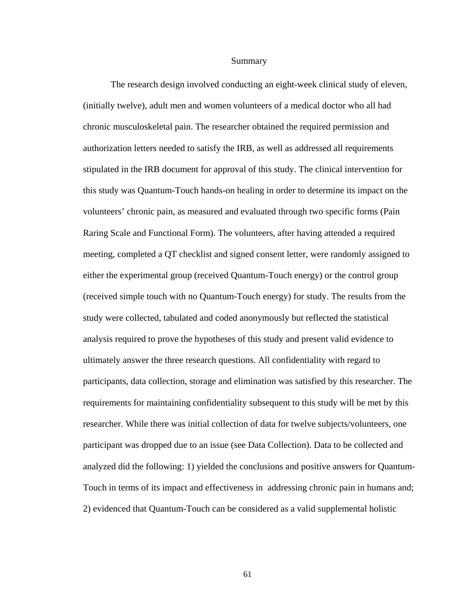#### Summary

The research design involved conducting an eight-week clinical study of eleven, (initially twelve), adult men and women volunteers of a medical doctor who all had chronic musculoskeletal pain. The researcher obtained the required permission and authorization letters needed to satisfy the IRB, as well as addressed all requirements stipulated in the IRB document for approval of this study. The clinical intervention for this study was Quantum-Touch hands-on healing in order to determine its impact on the volunteers' chronic pain, as measured and evaluated through two specific forms (Pain Raring Scale and Functional Form). The volunteers, after having attended a required meeting, completed a QT checklist and signed consent letter, were randomly assigned to either the experimental group (received Quantum-Touch energy) or the control group (received simple touch with no Quantum-Touch energy) for study. The results from the study were collected, tabulated and coded anonymously but reflected the statistical analysis required to prove the hypotheses of this study and present valid evidence to ultimately answer the three research questions. All confidentiality with regard to participants, data collection, storage and elimination was satisfied by this researcher. The requirements for maintaining confidentiality subsequent to this study will be met by this researcher. While there was initial collection of data for twelve subjects/volunteers, one participant was dropped due to an issue (see Data Collection). Data to be collected and analyzed did the following: 1) yielded the conclusions and positive answers for Quantum-Touch in terms of its impact and effectiveness in addressing chronic pain in humans and; 2) evidenced that Quantum-Touch can be considered as a valid supplemental holistic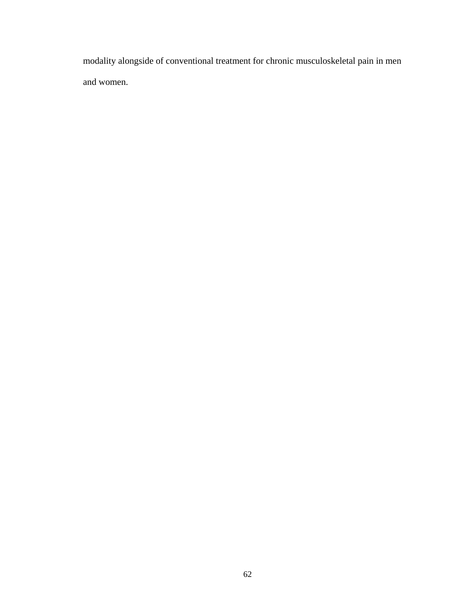modality alongside of conventional treatment for chronic musculoskeletal pain in men and women.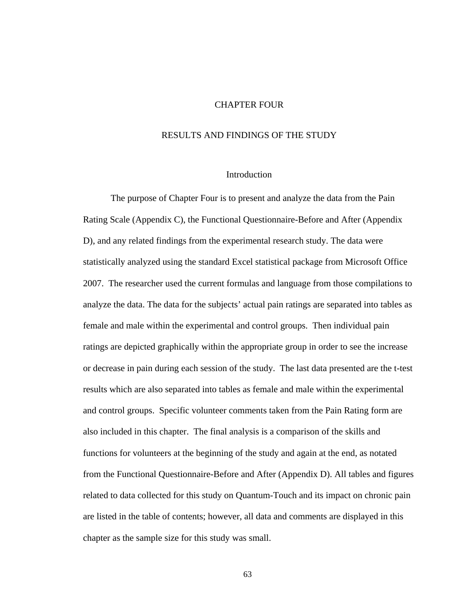### CHAPTER FOUR

## RESULTS AND FINDINGS OF THE STUDY

#### Introduction

The purpose of Chapter Four is to present and analyze the data from the Pain Rating Scale (Appendix C), the Functional Questionnaire-Before and After (Appendix D), and any related findings from the experimental research study. The data were statistically analyzed using the standard Excel statistical package from Microsoft Office 2007. The researcher used the current formulas and language from those compilations to analyze the data. The data for the subjects' actual pain ratings are separated into tables as female and male within the experimental and control groups. Then individual pain ratings are depicted graphically within the appropriate group in order to see the increase or decrease in pain during each session of the study. The last data presented are the t-test results which are also separated into tables as female and male within the experimental and control groups. Specific volunteer comments taken from the Pain Rating form are also included in this chapter. The final analysis is a comparison of the skills and functions for volunteers at the beginning of the study and again at the end, as notated from the Functional Questionnaire-Before and After (Appendix D). All tables and figures related to data collected for this study on Quantum-Touch and its impact on chronic pain are listed in the table of contents; however, all data and comments are displayed in this chapter as the sample size for this study was small.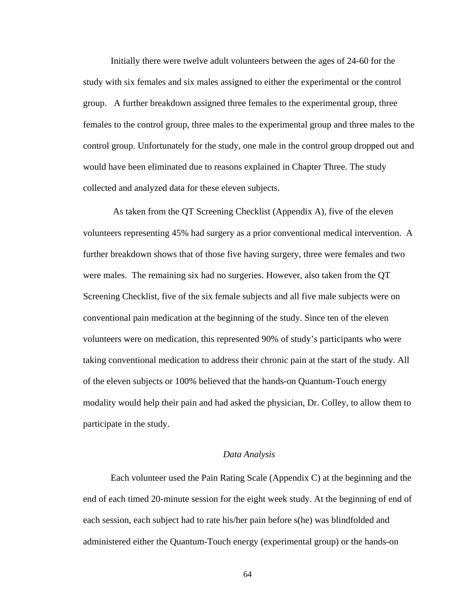Initially there were twelve adult volunteers between the ages of 24-60 for the study with six females and six males assigned to either the experimental or the control group. A further breakdown assigned three females to the experimental group, three females to the control group, three males to the experimental group and three males to the control group. Unfortunately for the study, one male in the control group dropped out and would have been eliminated due to reasons explained in Chapter Three. The study collected and analyzed data for these eleven subjects.

 As taken from the QT Screening Checklist (Appendix A), five of the eleven volunteers representing 45% had surgery as a prior conventional medical intervention. A further breakdown shows that of those five having surgery, three were females and two were males. The remaining six had no surgeries. However, also taken from the QT Screening Checklist, five of the six female subjects and all five male subjects were on conventional pain medication at the beginning of the study. Since ten of the eleven volunteers were on medication, this represented 90% of study's participants who were taking conventional medication to address their chronic pain at the start of the study. All of the eleven subjects or 100% believed that the hands-on Quantum-Touch energy modality would help their pain and had asked the physician, Dr. Colley, to allow them to participate in the study.

#### *Data Analysis*

Each volunteer used the Pain Rating Scale (Appendix C) at the beginning and the end of each timed 20-minute session for the eight week study. At the beginning of end of each session, each subject had to rate his/her pain before s(he) was blindfolded and administered either the Quantum-Touch energy (experimental group) or the hands-on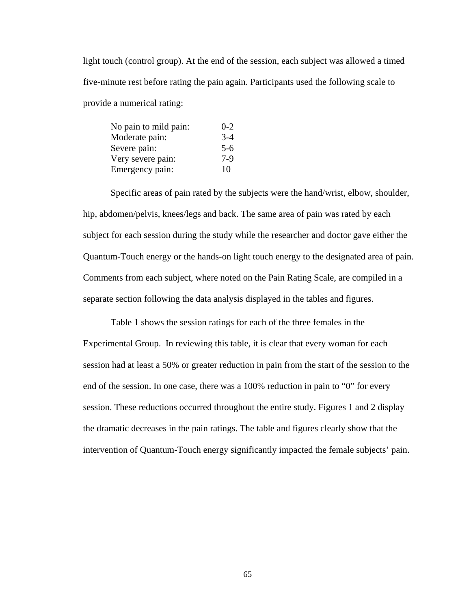light touch (control group). At the end of the session, each subject was allowed a timed five-minute rest before rating the pain again. Participants used the following scale to provide a numerical rating:

| No pain to mild pain: | $0 - 2$ |
|-----------------------|---------|
| Moderate pain:        | $3-4$   |
| Severe pain:          | $5-6$   |
| Very severe pain:     | $7-9$   |
| Emergency pain:       | 10      |

Specific areas of pain rated by the subjects were the hand/wrist, elbow, shoulder, hip, abdomen/pelvis, knees/legs and back. The same area of pain was rated by each subject for each session during the study while the researcher and doctor gave either the Quantum-Touch energy or the hands-on light touch energy to the designated area of pain. Comments from each subject, where noted on the Pain Rating Scale, are compiled in a separate section following the data analysis displayed in the tables and figures.

Table 1 shows the session ratings for each of the three females in the Experimental Group. In reviewing this table, it is clear that every woman for each session had at least a 50% or greater reduction in pain from the start of the session to the end of the session. In one case, there was a 100% reduction in pain to "0" for every session. These reductions occurred throughout the entire study. Figures 1 and 2 display the dramatic decreases in the pain ratings. The table and figures clearly show that the intervention of Quantum-Touch energy significantly impacted the female subjects' pain.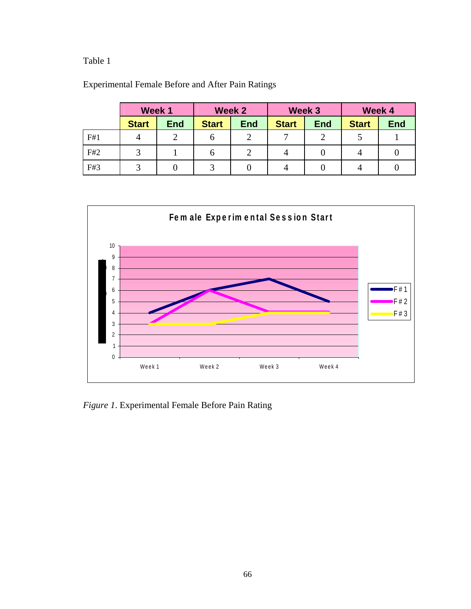# Table 1

|     | Week 1       |            |              | Week 2     | Week 3       |            |              | Week 4     |
|-----|--------------|------------|--------------|------------|--------------|------------|--------------|------------|
|     | <b>Start</b> | <b>End</b> | <b>Start</b> | <b>End</b> | <b>Start</b> | <b>End</b> | <b>Start</b> | <b>End</b> |
| F#1 | 4            |            | O            |            | −            |            |              |            |
| F#2 | 2            |            | n            |            | 4            | U          | 4            |            |
| F#3 | ⌒            |            |              |            |              |            | 4            |            |

Experimental Female Before and After Pain Ratings



*Figure 1*. Experimental Female Before Pain Rating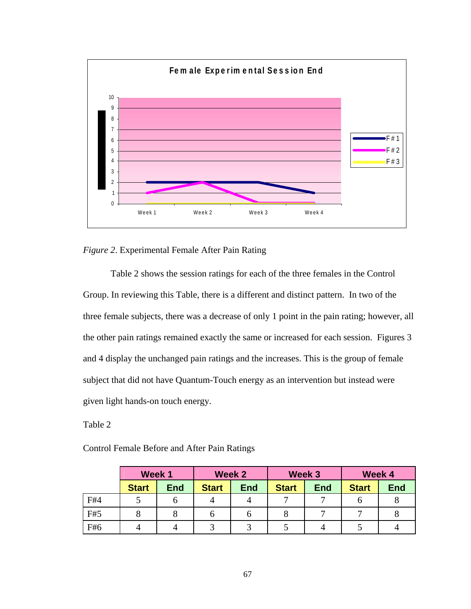

## *Figure 2*. Experimental Female After Pain Rating

Table 2 shows the session ratings for each of the three females in the Control Group. In reviewing this Table, there is a different and distinct pattern. In two of the three female subjects, there was a decrease of only 1 point in the pain rating; however, all the other pain ratings remained exactly the same or increased for each session. Figures 3 and 4 display the unchanged pain ratings and the increases. This is the group of female subject that did not have Quantum-Touch energy as an intervention but instead were given light hands-on touch energy.

Table 2

Control Female Before and After Pain Ratings

|     | Week 1       |            | Week 2       |            | Week 3       |            | Week 4       |            |
|-----|--------------|------------|--------------|------------|--------------|------------|--------------|------------|
|     | <b>Start</b> | <b>End</b> | <b>Start</b> | <b>End</b> | <b>Start</b> | <b>End</b> | <b>Start</b> | <b>End</b> |
| F#4 |              |            |              |            | −            | –          |              |            |
| F#5 |              |            | O            | O          |              |            |              |            |
| F#6 |              |            |              |            |              |            |              |            |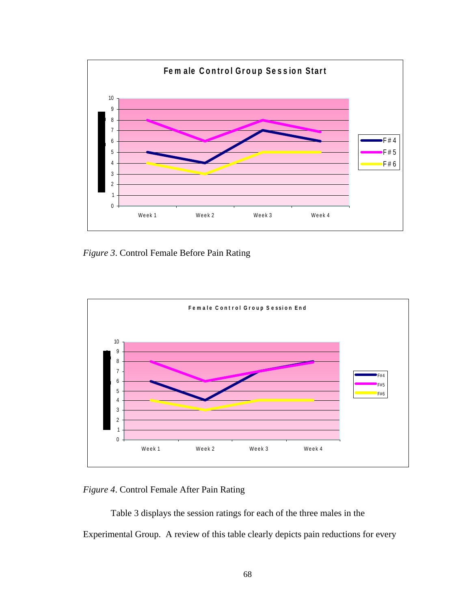

*Figure 3*. Control Female Before Pain Rating



*Figure 4*. Control Female After Pain Rating

Table 3 displays the session ratings for each of the three males in the Experimental Group. A review of this table clearly depicts pain reductions for every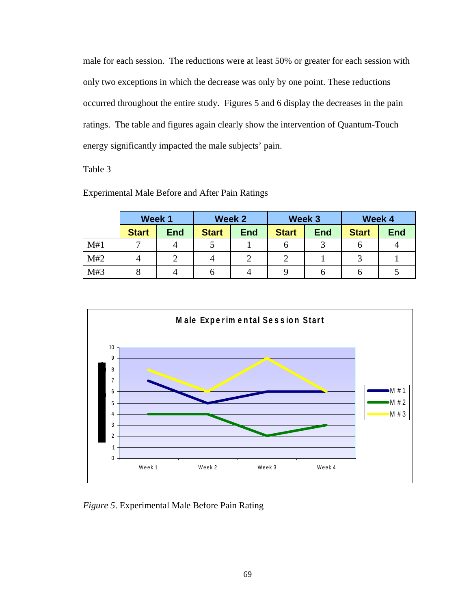male for each session. The reductions were at least 50% or greater for each session with only two exceptions in which the decrease was only by one point. These reductions occurred throughout the entire study. Figures 5 and 6 display the decreases in the pain ratings. The table and figures again clearly show the intervention of Quantum-Touch energy significantly impacted the male subjects' pain.

Table 3

|     | Week 1       |            | Week 2       |            | Week 3       |            | Week 4       |            |
|-----|--------------|------------|--------------|------------|--------------|------------|--------------|------------|
|     | <b>Start</b> | <b>End</b> | <b>Start</b> | <b>End</b> | <b>Start</b> | <b>End</b> | <b>Start</b> | <b>End</b> |
| M#1 | −            | 4          |              |            | O            |            | O            |            |
| M#2 | 4            |            |              |            |              |            |              |            |
| M#3 |              | 4          |              |            |              | n          | O            |            |

Experimental Male Before and After Pain Ratings



*Figure 5*. Experimental Male Before Pain Rating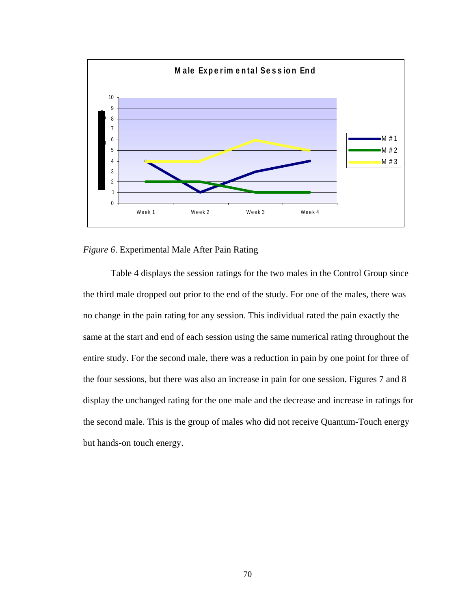

## *Figure 6*. Experimental Male After Pain Rating

Table 4 displays the session ratings for the two males in the Control Group since the third male dropped out prior to the end of the study. For one of the males, there was no change in the pain rating for any session. This individual rated the pain exactly the same at the start and end of each session using the same numerical rating throughout the entire study. For the second male, there was a reduction in pain by one point for three of the four sessions, but there was also an increase in pain for one session. Figures 7 and 8 display the unchanged rating for the one male and the decrease and increase in ratings for the second male. This is the group of males who did not receive Quantum-Touch energy but hands-on touch energy.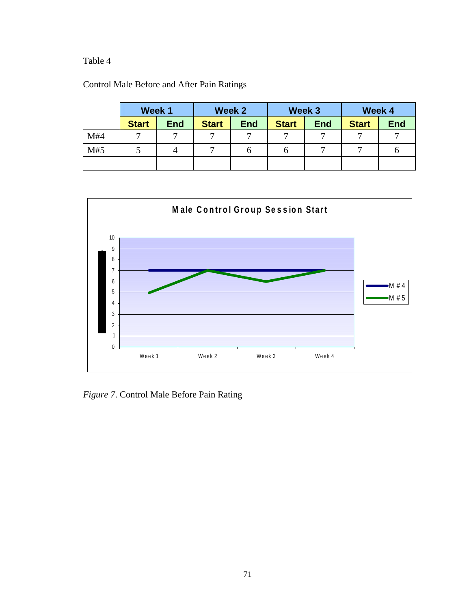# Table 4

| Control Male Before and After Pain Ratings |  |
|--------------------------------------------|--|
|--------------------------------------------|--|

|     | Week 1       |            |              | Week 2     |              | Week 3     |              | Week 4     |
|-----|--------------|------------|--------------|------------|--------------|------------|--------------|------------|
|     | <b>Start</b> | <b>End</b> | <b>Start</b> | <b>End</b> | <b>Start</b> | <b>End</b> | <b>Start</b> | <b>End</b> |
| M#4 | −            | 冖          |              | ⇁          | 冖            |            |              |            |
| M#5 |              |            |              | O          | O            |            |              |            |
|     |              |            |              |            |              |            |              |            |



*Figure 7*. Control Male Before Pain Rating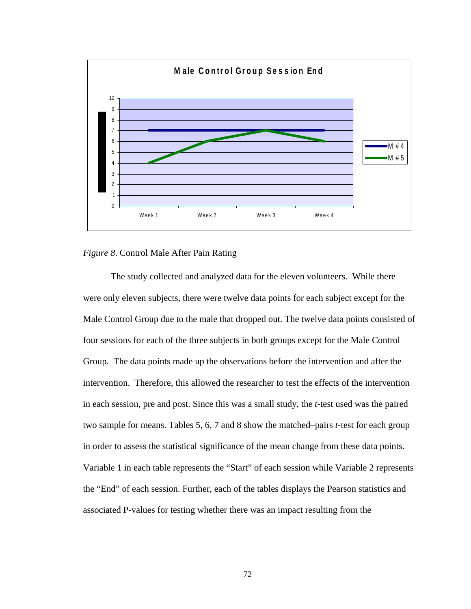

## *Figure 8*. Control Male After Pain Rating

The study collected and analyzed data for the eleven volunteers. While there were only eleven subjects, there were twelve data points for each subject except for the Male Control Group due to the male that dropped out. The twelve data points consisted of four sessions for each of the three subjects in both groups except for the Male Control Group. The data points made up the observations before the intervention and after the intervention. Therefore, this allowed the researcher to test the effects of the intervention in each session, pre and post. Since this was a small study, the *t*-test used was the paired two sample for means. Tables 5, 6, 7 and 8 show the matched–pairs *t*-test for each group in order to assess the statistical significance of the mean change from these data points. Variable 1 in each table represents the "Start" of each session while Variable 2 represents the "End" of each session. Further, each of the tables displays the Pearson statistics and associated P-values for testing whether there was an impact resulting from the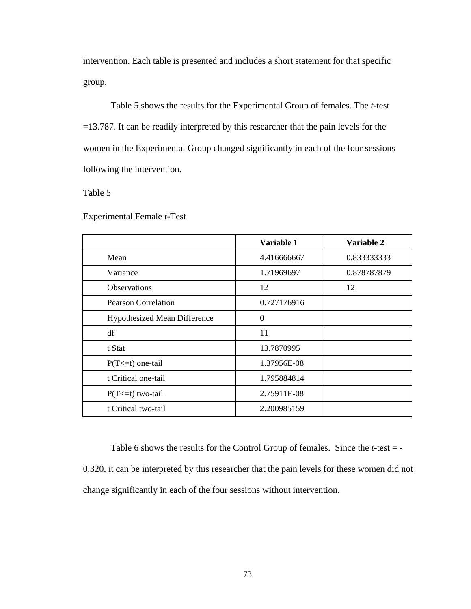intervention. Each table is presented and includes a short statement for that specific group.

Table 5 shows the results for the Experimental Group of females. The *t-*test =13.787. It can be readily interpreted by this researcher that the pain levels for the women in the Experimental Group changed significantly in each of the four sessions following the intervention.

Table 5

Experimental Female *t*-Test

|                                     | Variable 1  | Variable 2  |
|-------------------------------------|-------------|-------------|
| Mean                                | 4.416666667 | 0.833333333 |
| Variance                            | 1.71969697  | 0.878787879 |
| <b>Observations</b>                 | 12          | 12          |
| <b>Pearson Correlation</b>          | 0.727176916 |             |
| <b>Hypothesized Mean Difference</b> | $\theta$    |             |
| df                                  | 11          |             |
| t Stat                              | 13.7870995  |             |
| $P(T \le t)$ one-tail               | 1.37956E-08 |             |
| t Critical one-tail                 | 1.795884814 |             |
| $P(T \le t)$ two-tail               | 2.75911E-08 |             |
| t Critical two-tail                 | 2.200985159 |             |

Table 6 shows the results for the Control Group of females. Since the *t*-test = - 0.320, it can be interpreted by this researcher that the pain levels for these women did not change significantly in each of the four sessions without intervention.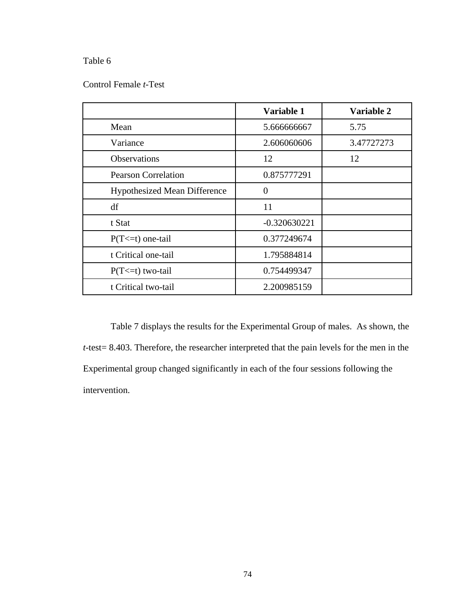# Table 6

## Control Female *t*-Test

|                                     | Variable 1     | Variable 2 |
|-------------------------------------|----------------|------------|
| Mean                                | 5.666666667    | 5.75       |
| Variance                            | 2.606060606    | 3.47727273 |
| <b>Observations</b>                 | 12             | 12         |
| <b>Pearson Correlation</b>          | 0.875777291    |            |
| <b>Hypothesized Mean Difference</b> | $\overline{0}$ |            |
| df                                  | 11             |            |
| t Stat                              | $-0.320630221$ |            |
| $P(T \le t)$ one-tail               | 0.377249674    |            |
| t Critical one-tail                 | 1.795884814    |            |
| $P(T \le t)$ two-tail               | 0.754499347    |            |
| t Critical two-tail                 | 2.200985159    |            |

Table 7 displays the results for the Experimental Group of males. As shown, the *t*-test= 8.403. Therefore, the researcher interpreted that the pain levels for the men in the Experimental group changed significantly in each of the four sessions following the intervention.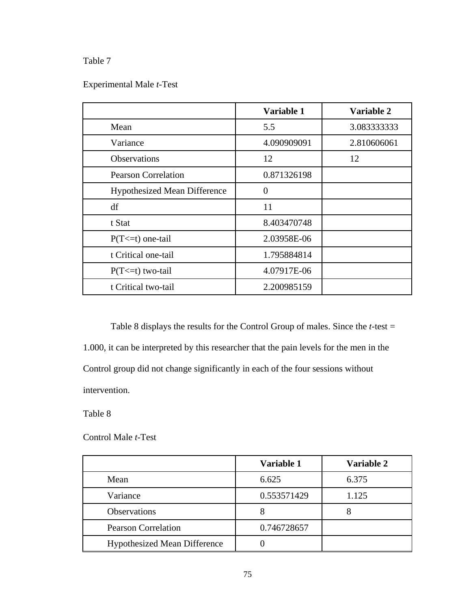# Table 7

# Experimental Male *t*-Test

|                              | Variable 1     | Variable 2  |
|------------------------------|----------------|-------------|
| Mean                         | 5.5            | 3.083333333 |
| Variance                     | 4.090909091    | 2.810606061 |
| <b>Observations</b>          | 12             | 12          |
| <b>Pearson Correlation</b>   | 0.871326198    |             |
| Hypothesized Mean Difference | $\overline{0}$ |             |
| df                           | 11             |             |
| t Stat                       | 8.403470748    |             |
| $P(T \le t)$ one-tail        | 2.03958E-06    |             |
| t Critical one-tail          | 1.795884814    |             |
| $P(T \le t)$ two-tail        | 4.07917E-06    |             |
| t Critical two-tail          | 2.200985159    |             |

Table 8 displays the results for the Control Group of males. Since the *t*-test = 1.000, it can be interpreted by this researcher that the pain levels for the men in the Control group did not change significantly in each of the four sessions without intervention.

Table 8

## Control Male *t*-Test

|                                     | Variable 1  | Variable 2 |
|-------------------------------------|-------------|------------|
| Mean                                | 6.625       | 6.375      |
| Variance                            | 0.553571429 | 1.125      |
| <b>Observations</b>                 |             |            |
| <b>Pearson Correlation</b>          | 0.746728657 |            |
| <b>Hypothesized Mean Difference</b> |             |            |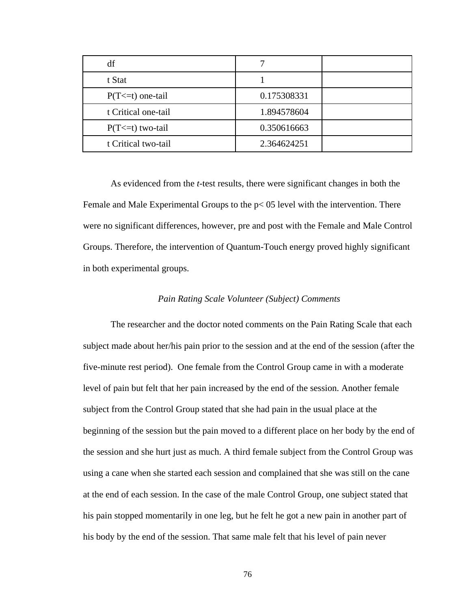| df                    |             |  |
|-----------------------|-------------|--|
| t Stat                |             |  |
| $P(T \le t)$ one-tail | 0.175308331 |  |
| t Critical one-tail   | 1.894578604 |  |
| $P(T \le t)$ two-tail | 0.350616663 |  |
| t Critical two-tail   | 2.364624251 |  |

As evidenced from the *t*-test results, there were significant changes in both the Female and Male Experimental Groups to the p< 05 level with the intervention. There were no significant differences, however, pre and post with the Female and Male Control Groups. Therefore, the intervention of Quantum-Touch energy proved highly significant in both experimental groups.

## *Pain Rating Scale Volunteer (Subject) Comments*

The researcher and the doctor noted comments on the Pain Rating Scale that each subject made about her/his pain prior to the session and at the end of the session (after the five-minute rest period). One female from the Control Group came in with a moderate level of pain but felt that her pain increased by the end of the session. Another female subject from the Control Group stated that she had pain in the usual place at the beginning of the session but the pain moved to a different place on her body by the end of the session and she hurt just as much. A third female subject from the Control Group was using a cane when she started each session and complained that she was still on the cane at the end of each session. In the case of the male Control Group, one subject stated that his pain stopped momentarily in one leg, but he felt he got a new pain in another part of his body by the end of the session. That same male felt that his level of pain never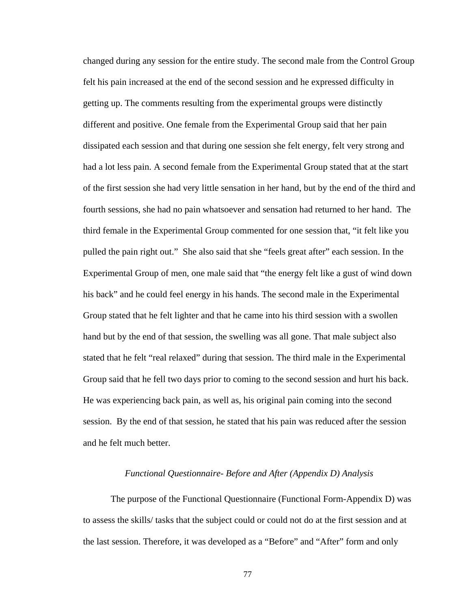changed during any session for the entire study. The second male from the Control Group felt his pain increased at the end of the second session and he expressed difficulty in getting up. The comments resulting from the experimental groups were distinctly different and positive. One female from the Experimental Group said that her pain dissipated each session and that during one session she felt energy, felt very strong and had a lot less pain. A second female from the Experimental Group stated that at the start of the first session she had very little sensation in her hand, but by the end of the third and fourth sessions, she had no pain whatsoever and sensation had returned to her hand. The third female in the Experimental Group commented for one session that, "it felt like you pulled the pain right out." She also said that she "feels great after" each session. In the Experimental Group of men, one male said that "the energy felt like a gust of wind down his back" and he could feel energy in his hands. The second male in the Experimental Group stated that he felt lighter and that he came into his third session with a swollen hand but by the end of that session, the swelling was all gone. That male subject also stated that he felt "real relaxed" during that session. The third male in the Experimental Group said that he fell two days prior to coming to the second session and hurt his back. He was experiencing back pain, as well as, his original pain coming into the second session. By the end of that session, he stated that his pain was reduced after the session and he felt much better.

## *Functional Questionnaire- Before and After (Appendix D) Analysis*

The purpose of the Functional Questionnaire (Functional Form-Appendix D) was to assess the skills/ tasks that the subject could or could not do at the first session and at the last session. Therefore, it was developed as a "Before" and "After" form and only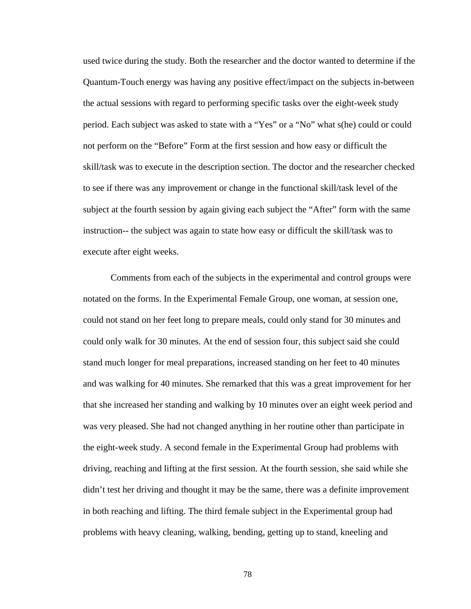used twice during the study. Both the researcher and the doctor wanted to determine if the Quantum-Touch energy was having any positive effect/impact on the subjects in-between the actual sessions with regard to performing specific tasks over the eight-week study period. Each subject was asked to state with a "Yes" or a "No" what s(he) could or could not perform on the "Before" Form at the first session and how easy or difficult the skill/task was to execute in the description section. The doctor and the researcher checked to see if there was any improvement or change in the functional skill/task level of the subject at the fourth session by again giving each subject the "After" form with the same instruction-- the subject was again to state how easy or difficult the skill/task was to execute after eight weeks.

Comments from each of the subjects in the experimental and control groups were notated on the forms. In the Experimental Female Group, one woman, at session one, could not stand on her feet long to prepare meals, could only stand for 30 minutes and could only walk for 30 minutes. At the end of session four, this subject said she could stand much longer for meal preparations, increased standing on her feet to 40 minutes and was walking for 40 minutes. She remarked that this was a great improvement for her that she increased her standing and walking by 10 minutes over an eight week period and was very pleased. She had not changed anything in her routine other than participate in the eight-week study. A second female in the Experimental Group had problems with driving, reaching and lifting at the first session. At the fourth session, she said while she didn't test her driving and thought it may be the same, there was a definite improvement in both reaching and lifting. The third female subject in the Experimental group had problems with heavy cleaning, walking, bending, getting up to stand, kneeling and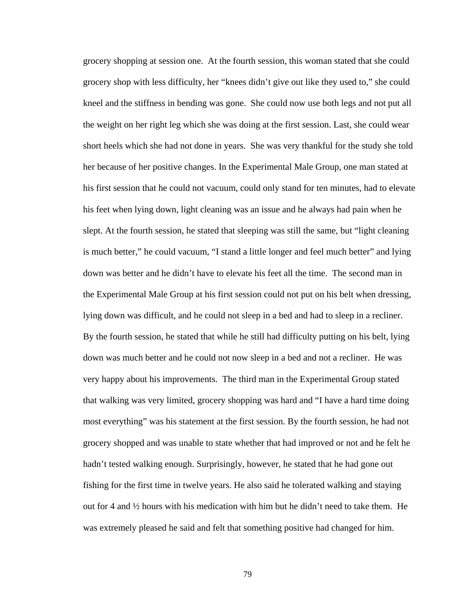grocery shopping at session one. At the fourth session, this woman stated that she could grocery shop with less difficulty, her "knees didn't give out like they used to," she could kneel and the stiffness in bending was gone. She could now use both legs and not put all the weight on her right leg which she was doing at the first session. Last, she could wear short heels which she had not done in years. She was very thankful for the study she told her because of her positive changes. In the Experimental Male Group, one man stated at his first session that he could not vacuum, could only stand for ten minutes, had to elevate his feet when lying down, light cleaning was an issue and he always had pain when he slept. At the fourth session, he stated that sleeping was still the same, but "light cleaning is much better," he could vacuum, "I stand a little longer and feel much better" and lying down was better and he didn't have to elevate his feet all the time. The second man in the Experimental Male Group at his first session could not put on his belt when dressing, lying down was difficult, and he could not sleep in a bed and had to sleep in a recliner. By the fourth session, he stated that while he still had difficulty putting on his belt, lying down was much better and he could not now sleep in a bed and not a recliner. He was very happy about his improvements. The third man in the Experimental Group stated that walking was very limited, grocery shopping was hard and "I have a hard time doing most everything" was his statement at the first session. By the fourth session, he had not grocery shopped and was unable to state whether that had improved or not and he felt he hadn't tested walking enough. Surprisingly, however, he stated that he had gone out fishing for the first time in twelve years. He also said he tolerated walking and staying out for 4 and  $\frac{1}{2}$  hours with his medication with him but he didn't need to take them. He was extremely pleased he said and felt that something positive had changed for him.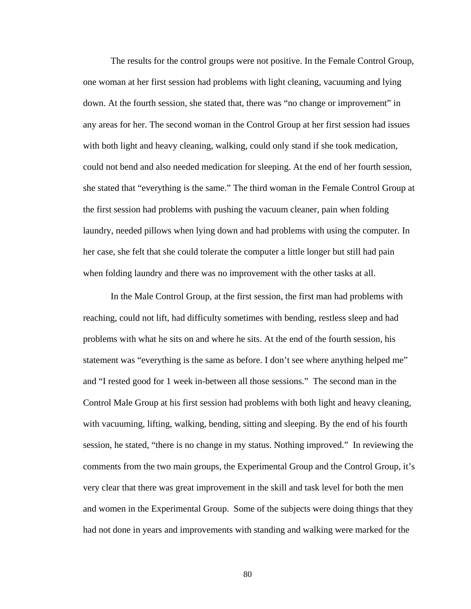The results for the control groups were not positive. In the Female Control Group, one woman at her first session had problems with light cleaning, vacuuming and lying down. At the fourth session, she stated that, there was "no change or improvement" in any areas for her. The second woman in the Control Group at her first session had issues with both light and heavy cleaning, walking, could only stand if she took medication, could not bend and also needed medication for sleeping. At the end of her fourth session, she stated that "everything is the same." The third woman in the Female Control Group at the first session had problems with pushing the vacuum cleaner, pain when folding laundry, needed pillows when lying down and had problems with using the computer. In her case, she felt that she could tolerate the computer a little longer but still had pain when folding laundry and there was no improvement with the other tasks at all.

In the Male Control Group, at the first session, the first man had problems with reaching, could not lift, had difficulty sometimes with bending, restless sleep and had problems with what he sits on and where he sits. At the end of the fourth session, his statement was "everything is the same as before. I don't see where anything helped me" and "I rested good for 1 week in-between all those sessions." The second man in the Control Male Group at his first session had problems with both light and heavy cleaning, with vacuuming, lifting, walking, bending, sitting and sleeping. By the end of his fourth session, he stated, "there is no change in my status. Nothing improved." In reviewing the comments from the two main groups, the Experimental Group and the Control Group, it's very clear that there was great improvement in the skill and task level for both the men and women in the Experimental Group. Some of the subjects were doing things that they had not done in years and improvements with standing and walking were marked for the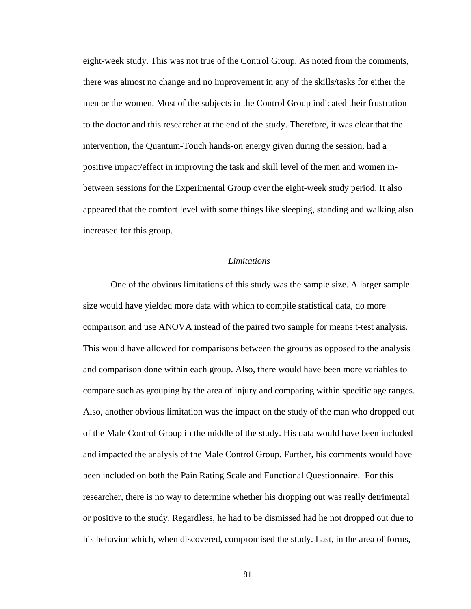eight-week study. This was not true of the Control Group. As noted from the comments, there was almost no change and no improvement in any of the skills/tasks for either the men or the women. Most of the subjects in the Control Group indicated their frustration to the doctor and this researcher at the end of the study. Therefore, it was clear that the intervention, the Quantum-Touch hands-on energy given during the session, had a positive impact/effect in improving the task and skill level of the men and women inbetween sessions for the Experimental Group over the eight-week study period. It also appeared that the comfort level with some things like sleeping, standing and walking also increased for this group.

#### *Limitations*

One of the obvious limitations of this study was the sample size. A larger sample size would have yielded more data with which to compile statistical data, do more comparison and use ANOVA instead of the paired two sample for means t-test analysis. This would have allowed for comparisons between the groups as opposed to the analysis and comparison done within each group. Also, there would have been more variables to compare such as grouping by the area of injury and comparing within specific age ranges. Also, another obvious limitation was the impact on the study of the man who dropped out of the Male Control Group in the middle of the study. His data would have been included and impacted the analysis of the Male Control Group. Further, his comments would have been included on both the Pain Rating Scale and Functional Questionnaire. For this researcher, there is no way to determine whether his dropping out was really detrimental or positive to the study. Regardless, he had to be dismissed had he not dropped out due to his behavior which, when discovered, compromised the study. Last, in the area of forms,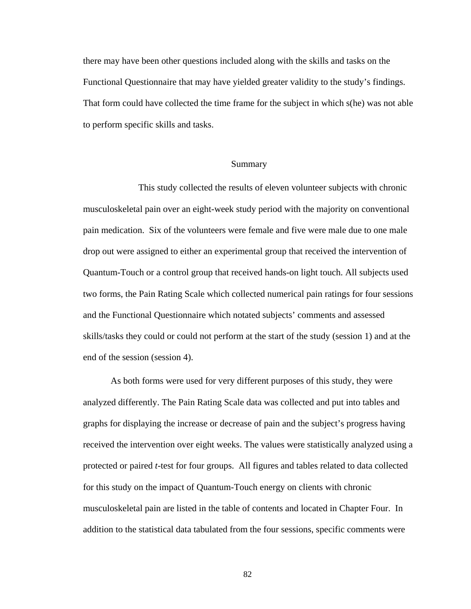there may have been other questions included along with the skills and tasks on the Functional Questionnaire that may have yielded greater validity to the study's findings. That form could have collected the time frame for the subject in which s(he) was not able to perform specific skills and tasks.

## Summary

 This study collected the results of eleven volunteer subjects with chronic musculoskeletal pain over an eight-week study period with the majority on conventional pain medication. Six of the volunteers were female and five were male due to one male drop out were assigned to either an experimental group that received the intervention of Quantum-Touch or a control group that received hands-on light touch. All subjects used two forms, the Pain Rating Scale which collected numerical pain ratings for four sessions and the Functional Questionnaire which notated subjects' comments and assessed skills/tasks they could or could not perform at the start of the study (session 1) and at the end of the session (session 4).

As both forms were used for very different purposes of this study, they were analyzed differently. The Pain Rating Scale data was collected and put into tables and graphs for displaying the increase or decrease of pain and the subject's progress having received the intervention over eight weeks. The values were statistically analyzed using a protected or paired *t*-test for four groups. All figures and tables related to data collected for this study on the impact of Quantum-Touch energy on clients with chronic musculoskeletal pain are listed in the table of contents and located in Chapter Four. In addition to the statistical data tabulated from the four sessions, specific comments were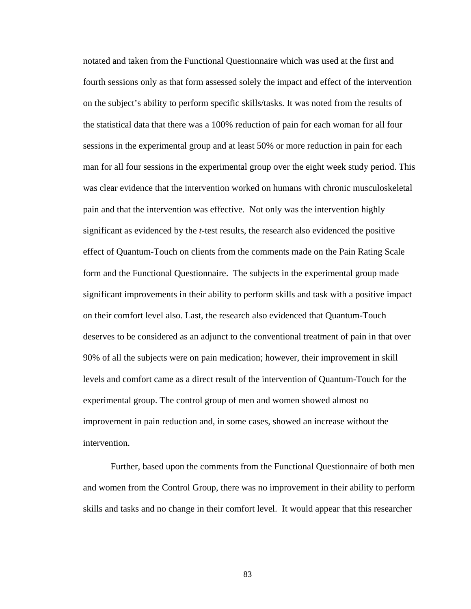notated and taken from the Functional Questionnaire which was used at the first and fourth sessions only as that form assessed solely the impact and effect of the intervention on the subject's ability to perform specific skills/tasks. It was noted from the results of the statistical data that there was a 100% reduction of pain for each woman for all four sessions in the experimental group and at least 50% or more reduction in pain for each man for all four sessions in the experimental group over the eight week study period. This was clear evidence that the intervention worked on humans with chronic musculoskeletal pain and that the intervention was effective. Not only was the intervention highly significant as evidenced by the *t*-test results, the research also evidenced the positive effect of Quantum-Touch on clients from the comments made on the Pain Rating Scale form and the Functional Questionnaire. The subjects in the experimental group made significant improvements in their ability to perform skills and task with a positive impact on their comfort level also. Last, the research also evidenced that Quantum-Touch deserves to be considered as an adjunct to the conventional treatment of pain in that over 90% of all the subjects were on pain medication; however, their improvement in skill levels and comfort came as a direct result of the intervention of Quantum-Touch for the experimental group. The control group of men and women showed almost no improvement in pain reduction and, in some cases, showed an increase without the intervention.

Further, based upon the comments from the Functional Questionnaire of both men and women from the Control Group, there was no improvement in their ability to perform skills and tasks and no change in their comfort level. It would appear that this researcher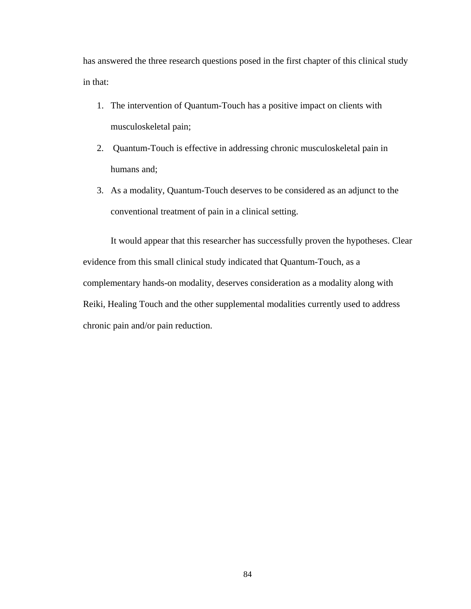has answered the three research questions posed in the first chapter of this clinical study in that:

- 1. The intervention of Quantum-Touch has a positive impact on clients with musculoskeletal pain;
- 2. Quantum-Touch is effective in addressing chronic musculoskeletal pain in humans and;
- 3. As a modality, Quantum-Touch deserves to be considered as an adjunct to the conventional treatment of pain in a clinical setting.

It would appear that this researcher has successfully proven the hypotheses. Clear evidence from this small clinical study indicated that Quantum-Touch, as a complementary hands-on modality, deserves consideration as a modality along with Reiki, Healing Touch and the other supplemental modalities currently used to address chronic pain and/or pain reduction.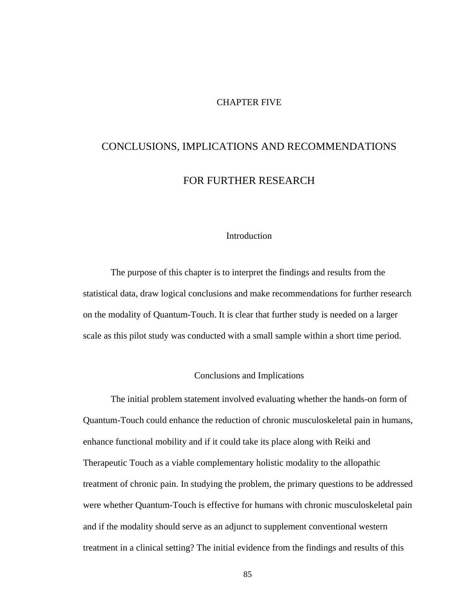## CHAPTER FIVE

# CONCLUSIONS, IMPLICATIONS AND RECOMMENDATIONS

## FOR FURTHER RESEARCH

## Introduction

The purpose of this chapter is to interpret the findings and results from the statistical data, draw logical conclusions and make recommendations for further research on the modality of Quantum-Touch. It is clear that further study is needed on a larger scale as this pilot study was conducted with a small sample within a short time period.

## Conclusions and Implications

The initial problem statement involved evaluating whether the hands-on form of Quantum-Touch could enhance the reduction of chronic musculoskeletal pain in humans, enhance functional mobility and if it could take its place along with Reiki and Therapeutic Touch as a viable complementary holistic modality to the allopathic treatment of chronic pain. In studying the problem, the primary questions to be addressed were whether Quantum-Touch is effective for humans with chronic musculoskeletal pain and if the modality should serve as an adjunct to supplement conventional western treatment in a clinical setting? The initial evidence from the findings and results of this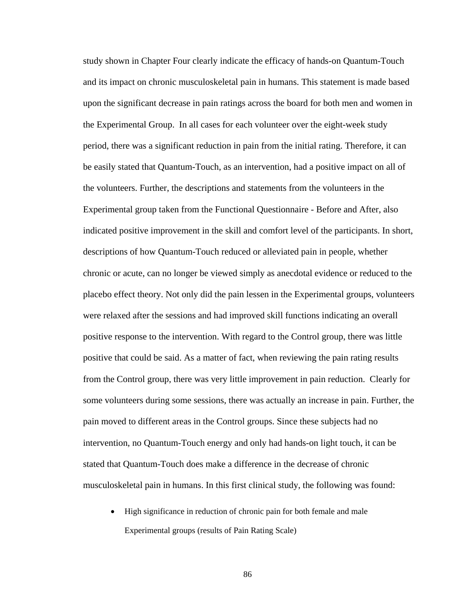study shown in Chapter Four clearly indicate the efficacy of hands-on Quantum-Touch and its impact on chronic musculoskeletal pain in humans. This statement is made based upon the significant decrease in pain ratings across the board for both men and women in the Experimental Group. In all cases for each volunteer over the eight-week study period, there was a significant reduction in pain from the initial rating. Therefore, it can be easily stated that Quantum-Touch, as an intervention, had a positive impact on all of the volunteers. Further, the descriptions and statements from the volunteers in the Experimental group taken from the Functional Questionnaire - Before and After, also indicated positive improvement in the skill and comfort level of the participants. In short, descriptions of how Quantum-Touch reduced or alleviated pain in people, whether chronic or acute, can no longer be viewed simply as anecdotal evidence or reduced to the placebo effect theory. Not only did the pain lessen in the Experimental groups, volunteers were relaxed after the sessions and had improved skill functions indicating an overall positive response to the intervention. With regard to the Control group, there was little positive that could be said. As a matter of fact, when reviewing the pain rating results from the Control group, there was very little improvement in pain reduction. Clearly for some volunteers during some sessions, there was actually an increase in pain. Further, the pain moved to different areas in the Control groups. Since these subjects had no intervention, no Quantum-Touch energy and only had hands-on light touch, it can be stated that Quantum-Touch does make a difference in the decrease of chronic musculoskeletal pain in humans. In this first clinical study, the following was found:

• High significance in reduction of chronic pain for both female and male Experimental groups (results of Pain Rating Scale)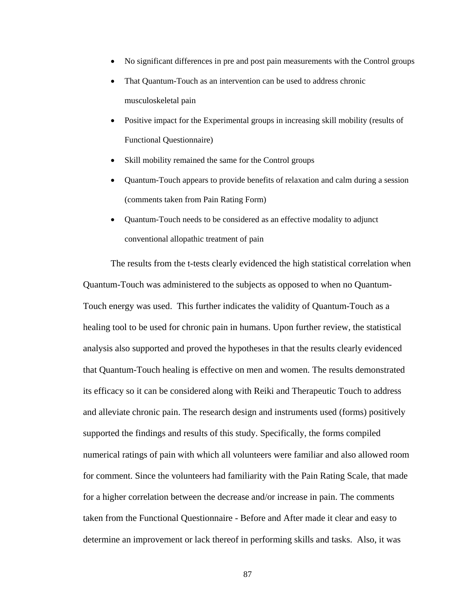- No significant differences in pre and post pain measurements with the Control groups
- That Quantum-Touch as an intervention can be used to address chronic musculoskeletal pain
- Positive impact for the Experimental groups in increasing skill mobility (results of Functional Questionnaire)
- Skill mobility remained the same for the Control groups
- Quantum-Touch appears to provide benefits of relaxation and calm during a session (comments taken from Pain Rating Form)
- Quantum-Touch needs to be considered as an effective modality to adjunct conventional allopathic treatment of pain

The results from the t-tests clearly evidenced the high statistical correlation when Quantum-Touch was administered to the subjects as opposed to when no Quantum-Touch energy was used. This further indicates the validity of Quantum-Touch as a healing tool to be used for chronic pain in humans. Upon further review, the statistical analysis also supported and proved the hypotheses in that the results clearly evidenced that Quantum-Touch healing is effective on men and women. The results demonstrated its efficacy so it can be considered along with Reiki and Therapeutic Touch to address and alleviate chronic pain. The research design and instruments used (forms) positively supported the findings and results of this study. Specifically, the forms compiled numerical ratings of pain with which all volunteers were familiar and also allowed room for comment. Since the volunteers had familiarity with the Pain Rating Scale, that made for a higher correlation between the decrease and/or increase in pain. The comments taken from the Functional Questionnaire - Before and After made it clear and easy to determine an improvement or lack thereof in performing skills and tasks. Also, it was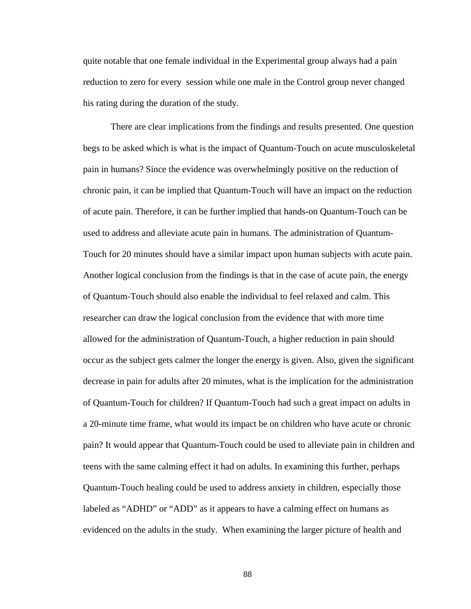quite notable that one female individual in the Experimental group always had a pain reduction to zero for every session while one male in the Control group never changed his rating during the duration of the study.

There are clear implications from the findings and results presented. One question begs to be asked which is what is the impact of Quantum-Touch on acute musculoskeletal pain in humans? Since the evidence was overwhelmingly positive on the reduction of chronic pain, it can be implied that Quantum-Touch will have an impact on the reduction of acute pain. Therefore, it can be further implied that hands-on Quantum-Touch can be used to address and alleviate acute pain in humans. The administration of Quantum-Touch for 20 minutes should have a similar impact upon human subjects with acute pain. Another logical conclusion from the findings is that in the case of acute pain, the energy of Quantum-Touch should also enable the individual to feel relaxed and calm. This researcher can draw the logical conclusion from the evidence that with more time allowed for the administration of Quantum-Touch, a higher reduction in pain should occur as the subject gets calmer the longer the energy is given. Also, given the significant decrease in pain for adults after 20 minutes, what is the implication for the administration of Quantum-Touch for children? If Quantum-Touch had such a great impact on adults in a 20-minute time frame, what would its impact be on children who have acute or chronic pain? It would appear that Quantum-Touch could be used to alleviate pain in children and teens with the same calming effect it had on adults. In examining this further, perhaps Quantum-Touch healing could be used to address anxiety in children, especially those labeled as "ADHD" or "ADD" as it appears to have a calming effect on humans as evidenced on the adults in the study. When examining the larger picture of health and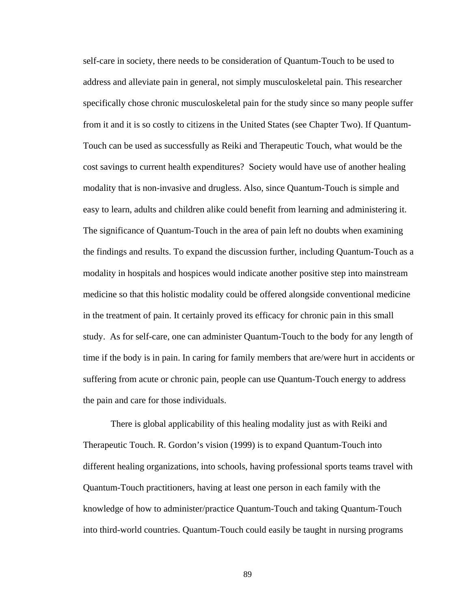self-care in society, there needs to be consideration of Quantum-Touch to be used to address and alleviate pain in general, not simply musculoskeletal pain. This researcher specifically chose chronic musculoskeletal pain for the study since so many people suffer from it and it is so costly to citizens in the United States (see Chapter Two). If Quantum-Touch can be used as successfully as Reiki and Therapeutic Touch, what would be the cost savings to current health expenditures? Society would have use of another healing modality that is non-invasive and drugless. Also, since Quantum-Touch is simple and easy to learn, adults and children alike could benefit from learning and administering it. The significance of Quantum-Touch in the area of pain left no doubts when examining the findings and results. To expand the discussion further, including Quantum-Touch as a modality in hospitals and hospices would indicate another positive step into mainstream medicine so that this holistic modality could be offered alongside conventional medicine in the treatment of pain. It certainly proved its efficacy for chronic pain in this small study. As for self-care, one can administer Quantum-Touch to the body for any length of time if the body is in pain. In caring for family members that are/were hurt in accidents or suffering from acute or chronic pain, people can use Quantum-Touch energy to address the pain and care for those individuals.

There is global applicability of this healing modality just as with Reiki and Therapeutic Touch. R. Gordon's vision (1999) is to expand Quantum-Touch into different healing organizations, into schools, having professional sports teams travel with Quantum-Touch practitioners, having at least one person in each family with the knowledge of how to administer/practice Quantum-Touch and taking Quantum-Touch into third-world countries. Quantum-Touch could easily be taught in nursing programs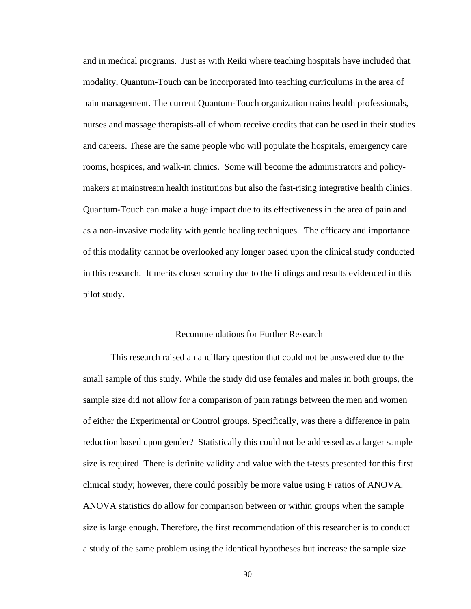and in medical programs. Just as with Reiki where teaching hospitals have included that modality, Quantum-Touch can be incorporated into teaching curriculums in the area of pain management. The current Quantum-Touch organization trains health professionals, nurses and massage therapists-all of whom receive credits that can be used in their studies and careers. These are the same people who will populate the hospitals, emergency care rooms, hospices, and walk-in clinics. Some will become the administrators and policymakers at mainstream health institutions but also the fast-rising integrative health clinics. Quantum-Touch can make a huge impact due to its effectiveness in the area of pain and as a non-invasive modality with gentle healing techniques. The efficacy and importance of this modality cannot be overlooked any longer based upon the clinical study conducted in this research. It merits closer scrutiny due to the findings and results evidenced in this pilot study.

## Recommendations for Further Research

This research raised an ancillary question that could not be answered due to the small sample of this study. While the study did use females and males in both groups, the sample size did not allow for a comparison of pain ratings between the men and women of either the Experimental or Control groups. Specifically, was there a difference in pain reduction based upon gender? Statistically this could not be addressed as a larger sample size is required. There is definite validity and value with the t-tests presented for this first clinical study; however, there could possibly be more value using F ratios of ANOVA. ANOVA statistics do allow for comparison between or within groups when the sample size is large enough. Therefore, the first recommendation of this researcher is to conduct a study of the same problem using the identical hypotheses but increase the sample size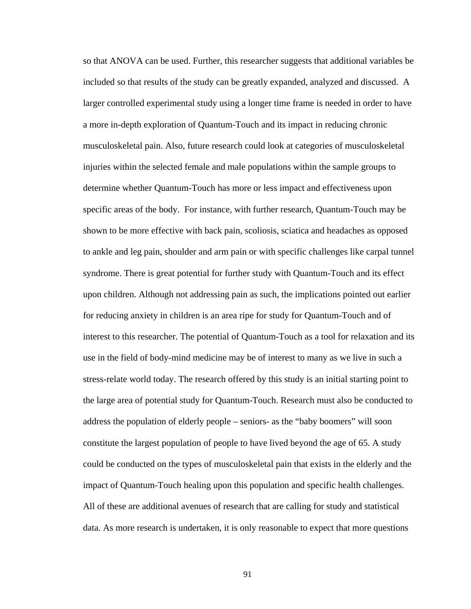so that ANOVA can be used. Further, this researcher suggests that additional variables be included so that results of the study can be greatly expanded, analyzed and discussed. A larger controlled experimental study using a longer time frame is needed in order to have a more in-depth exploration of Quantum-Touch and its impact in reducing chronic musculoskeletal pain. Also, future research could look at categories of musculoskeletal injuries within the selected female and male populations within the sample groups to determine whether Quantum-Touch has more or less impact and effectiveness upon specific areas of the body. For instance, with further research, Quantum-Touch may be shown to be more effective with back pain, scoliosis, sciatica and headaches as opposed to ankle and leg pain, shoulder and arm pain or with specific challenges like carpal tunnel syndrome. There is great potential for further study with Quantum-Touch and its effect upon children. Although not addressing pain as such, the implications pointed out earlier for reducing anxiety in children is an area ripe for study for Quantum-Touch and of interest to this researcher. The potential of Quantum-Touch as a tool for relaxation and its use in the field of body-mind medicine may be of interest to many as we live in such a stress-relate world today. The research offered by this study is an initial starting point to the large area of potential study for Quantum-Touch. Research must also be conducted to address the population of elderly people – seniors- as the "baby boomers" will soon constitute the largest population of people to have lived beyond the age of 65. A study could be conducted on the types of musculoskeletal pain that exists in the elderly and the impact of Quantum-Touch healing upon this population and specific health challenges. All of these are additional avenues of research that are calling for study and statistical data. As more research is undertaken, it is only reasonable to expect that more questions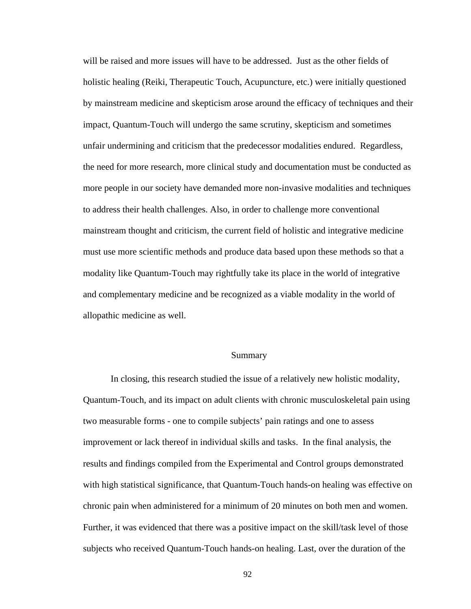will be raised and more issues will have to be addressed. Just as the other fields of holistic healing (Reiki, Therapeutic Touch, Acupuncture, etc.) were initially questioned by mainstream medicine and skepticism arose around the efficacy of techniques and their impact, Quantum-Touch will undergo the same scrutiny, skepticism and sometimes unfair undermining and criticism that the predecessor modalities endured. Regardless, the need for more research, more clinical study and documentation must be conducted as more people in our society have demanded more non-invasive modalities and techniques to address their health challenges. Also, in order to challenge more conventional mainstream thought and criticism, the current field of holistic and integrative medicine must use more scientific methods and produce data based upon these methods so that a modality like Quantum-Touch may rightfully take its place in the world of integrative and complementary medicine and be recognized as a viable modality in the world of allopathic medicine as well.

#### Summary

In closing, this research studied the issue of a relatively new holistic modality, Quantum-Touch, and its impact on adult clients with chronic musculoskeletal pain using two measurable forms - one to compile subjects' pain ratings and one to assess improvement or lack thereof in individual skills and tasks. In the final analysis, the results and findings compiled from the Experimental and Control groups demonstrated with high statistical significance, that Quantum-Touch hands-on healing was effective on chronic pain when administered for a minimum of 20 minutes on both men and women. Further, it was evidenced that there was a positive impact on the skill/task level of those subjects who received Quantum-Touch hands-on healing. Last, over the duration of the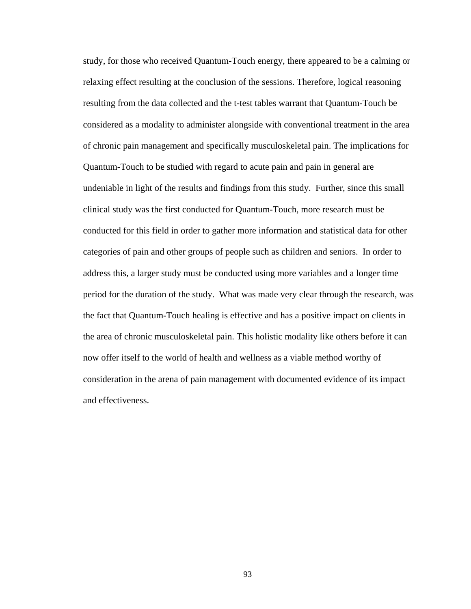study, for those who received Quantum-Touch energy, there appeared to be a calming or relaxing effect resulting at the conclusion of the sessions. Therefore, logical reasoning resulting from the data collected and the t-test tables warrant that Quantum-Touch be considered as a modality to administer alongside with conventional treatment in the area of chronic pain management and specifically musculoskeletal pain. The implications for Quantum-Touch to be studied with regard to acute pain and pain in general are undeniable in light of the results and findings from this study. Further, since this small clinical study was the first conducted for Quantum-Touch, more research must be conducted for this field in order to gather more information and statistical data for other categories of pain and other groups of people such as children and seniors. In order to address this, a larger study must be conducted using more variables and a longer time period for the duration of the study. What was made very clear through the research, was the fact that Quantum-Touch healing is effective and has a positive impact on clients in the area of chronic musculoskeletal pain. This holistic modality like others before it can now offer itself to the world of health and wellness as a viable method worthy of consideration in the arena of pain management with documented evidence of its impact and effectiveness.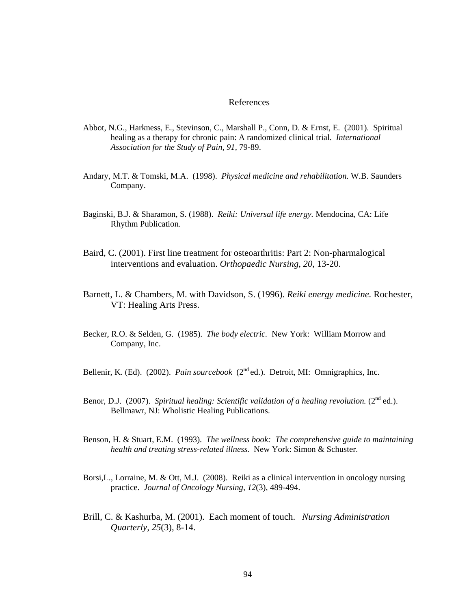#### References

- Abbot, N.G., Harkness, E., Stevinson, C., Marshall P., Conn, D. & Ernst, E. (2001). Spiritual healing as a therapy for chronic pain: A randomized clinical trial. *International Association for the Study of Pain, 91,* 79-89.
- Andary, M.T. & Tomski, M.A. (1998). *Physical medicine and rehabilitation.* W.B. Saunders Company.
- Baginski, B.J. & Sharamon, S. (1988). *Reiki: Universal life energy.* Mendocina, CA: Life Rhythm Publication.
- Baird, C. (2001). First line treatment for osteoarthritis: Part 2: Non-pharmalogical interventions and evaluation. *Orthopaedic Nursing*, *20*, 13-20.
- Barnett, L. & Chambers, M. with Davidson, S. (1996). *Reiki energy medicine.* Rochester, VT: Healing Arts Press.
- Becker, R.O. & Selden, G. (1985). *The body electric.* New York: William Morrow and Company, Inc.
- Bellenir, K. (Ed). (2002). *Pain sourcebook* (2<sup>nd</sup> ed.). Detroit, MI: Omnigraphics, Inc.
- Benor, D.J. (2007). *Spiritual healing: Scientific validation of a healing revolution.* (2<sup>nd</sup> ed.). Bellmawr, NJ: Wholistic Healing Publications.
- Benson, H. & Stuart, E.M. (1993). *The wellness book: The comprehensive guide to maintaining health and treating stress-related illness.* New York: Simon & Schuster.
- Borsi,L., Lorraine, M. & Ott, M.J. (2008). Reiki as a clinical intervention in oncology nursing practice. *Journal of Oncology Nursing, 12*(3), 489-494.
- Brill, C. & Kashurba, M. (2001). Each moment of touch. *Nursing Administration Quarterly, 25*(3), 8-14.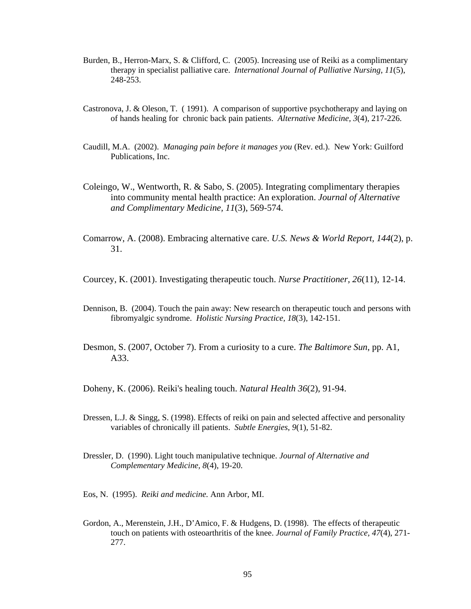- Burden, B., Herron-Marx, S. & Clifford, C. (2005). Increasing use of Reiki as a complimentary therapy in specialist palliative care. *International Journal of Palliative Nursing, 11*(5), 248-253.
- Castronova, J. & Oleson, T. ( 1991). A comparison of supportive psychotherapy and laying on of hands healing for chronic back pain patients. *Alternative Medicine, 3*(4), 217-226.
- Caudill, M.A. (2002). *Managing pain before it manages you* (Rev. ed.). New York: Guilford Publications, Inc.
- Coleingo, W., Wentworth, R. & Sabo, S. (2005). Integrating complimentary therapies into community mental health practice: An exploration. *Journal of Alternative and Complimentary Medicine, 11*(3), 569-574.
- Comarrow, A. (2008). Embracing alternative care. *U.S. News & World Report, 144*(2), p. 31.
- Courcey, K. (2001). Investigating therapeutic touch. *Nurse Practitioner, 26*(11), 12-14.
- Dennison, B. (2004). Touch the pain away: New research on therapeutic touch and persons with fibromyalgic syndrome. *Holistic Nursing Practice, 18*(3), 142-151.
- Desmon, S. (2007, October 7). From a curiosity to a cure. *The Baltimore Sun*, pp. A1, A33.

Doheny, K. (2006). Reiki's healing touch. *Natural Health 36*(2), 91-94.

- Dressen, L.J. & Singg, S. (1998). Effects of reiki on pain and selected affective and personality variables of chronically ill patients. *Subtle Energies*, *9*(1), 51-82.
- Dressler, D. (1990). Light touch manipulative technique. *Journal of Alternative and Complementary Medicine, 8*(4), 19-20.
- Eos, N. (1995). *Reiki and medicine.* Ann Arbor, MI.
- Gordon, A., Merenstein, J.H., D'Amico, F. & Hudgens, D. (1998). The effects of therapeutic touch on patients with osteoarthritis of the knee. *Journal of Family Practice, 47*(4), 271- 277.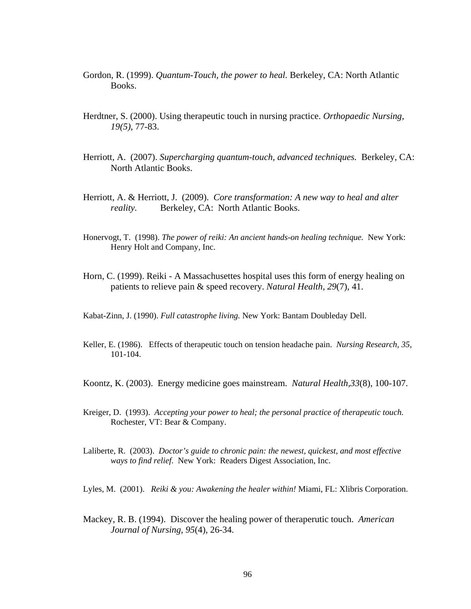- Gordon, R. (1999). *Quantum-Touch, the power to heal.* Berkeley, CA: North Atlantic Books.
- Herdtner, S. (2000). Using therapeutic touch in nursing practice. *Orthopaedic Nursing, 19(5)*, 77-83.
- Herriott, A. (2007). *Supercharging quantum-touch, advanced techniques.* Berkeley, CA: North Atlantic Books.
- Herriott, A. & Herriott, J. (2009). *Core transformation: A new way to heal and alter reality.* Berkeley, CA: North Atlantic Books.
- Honervogt, T. (1998). *The power of reiki: An ancient hands-on healing technique.* New York: Henry Holt and Company, Inc.
- Horn, C. (1999). Reiki A Massachusettes hospital uses this form of energy healing on patients to relieve pain & speed recovery. *Natural Health, 29*(7), 41.

Kabat-Zinn, J. (1990). *Full catastrophe living.* New York: Bantam Doubleday Dell.

- Keller, E. (1986). Effects of therapeutic touch on tension headache pain. *Nursing Research, 35,* 101-104.
- Koontz, K. (2003). Energy medicine goes mainstream. *Natural Health,33*(8), 100-107.
- Kreiger, D. (1993). *Accepting your power to heal; the personal practice of therapeutic touch.*  Rochester, VT: Bear & Company.
- Laliberte, R. (2003). *Doctor's guide to chronic pain: the newest, quickest, and most effective ways to find relief.* New York: Readers Digest Association, Inc.

Lyles, M. (2001). *Reiki & you: Awakening the healer within!* Miami, FL: Xlibris Corporation.

Mackey, R. B. (1994). Discover the healing power of theraperutic touch. *American Journal of Nursing, 95*(4), 26-34.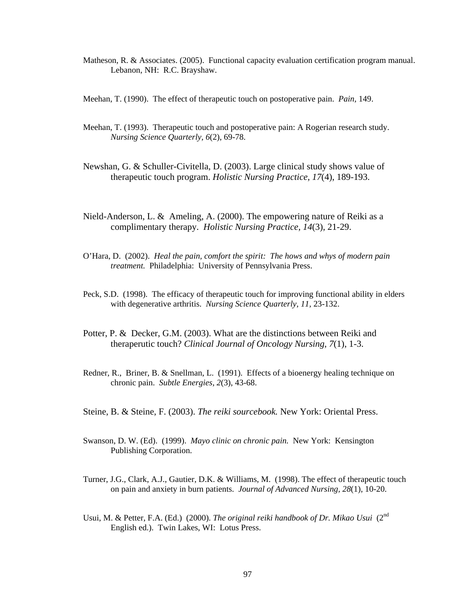- Matheson, R. & Associates. (2005). Functional capacity evaluation certification program manual. Lebanon, NH: R.C. Brayshaw.
- Meehan, T. (1990). The effect of therapeutic touch on postoperative pain. *Pain,* 149.
- Meehan, T. (1993). Therapeutic touch and postoperative pain: A Rogerian research study. *Nursing Science Quarterly, 6*(2), 69-78.
- Newshan, G. & Schuller-Civitella, D. (2003). Large clinical study shows value of therapeutic touch program. *Holistic Nursing Practice, 17*(4), 189-193.
- Nield-Anderson, L. & Ameling, A. (2000). The empowering nature of Reiki as a complimentary therapy. *Holistic Nursing Practice, 14*(3), 21-29.
- O'Hara, D. (2002). *Heal the pain, comfort the spirit: The hows and whys of modern pain treatment.* Philadelphia: University of Pennsylvania Press.
- Peck, S.D. (1998). The efficacy of therapeutic touch for improving functional ability in elders with degenerative arthritis. *Nursing Science Quarterly, 11,* 23-132.
- Potter, P. & Decker, G.M. (2003). What are the distinctions between Reiki and theraperutic touch? *Clinical Journal of Oncology Nursing, 7*(1), 1-3.
- Redner, R., Briner, B. & Snellman, L. (1991). Effects of a bioenergy healing technique on chronic pain. *Subtle Energies, 2*(3), 43-68.
- Steine, B. & Steine, F. (2003). *The reiki sourcebook.* New York: Oriental Press.
- Swanson, D. W. (Ed). (1999). *Mayo clinic on chronic pain.* New York: Kensington Publishing Corporation.
- Turner, J.G., Clark, A.J., Gautier, D.K. & Williams, M. (1998). The effect of therapeutic touch on pain and anxiety in burn patients. *Journal of Advanced Nursing, 28*(1), 10-20.
- Usui, M. & Petter, F.A. (Ed.) (2000). *The original reiki handbook of Dr. Mikao Usui* (2<sup>nd</sup> English ed.). Twin Lakes, WI: Lotus Press.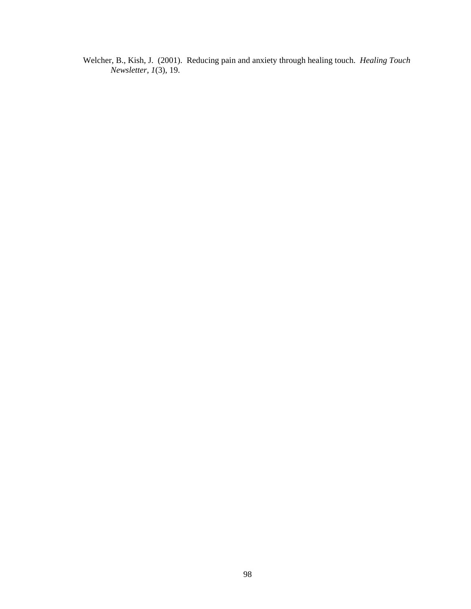Welcher, B., Kish, J. (2001). Reducing pain and anxiety through healing touch. *Healing Touch Newsletter, 1*(3), 19.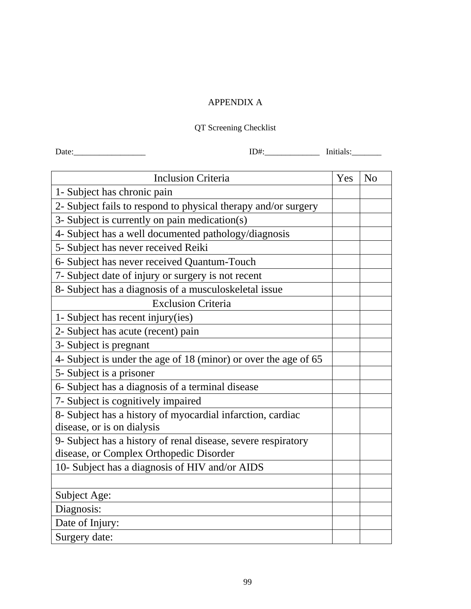## APPENDIX A

### QT Screening Checklist

Date:\_\_\_\_\_\_\_\_\_\_\_\_\_\_\_\_\_ ID#:\_\_\_\_\_\_\_\_\_\_\_\_\_ Initials:\_\_\_\_\_\_\_

| <b>Inclusion Criteria</b>                                       | Yes | N <sub>o</sub> |
|-----------------------------------------------------------------|-----|----------------|
| 1- Subject has chronic pain                                     |     |                |
| 2- Subject fails to respond to physical therapy and/or surgery  |     |                |
| 3- Subject is currently on pain medication(s)                   |     |                |
| 4- Subject has a well documented pathology/diagnosis            |     |                |
| 5- Subject has never received Reiki                             |     |                |
| 6- Subject has never received Quantum-Touch                     |     |                |
| 7- Subject date of injury or surgery is not recent              |     |                |
| 8- Subject has a diagnosis of a musculoskeletal issue           |     |                |
| <b>Exclusion Criteria</b>                                       |     |                |
| 1- Subject has recent injury (ies)                              |     |                |
| 2- Subject has acute (recent) pain                              |     |                |
| 3- Subject is pregnant                                          |     |                |
| 4- Subject is under the age of 18 (minor) or over the age of 65 |     |                |
| 5- Subject is a prisoner                                        |     |                |
| 6- Subject has a diagnosis of a terminal disease                |     |                |
| 7- Subject is cognitively impaired                              |     |                |
| 8- Subject has a history of myocardial infarction, cardiac      |     |                |
| disease, or is on dialysis                                      |     |                |
| 9- Subject has a history of renal disease, severe respiratory   |     |                |
| disease, or Complex Orthopedic Disorder                         |     |                |
| 10- Subject has a diagnosis of HIV and/or AIDS                  |     |                |
|                                                                 |     |                |
| Subject Age:                                                    |     |                |
| Diagnosis:                                                      |     |                |
| Date of Injury:                                                 |     |                |
| Surgery date:                                                   |     |                |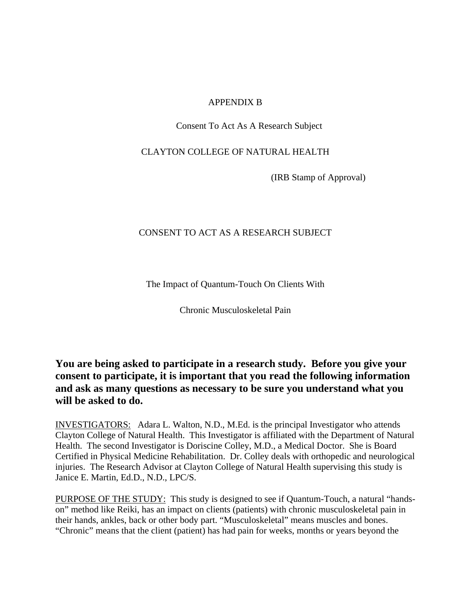### APPENDIX B

Consent To Act As A Research Subject

CLAYTON COLLEGE OF NATURAL HEALTH

(IRB Stamp of Approval)

## CONSENT TO ACT AS A RESEARCH SUBJECT

The Impact of Quantum-Touch On Clients With

Chronic Musculoskeletal Pain

# **You are being asked to participate in a research study. Before you give your consent to participate, it is important that you read the following information and ask as many questions as necessary to be sure you understand what you will be asked to do.**

INVESTIGATORS: Adara L. Walton, N.D., M.Ed. is the principal Investigator who attends Clayton College of Natural Health. This Investigator is affiliated with the Department of Natural Health. The second Investigator is Doriscine Colley, M.D., a Medical Doctor. She is Board Certified in Physical Medicine Rehabilitation. Dr. Colley deals with orthopedic and neurological injuries. The Research Advisor at Clayton College of Natural Health supervising this study is Janice E. Martin, Ed.D., N.D., LPC/S.

PURPOSE OF THE STUDY: This study is designed to see if Quantum-Touch, a natural "handson" method like Reiki, has an impact on clients (patients) with chronic musculoskeletal pain in their hands, ankles, back or other body part. "Musculoskeletal" means muscles and bones. "Chronic" means that the client (patient) has had pain for weeks, months or years beyond the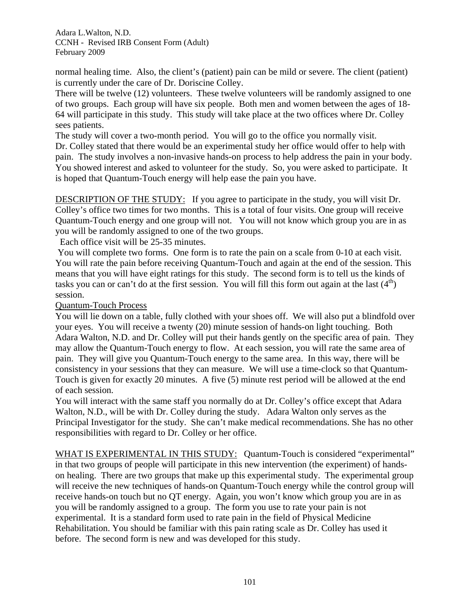normal healing time. Also, the client's (patient) pain can be mild or severe. The client (patient) is currently under the care of Dr. Doriscine Colley.

There will be twelve (12) volunteers. These twelve volunteers will be randomly assigned to one of two groups. Each group will have six people. Both men and women between the ages of 18- 64 will participate in this study. This study will take place at the two offices where Dr. Colley sees patients.

The study will cover a two-month period. You will go to the office you normally visit. Dr. Colley stated that there would be an experimental study her office would offer to help with pain. The study involves a non-invasive hands-on process to help address the pain in your body. You showed interest and asked to volunteer for the study. So, you were asked to participate. It is hoped that Quantum-Touch energy will help ease the pain you have.

DESCRIPTION OF THE STUDY: If you agree to participate in the study, you will visit Dr. Colley's office two times for two months. This is a total of four visits. One group will receive Quantum-Touch energy and one group will not. You will not know which group you are in as you will be randomly assigned to one of the two groups.

Each office visit will be 25-35 minutes.

 You will complete two forms. One form is to rate the pain on a scale from 0-10 at each visit. You will rate the pain before receiving Quantum-Touch and again at the end of the session. This means that you will have eight ratings for this study. The second form is to tell us the kinds of tasks you can or can't do at the first session. You will fill this form out again at the last  $(4<sup>th</sup>)$ session.

Quantum-Touch Process

You will lie down on a table, fully clothed with your shoes off. We will also put a blindfold over your eyes. You will receive a twenty (20) minute session of hands-on light touching. Both Adara Walton, N.D. and Dr. Colley will put their hands gently on the specific area of pain. They may allow the Quantum-Touch energy to flow. At each session, you will rate the same area of pain. They will give you Quantum-Touch energy to the same area. In this way, there will be consistency in your sessions that they can measure. We will use a time-clock so that Quantum-Touch is given for exactly 20 minutes. A five (5) minute rest period will be allowed at the end of each session.

You will interact with the same staff you normally do at Dr. Colley's office except that Adara Walton, N.D., will be with Dr. Colley during the study. Adara Walton only serves as the Principal Investigator for the study. She can't make medical recommendations. She has no other responsibilities with regard to Dr. Colley or her office.

WHAT IS EXPERIMENTAL IN THIS STUDY: Quantum-Touch is considered "experimental" in that two groups of people will participate in this new intervention (the experiment) of handson healing. There are two groups that make up this experimental study. The experimental group will receive the new techniques of hands-on Quantum-Touch energy while the control group will receive hands-on touch but no QT energy. Again, you won't know which group you are in as you will be randomly assigned to a group. The form you use to rate your pain is not experimental. It is a standard form used to rate pain in the field of Physical Medicine Rehabilitation. You should be familiar with this pain rating scale as Dr. Colley has used it before. The second form is new and was developed for this study.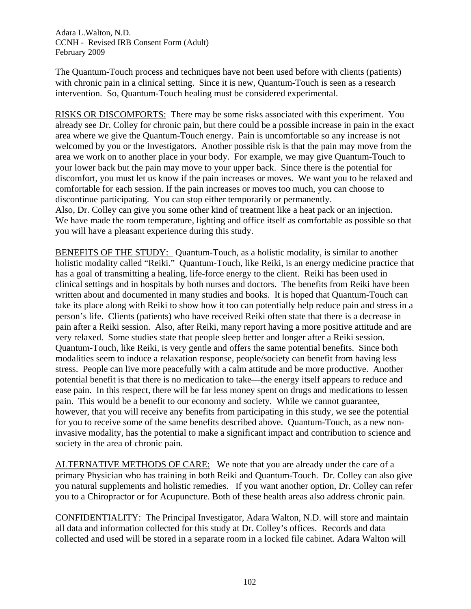The Quantum-Touch process and techniques have not been used before with clients (patients) with chronic pain in a clinical setting. Since it is new, Quantum-Touch is seen as a research intervention. So, Quantum-Touch healing must be considered experimental.

RISKS OR DISCOMFORTS: There may be some risks associated with this experiment. You already see Dr. Colley for chronic pain, but there could be a possible increase in pain in the exact area where we give the Quantum-Touch energy. Pain is uncomfortable so any increase is not welcomed by you or the Investigators. Another possible risk is that the pain may move from the area we work on to another place in your body. For example, we may give Quantum-Touch to your lower back but the pain may move to your upper back. Since there is the potential for discomfort, you must let us know if the pain increases or moves. We want you to be relaxed and comfortable for each session. If the pain increases or moves too much, you can choose to discontinue participating. You can stop either temporarily or permanently. Also, Dr. Colley can give you some other kind of treatment like a heat pack or an injection. We have made the room temperature, lighting and office itself as comfortable as possible so that you will have a pleasant experience during this study.

BENEFITS OF THE STUDY: Quantum-Touch, as a holistic modality, is similar to another holistic modality called "Reiki." Quantum-Touch, like Reiki, is an energy medicine practice that has a goal of transmitting a healing, life-force energy to the client. Reiki has been used in clinical settings and in hospitals by both nurses and doctors. The benefits from Reiki have been written about and documented in many studies and books. It is hoped that Quantum-Touch can take its place along with Reiki to show how it too can potentially help reduce pain and stress in a person's life. Clients (patients) who have received Reiki often state that there is a decrease in pain after a Reiki session. Also, after Reiki, many report having a more positive attitude and are very relaxed. Some studies state that people sleep better and longer after a Reiki session. Quantum-Touch, like Reiki, is very gentle and offers the same potential benefits. Since both modalities seem to induce a relaxation response, people/society can benefit from having less stress. People can live more peacefully with a calm attitude and be more productive. Another potential benefit is that there is no medication to take—the energy itself appears to reduce and ease pain. In this respect, there will be far less money spent on drugs and medications to lessen pain. This would be a benefit to our economy and society. While we cannot guarantee, however, that you will receive any benefits from participating in this study, we see the potential for you to receive some of the same benefits described above. Quantum-Touch, as a new noninvasive modality, has the potential to make a significant impact and contribution to science and society in the area of chronic pain.

ALTERNATIVE METHODS OF CARE: We note that you are already under the care of a primary Physician who has training in both Reiki and Quantum-Touch. Dr. Colley can also give you natural supplements and holistic remedies. If you want another option, Dr. Colley can refer you to a Chiropractor or for Acupuncture. Both of these health areas also address chronic pain.

CONFIDENTIALITY: The Principal Investigator, Adara Walton, N.D. will store and maintain all data and information collected for this study at Dr. Colley's offices. Records and data collected and used will be stored in a separate room in a locked file cabinet. Adara Walton will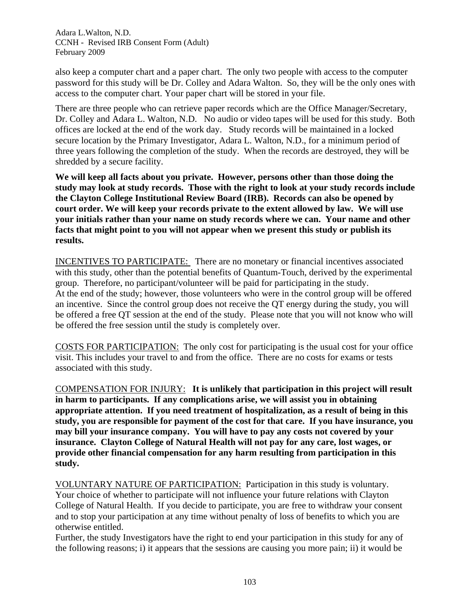also keep a computer chart and a paper chart. The only two people with access to the computer password for this study will be Dr. Colley and Adara Walton. So, they will be the only ones with access to the computer chart. Your paper chart will be stored in your file.

There are three people who can retrieve paper records which are the Office Manager/Secretary, Dr. Colley and Adara L. Walton, N.D. No audio or video tapes will be used for this study. Both offices are locked at the end of the work day. Study records will be maintained in a locked secure location by the Primary Investigator, Adara L. Walton, N.D., for a minimum period of three years following the completion of the study. When the records are destroyed, they will be shredded by a secure facility.

**We will keep all facts about you private. However, persons other than those doing the study may look at study records. Those with the right to look at your study records include the Clayton College Institutional Review Board (IRB). Records can also be opened by court order. We will keep your records private to the extent allowed by law. We will use your initials rather than your name on study records where we can. Your name and other facts that might point to you will not appear when we present this study or publish its results.** 

INCENTIVES TO PARTICIPATE: There are no monetary or financial incentives associated with this study, other than the potential benefits of Quantum-Touch, derived by the experimental group. Therefore, no participant/volunteer will be paid for participating in the study. At the end of the study; however, those volunteers who were in the control group will be offered an incentive. Since the control group does not receive the QT energy during the study, you will be offered a free QT session at the end of the study. Please note that you will not know who will be offered the free session until the study is completely over.

COSTS FOR PARTICIPATION: The only cost for participating is the usual cost for your office visit. This includes your travel to and from the office. There are no costs for exams or tests associated with this study.

COMPENSATION FOR INJURY: **It is unlikely that participation in this project will result in harm to participants. If any complications arise, we will assist you in obtaining appropriate attention. If you need treatment of hospitalization, as a result of being in this study, you are responsible for payment of the cost for that care. If you have insurance, you may bill your insurance company. You will have to pay any costs not covered by your insurance. Clayton College of Natural Health will not pay for any care, lost wages, or provide other financial compensation for any harm resulting from participation in this study.** 

VOLUNTARY NATURE OF PARTICIPATION: Participation in this study is voluntary. Your choice of whether to participate will not influence your future relations with Clayton College of Natural Health. If you decide to participate, you are free to withdraw your consent and to stop your participation at any time without penalty of loss of benefits to which you are otherwise entitled.

Further, the study Investigators have the right to end your participation in this study for any of the following reasons; i) it appears that the sessions are causing you more pain; ii) it would be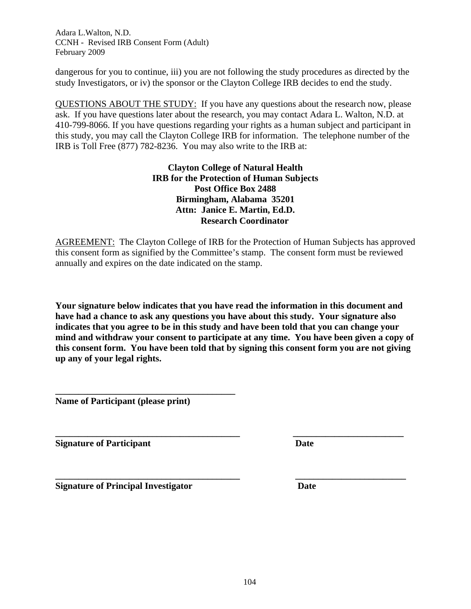dangerous for you to continue, iii) you are not following the study procedures as directed by the study Investigators, or iv) the sponsor or the Clayton College IRB decides to end the study.

QUESTIONS ABOUT THE STUDY: If you have any questions about the research now, please ask. If you have questions later about the research, you may contact Adara L. Walton, N.D. at 410-799-8066. If you have questions regarding your rights as a human subject and participant in this study, you may call the Clayton College IRB for information. The telephone number of the IRB is Toll Free (877) 782-8236. You may also write to the IRB at:

> **Clayton College of Natural Health IRB for the Protection of Human Subjects Post Office Box 2488 Birmingham, Alabama 35201 Attn: Janice E. Martin, Ed.D. Research Coordinator**

AGREEMENT: The Clayton College of IRB for the Protection of Human Subjects has approved this consent form as signified by the Committee's stamp. The consent form must be reviewed annually and expires on the date indicated on the stamp.

**Your signature below indicates that you have read the information in this document and have had a chance to ask any questions you have about this study. Your signature also indicates that you agree to be in this study and have been told that you can change your mind and withdraw your consent to participate at any time. You have been given a copy of this consent form. You have been told that by signing this consent form you are not giving up any of your legal rights.** 

**\_\_\_\_\_\_\_\_\_\_\_\_\_\_\_\_\_\_\_\_\_\_\_\_\_\_\_\_\_\_\_\_\_\_\_\_\_\_\_\_ \_\_\_\_\_\_\_\_\_\_\_\_\_\_\_\_\_\_\_\_\_\_\_\_** 

**Name of Participant (please print)** 

**\_\_\_\_\_\_\_\_\_\_\_\_\_\_\_\_\_\_\_\_\_\_\_\_\_\_\_\_\_\_\_\_\_\_\_\_\_\_\_** 

**\_\_\_\_\_\_\_\_\_\_\_\_\_\_\_\_\_\_\_\_\_\_\_\_\_\_\_\_\_\_\_\_\_\_\_\_\_\_\_\_ \_\_\_\_\_\_\_\_\_\_\_\_\_\_\_\_\_\_\_\_\_\_\_\_ Signature of Participant Date Date** 

**Signature of Principal Investigator Date**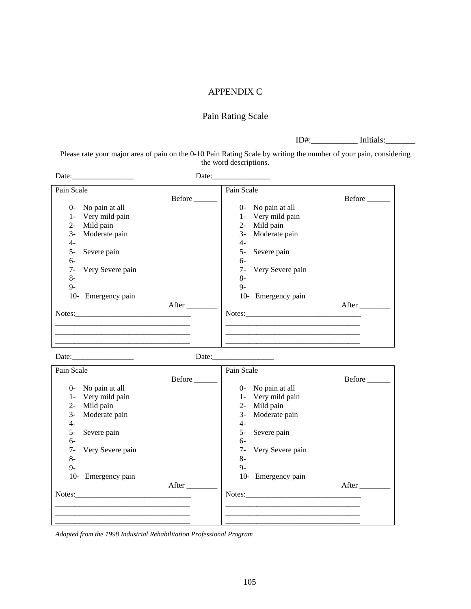#### APPENDIX C

### Pain Rating Scale

ID#:\_\_\_\_\_\_\_\_\_\_\_ Initials:\_\_\_\_\_\_\_

Please rate your major area of pain on the 0-10 Pain Rating Scale by writing the number of your pain, considering the word descriptions.

| Date:               |
|---------------------|
| Pain Scale          |
| Before<br>Before    |
| 0- No pain at all   |
| 1- Very mild pain   |
| 2- Mild pain        |
| 3- Moderate pain    |
| 4-                  |
| 5- Severe pain      |
| $6-$                |
| 7- Very Severe pain |
| $8-$                |
| $Q_{-}$             |
| 10- Emergency pain  |
| After               |
| Notes:              |
|                     |
|                     |
|                     |
|                     |

Date:\_\_\_\_\_\_\_\_\_\_\_\_\_\_\_\_ Date:\_\_\_\_\_\_\_\_\_\_\_\_\_\_\_\_

| Pain Scale              |        | Pain Scale               |        |
|-------------------------|--------|--------------------------|--------|
|                         | Before |                          | Before |
| No pain at all<br>$0-$  |        | 0- No pain at all        |        |
| Very mild pain<br>$1 -$ |        | 1- Very mild pain        |        |
| $2 -$<br>Mild pain      |        | Mild pain<br>$2 -$       |        |
| Moderate pain<br>$3-$   |        | Moderate pain<br>$3-$    |        |
| $4-$                    |        | $4-$                     |        |
| $5-$<br>Severe pain     |        | 5-<br>Severe pain        |        |
| $6-$                    |        | $6-$                     |        |
| 7-<br>Very Severe pain  |        | Very Severe pain<br>$7-$ |        |
| $8-$                    |        | $8-$                     |        |
| $9 -$                   |        | $Q_{-}$                  |        |
| 10- Emergency pain      |        | 10- Emergency pain       |        |
|                         | After  |                          | After  |
| Notes:                  |        | Notes:                   |        |
|                         |        |                          |        |
|                         |        |                          |        |
|                         |        |                          |        |

*Adapted from the 1998 Industrial Rehabilitation Professional Program*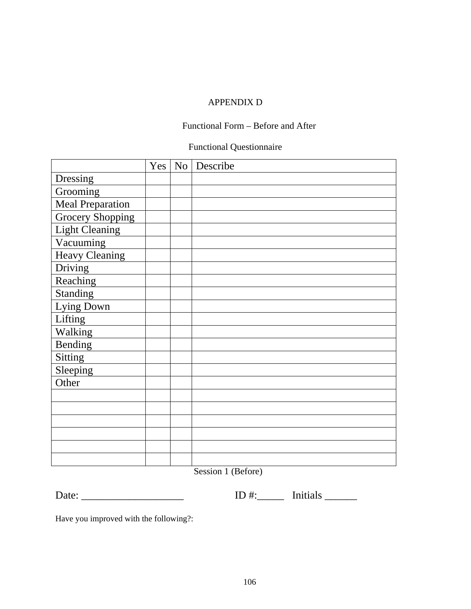## APPENDIX D

## Functional Form – Before and After

## Functional Questionnaire

|                         |  | Yes   No   Describe |
|-------------------------|--|---------------------|
| Dressing                |  |                     |
| Grooming                |  |                     |
| <b>Meal Preparation</b> |  |                     |
| <b>Grocery Shopping</b> |  |                     |
| <b>Light Cleaning</b>   |  |                     |
| Vacuuming               |  |                     |
| <b>Heavy Cleaning</b>   |  |                     |
| Driving                 |  |                     |
| Reaching                |  |                     |
| Standing                |  |                     |
| Lying Down              |  |                     |
| Lifting                 |  |                     |
| Walking                 |  |                     |
| Bending                 |  |                     |
| Sitting                 |  |                     |
| Sleeping                |  |                     |
| Other                   |  |                     |
|                         |  |                     |
|                         |  |                     |
|                         |  |                     |
|                         |  |                     |
|                         |  |                     |
|                         |  |                     |

Session 1 (Before)

| $\blacksquare$<br>∸<br>ᅩ | ---<br>------<br>--------- |
|--------------------------|----------------------------|
|--------------------------|----------------------------|

Have you improved with the following?: